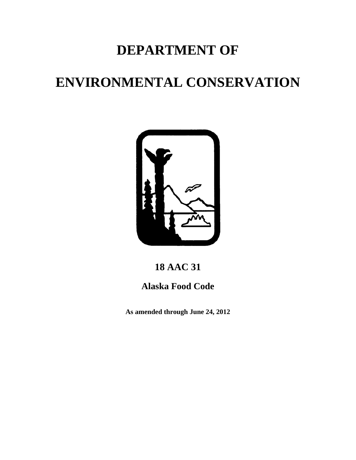# **DEPARTMENT OF**

# **ENVIRONMENTAL CONSERVATION**



# **18 AAC 31**

# **Alaska Food Code**

 **As amended through June 24, 2012**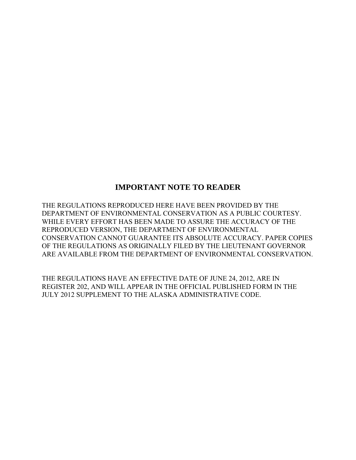# **IMPORTANT NOTE TO READER**

THE REGULATIONS REPRODUCED HERE HAVE BEEN PROVIDED BY THE DEPARTMENT OF ENVIRONMENTAL CONSERVATION AS A PUBLIC COURTESY. WHILE EVERY EFFORT HAS BEEN MADE TO ASSURE THE ACCURACY OF THE REPRODUCED VERSION, THE DEPARTMENT OF ENVIRONMENTAL CONSERVATION CANNOT GUARANTEE ITS ABSOLUTE ACCURACY. PAPER COPIES OF THE REGULATIONS AS ORIGINALLY FILED BY THE LIEUTENANT GOVERNOR ARE AVAILABLE FROM THE DEPARTMENT OF ENVIRONMENTAL CONSERVATION.

THE REGULATIONS HAVE AN EFFECTIVE DATE OF JUNE 24, 2012, ARE IN REGISTER 202, AND WILL APPEAR IN THE OFFICIAL PUBLISHED FORM IN THE JULY 2012 SUPPLEMENT TO THE ALASKA ADMINISTRATIVE CODE.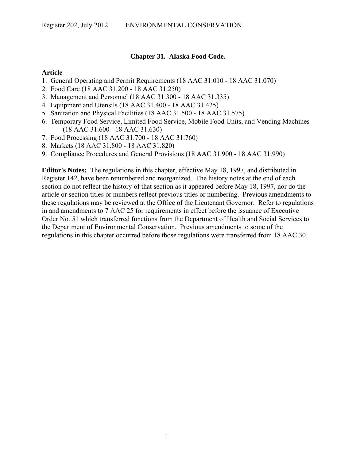# **Chapter 31. Alaska Food Code.**

#### **Article**

- 1. General Operating and Permit Requirements (18 AAC 31.010 18 AAC 31.070)
- 2. Food Care (18 AAC 31.200 18 AAC 31.250)
- 3. Management and Personnel (18 AAC 31.300 18 AAC 31.335)
- 4. Equipment and Utensils (18 AAC 31.400 18 AAC 31.425)
- 5. Sanitation and Physical Facilities (18 AAC 31.500 18 AAC 31.575)
- 6. Temporary Food Service, Limited Food Service, Mobile Food Units, and Vending Machines (18 AAC 31.600 - 18 AAC 31.630)
- 7. Food Processing (18 AAC 31.700 18 AAC 31.760)
- 8. Markets (18 AAC 31.800 18 AAC 31.820)
- 9. Compliance Procedures and General Provisions (18 AAC 31.900 18 AAC 31.990)

**Editor's Notes:** The regulations in this chapter, effective May 18, 1997, and distributed in Register 142, have been renumbered and reorganized. The history notes at the end of each section do not reflect the history of that section as it appeared before May 18, 1997, nor do the article or section titles or numbers reflect previous titles or numbering. Previous amendments to these regulations may be reviewed at the Office of the Lieutenant Governor. Refer to regulations in and amendments to 7 AAC 25 for requirements in effect before the issuance of Executive Order No. 51 which transferred functions from the Department of Health and Social Services to the Department of Environmental Conservation. Previous amendments to some of the regulations in this chapter occurred before those regulations were transferred from 18 AAC 30.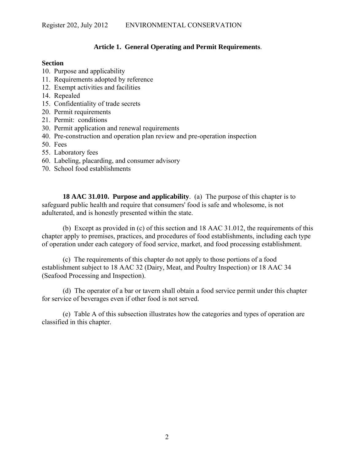# **Article 1. General Operating and Permit Requirements**.

# **Section**

- 10. Purpose and applicability
- 11. Requirements adopted by reference
- 12. Exempt activities and facilities
- 14. Repealed
- 15. Confidentiality of trade secrets
- 20. Permit requirements
- 21. Permit: conditions
- 30. Permit application and renewal requirements
- 40. Pre-construction and operation plan review and pre-operation inspection
- 50. Fees
- 55. Laboratory fees
- 60. Labeling, placarding, and consumer advisory
- 70. School food establishments

**18 AAC 31.010. Purpose and applicability**. (a) The purpose of this chapter is to safeguard public health and require that consumers' food is safe and wholesome, is not adulterated, and is honestly presented within the state.

(b) Except as provided in (c) of this section and 18 AAC 31.012, the requirements of this chapter apply to premises, practices, and procedures of food establishments, including each type of operation under each category of food service, market, and food processing establishment.

(c) The requirements of this chapter do not apply to those portions of a food establishment subject to 18 AAC 32 (Dairy, Meat, and Poultry Inspection) or 18 AAC 34 (Seafood Processing and Inspection).

(d) The operator of a bar or tavern shall obtain a food service permit under this chapter for service of beverages even if other food is not served.

(e) Table A of this subsection illustrates how the categories and types of operation are classified in this chapter.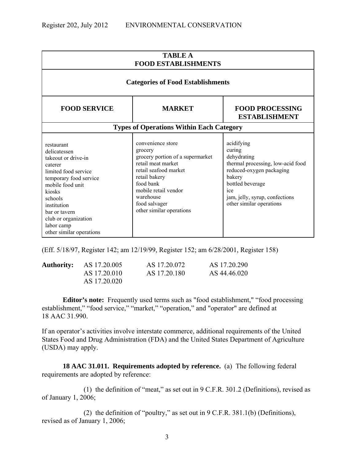| <b>TABLE A</b><br><b>FOOD ESTABLISHMENTS</b>                                                                                                                                                                                                                                                                                                                                                                                                                                                                                                                                                                                                                                                            |                                                 |  |  |  |
|---------------------------------------------------------------------------------------------------------------------------------------------------------------------------------------------------------------------------------------------------------------------------------------------------------------------------------------------------------------------------------------------------------------------------------------------------------------------------------------------------------------------------------------------------------------------------------------------------------------------------------------------------------------------------------------------------------|-------------------------------------------------|--|--|--|
|                                                                                                                                                                                                                                                                                                                                                                                                                                                                                                                                                                                                                                                                                                         | <b>Categories of Food Establishments</b>        |  |  |  |
| <b>FOOD SERVICE</b><br><b>FOOD PROCESSING</b><br><b>MARKET</b><br><b>ESTABLISHMENT</b>                                                                                                                                                                                                                                                                                                                                                                                                                                                                                                                                                                                                                  |                                                 |  |  |  |
|                                                                                                                                                                                                                                                                                                                                                                                                                                                                                                                                                                                                                                                                                                         | <b>Types of Operations Within Each Category</b> |  |  |  |
| convenience store<br>acidifying<br>restaurant<br>curing<br>grocery<br>delicatessen<br>grocery portion of a supermarket<br>dehydrating<br>takeout or drive-in<br>retail meat market<br>thermal processing, low-acid food<br>caterer<br>retail seafood market<br>reduced-oxygen packaging<br>limited food service<br>retail bakery<br>bakery<br>temporary food service<br>food bank<br>bottled beverage<br>mobile food unit<br>mobile retail vendor<br>ice<br>kiosks<br>warehouse<br>jam, jelly, syrup, confections<br>schools<br>food salvager<br>other similar operations<br>institution<br>other similar operations<br>bar or tavern<br>club or organization<br>labor camp<br>other similar operations |                                                 |  |  |  |

(Eff. 5/18/97, Register 142; am 12/19/99, Register 152; am 6/28/2001, Register 158)

| <b>Authority:</b> AS 17.20.005 | AS 17.20.072 | AS 17.20.290 |
|--------------------------------|--------------|--------------|
| AS 17.20.010                   | AS 17.20.180 | AS 44.46.020 |
| AS 17.20.020                   |              |              |

**Editor's note:** Frequently used terms such as "food establishment," "food processing establishment," "food service," "market," "operation," and "operator" are defined at 18 AAC 31.990.

If an operator's activities involve interstate commerce, additional requirements of the United States Food and Drug Administration (FDA) and the United States Department of Agriculture (USDA) may apply.

**18 AAC 31.011. Requirements adopted by reference.** (a) The following federal requirements are adopted by reference:

(1) the definition of "meat," as set out in 9 C.F.R. 301.2 (Definitions), revised as of January 1, 2006;

(2) the definition of "poultry," as set out in 9 C.F.R. 381.1(b) (Definitions), revised as of January 1, 2006;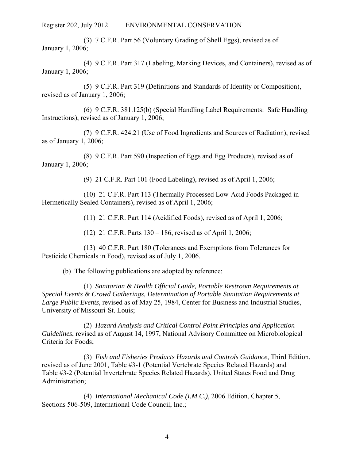(3) 7 C.F.R. Part 56 (Voluntary Grading of Shell Eggs), revised as of January 1, 2006;

(4) 9 C.F.R. Part 317 (Labeling, Marking Devices, and Containers), revised as of January 1, 2006;

(5) 9 C.F.R. Part 319 (Definitions and Standards of Identity or Composition), revised as of January 1, 2006;

(6) 9 C.F.R. 381.125(b) (Special Handling Label Requirements: Safe Handling Instructions), revised as of January 1, 2006;

(7) 9 C.F.R. 424.21 (Use of Food Ingredients and Sources of Radiation), revised as of January 1, 2006;

(8) 9 C.F.R. Part 590 (Inspection of Eggs and Egg Products), revised as of January 1, 2006;

(9) 21 C.F.R. Part 101 (Food Labeling), revised as of April 1, 2006;

(10) 21 C.F.R. Part 113 (Thermally Processed Low-Acid Foods Packaged in Hermetically Sealed Containers), revised as of April 1, 2006;

(11) 21 C.F.R. Part 114 (Acidified Foods), revised as of April 1, 2006;

(12) 21 C.F.R. Parts 130 – 186, revised as of April 1, 2006;

(13) 40 C.F.R. Part 180 (Tolerances and Exemptions from Tolerances for Pesticide Chemicals in Food), revised as of July 1, 2006.

(b) The following publications are adopted by reference:

(1) *Sanitarian & Health Official Guide, Portable Restroom Requirements at Special Events & Crowd Gatherings, Determination of Portable Sanitation Requirements at Large Public Events*, revised as of May 25, 1984, Center for Business and Industrial Studies, University of Missouri-St. Louis;

(2) *Hazard Analysis and Critical Control Point Principles and Application Guidelines*, revised as of August 14, 1997, National Advisory Committee on Microbiological Criteria for Foods;

(3) *Fish and Fisheries Products Hazards and Controls Guidance*, Third Edition, revised as of June 2001, Table #3-1 (Potential Vertebrate Species Related Hazards) and Table #3-2 (Potential Invertebrate Species Related Hazards), United States Food and Drug Administration;

(4) *International Mechanical Code (I.M.C.)*, 2006 Edition, Chapter 5, Sections 506-509, International Code Council, Inc.;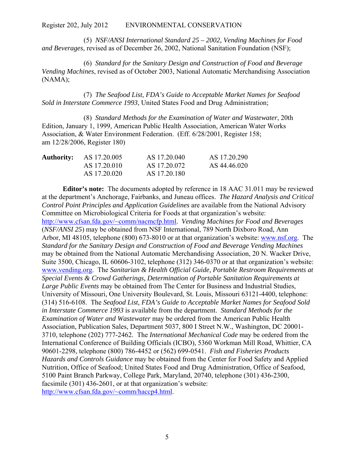(5) *NSF/ANSI International Standard 25 – 2002, Vending Machines for Food and Beverages*, revised as of December 26, 2002, National Sanitation Foundation (NSF);

(6) *Standard for the Sanitary Design and Construction of Food and Beverage Vending Machines*, revised as of October 2003, National Automatic Merchandising Association (NAMA);

(7) *The Seafood List, FDA's Guide to Acceptable Market Names for Seafood Sold in Interstate Commerce 1993*, United States Food and Drug Administration;

(8) *Standard Methods for the Examination of Water and Wastewater*, 20th Edition, January 1, 1999, American Public Health Association, American Water Works Association, & Water Environment Federation. (Eff. 6/28/2001, Register 158; am 12/28/2006, Register 180)

| <b>Authority:</b> | AS 17.20.005 | AS 17.20.040 | AS 17.20.290 |
|-------------------|--------------|--------------|--------------|
|                   | AS 17.20.010 | AS 17.20.072 | AS 44.46.020 |
|                   | AS 17.20.020 | AS 17.20.180 |              |

**Editor's note:** The documents adopted by reference in 18 AAC 31.011 may be reviewed at the department's Anchorage, Fairbanks, and Juneau offices. *The Hazard Analysis and Critical Control Point Principles and Application Guidelines* are available from the National Advisory Committee on Microbiological Criteria for Foods at that organization's website: http://www.cfsan.fda.gov/~comm/nacmcfp.html. *Vending Machines for Food and Beverages* (*NSF/ANSI 25*) may be obtained from NSF International, 789 North Dixboro Road, Ann Arbor, MI 48105, telephone (800) 673-8010 or at that organization's website: www.nsf.org. The *Standard for the Sanitary Design and Construction of Food and Beverage Vending Machines*  may be obtained from the National Automatic Merchandising Association, 20 N. Wacker Drive, Suite 3500, Chicago, IL 60606-3102, telephone (312) 346-0370 or at that organization's website: www.vending.org. The *Sanitarian & Health Official Guide, Portable Restroom Requirements at Special Events & Crowd Gatherings, Determination of Portable Sanitation Requirements at Large Public Events* may be obtained from The Center for Business and Industrial Studies, University of Missouri, One University Boulevard, St. Louis, Missouri 63121-4400, telephone: (314) 516-6108. The *Seafood List, FDA's Guide to Acceptable Market Names for Seafood Sold in Interstate Commerce 1993* is available from the department. *Standard Methods for the Examination of Water and Wastewater* may be ordered from the American Public Health Association, Publication Sales, Department 5037, 800 I Street N.W., Washington, DC 20001- 3710, telephone (202) 777-2462. The *International Mechanical Code* may be ordered from the International Conference of Building Officials (ICBO), 5360 Workman Mill Road, Whittier, CA 90601-2298, telephone (800) 786-4452 or (562) 699-0541. *Fish and Fisheries Products Hazards and Controls Guidance* may be obtained from the Center for Food Safety and Applied Nutrition, Office of Seafood; United States Food and Drug Administration, Office of Seafood, 5100 Paint Branch Parkway, College Park, Maryland, 20740, telephone (301) 436-2300, facsimile (301) 436-2601, or at that organization's website: http://www.cfsan.fda.gov/~comm/haccp4.html.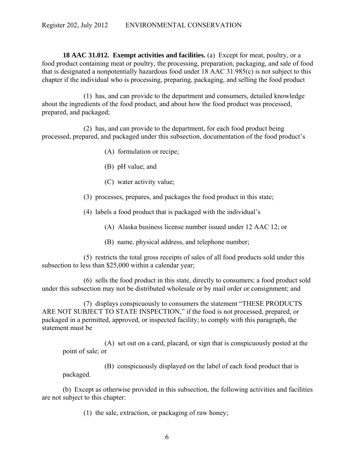**18 AAC 31.012. Exempt activities and facilities.** (a) Except for meat, poultry, or a food product containing meat or poultry, the processing, preparation, packaging, and sale of food that is designated a nonpotentially hazardous food under 18 AAC 31.985(c) is not subject to this chapter if the individual who is processing, preparing, packaging, and selling the food product

(1) has, and can provide to the department and consumers, detailed knowledge about the ingredients of the food product, and about how the food product was processed, prepared, and packaged;

(2) has, and can provide to the department, for each food product being processed, prepared, and packaged under this subsection, documentation of the food product's

- (A) formulation or recipe;
- (B) pH value; and
- (C) water activity value;
- (3) processes, prepares, and packages the food product in this state;

(4) labels a food product that is packaged with the individual's

(A) Alaska business license number issued under 12 AAC 12; or

(B) name, physical address, and telephone number;

(5) restricts the total gross receipts of sales of all food products sold under this subsection to less than \$25,000 within a calendar year;

(6) sells the food product in this state, directly to consumers; a food product sold under this subsection may not be distributed wholesale or by mail order or consignment; and

(7) displays conspicuously to consumers the statement "THESE PRODUCTS ARE NOT SUBJECT TO STATE INSPECTION," if the food is not processed, prepared, or packaged in a permitted, approved, or inspected facility; to comply with this paragraph, the statement must be

 (A) set out on a card, placard, or sign that is conspicuously posted at the point of sale; or

 (B) conspicuously displayed on the label of each food product that is packaged.

(b) Except as otherwise provided in this subsection, the following activities and facilities are not subject to this chapter:

(1) the sale, extraction, or packaging of raw honey;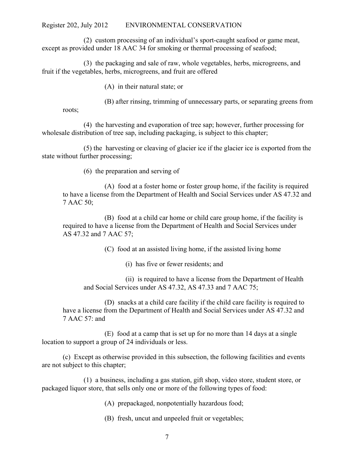(2) custom processing of an individual's sport-caught seafood or game meat, except as provided under 18 AAC 34 for smoking or thermal processing of seafood;

(3) the packaging and sale of raw, whole vegetables, herbs, microgreens, and fruit if the vegetables, herbs, microgreens, and fruit are offered

(A) in their natural state; or

(B) after rinsing, trimming of unnecessary parts, or separating greens from

roots;

(4) the harvesting and evaporation of tree sap; however, further processing for wholesale distribution of tree sap, including packaging, is subject to this chapter;

(5) the harvesting or cleaving of glacier ice if the glacier ice is exported from the state without further processing;

(6) the preparation and serving of

 (A) food at a foster home or foster group home, if the facility is required to have a license from the Department of Health and Social Services under AS 47.32 and 7 AAC 50;

 (B) food at a child car home or child care group home, if the facility is required to have a license from the Department of Health and Social Services under AS 47.32 and 7 AAC 57;

(C) food at an assisted living home, if the assisted living home

(i) has five or fewer residents; and

 (ii) is required to have a license from the Department of Health and Social Services under AS 47.32, AS 47.33 and 7 AAC 75;

 (D) snacks at a child care facility if the child care facility is required to have a license from the Department of Health and Social Services under AS 47.32 and 7 AAC 57: and

 (E) food at a camp that is set up for no more than 14 days at a single location to support a group of 24 individuals or less.

(c) Except as otherwise provided in this subsection, the following facilities and events are not subject to this chapter;

(1) a business, including a gas station, gift shop, video store, student store, or packaged liquor store, that sells only one or more of the following types of food:

(A) prepackaged, nonpotentially hazardous food;

(B) fresh, uncut and unpeeled fruit or vegetables;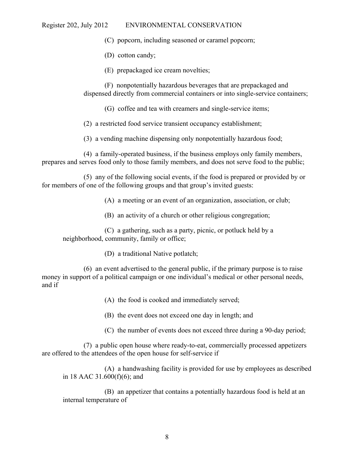(C) popcorn, including seasoned or caramel popcorn;

(D) cotton candy;

(E) prepackaged ice cream novelties;

(F) nonpotentially hazardous beverages that are prepackaged and dispensed directly from commercial containers or into single-service containers;

(G) coffee and tea with creamers and single-service items;

(2) a restricted food service transient occupancy establishment;

(3) a vending machine dispensing only nonpotentially hazardous food;

 (4) a family-operated business, if the business employs only family members, prepares and serves food only to those family members, and does not serve food to the public;

 (5) any of the following social events, if the food is prepared or provided by or for members of one of the following groups and that group's invited guests:

(A) a meeting or an event of an organization, association, or club;

(B) an activity of a church or other religious congregation;

(C) a gathering, such as a party, picnic, or potluck held by a neighborhood, community, family or office;

(D) a traditional Native potlatch;

 (6) an event advertised to the general public, if the primary purpose is to raise money in support of a political campaign or one individual's medical or other personal needs, and if

(A) the food is cooked and immediately served;

(B) the event does not exceed one day in length; and

(C) the number of events does not exceed three during a 90-day period;

 (7) a public open house where ready-to-eat, commercially processed appetizers are offered to the attendees of the open house for self-service if

 (A) a handwashing facility is provided for use by employees as described in 18 AAC 31.600(f)(6); and

 (B) an appetizer that contains a potentially hazardous food is held at an internal temperature of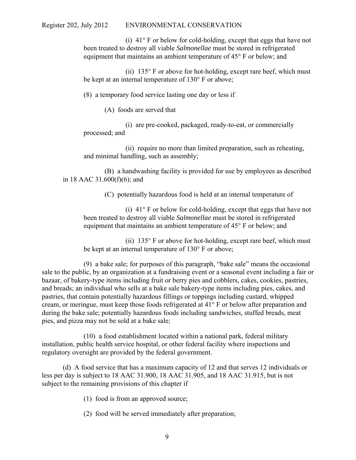(i) 41° F or below for cold-holding, except that eggs that have not been treated to destroy all viable *Salmonellae* must be stored in refrigerated equipment that maintains an ambient temperature of 45° F or below; and

(ii)  $135^{\circ}$  F or above for hot-holding, except rare beef, which must be kept at an internal temperature of 130° F or above;

(8) a temporary food service lasting one day or less if

(A) foods are served that

 (i) are pre-cooked, packaged, ready-to-eat, or commercially processed; and

 (ii) require no more than limited preparation, such as reheating, and minimal handling, such as assembly;

 (B) a handwashing facility is provided for use by employees as described in 18 AAC 31.600(f)(6); and

(C) potentially hazardous food is held at an internal temperature of

 (i) 41° F or below for cold-holding, except that eggs that have not been treated to destroy all viable *Salmonellae* must be stored in refrigerated equipment that maintains an ambient temperature of 45° F or below; and

(ii)  $135^{\circ}$  F or above for hot-holding, except rare beef, which must be kept at an internal temperature of 130° F or above;

(9) a bake sale; for purposes of this paragraph, "bake sale" means the occasional sale to the public, by an organization at a fundraising event or a seasonal event including a fair or bazaar, of bakery-type items including fruit or berry pies and cobblers, cakes, cookies, pastries, and breads; an individual who sells at a bake sale bakery-type items including pies, cakes, and pastries, that contain potentially hazardous fillings or toppings including custard, whipped cream, or meringue, must keep those foods refrigerated at 41° F or below after preparation and during the bake sale; potentially hazardous foods including sandwiches, stuffed breads, meat pies, and pizza may not be sold at a bake sale;

(10) a food establishment located within a national park, federal military installation, public health service hospital, or other federal facility where inspections and regulatory oversight are provided by the federal government.

(d) A food service that has a maximum capacity of 12 and that serves 12 individuals or less per day is subject to 18 AAC 31.900, 18 AAC 31.905, and 18 AAC 31.915, but is not subject to the remaining provisions of this chapter if

(1) food is from an approved source;

(2) food will be served immediately after preparation;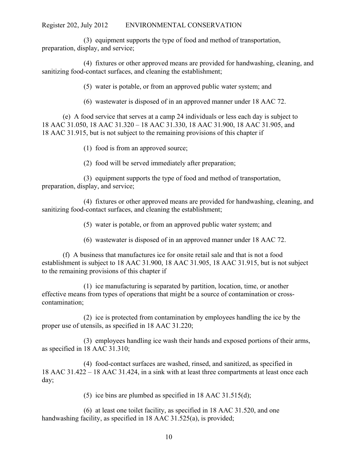(3) equipment supports the type of food and method of transportation, preparation, display, and service;

 (4) fixtures or other approved means are provided for handwashing, cleaning, and sanitizing food-contact surfaces, and cleaning the establishment;

(5) water is potable, or from an approved public water system; and

(6) wastewater is disposed of in an approved manner under 18 AAC 72.

(e) A food service that serves at a camp 24 individuals or less each day is subject to 18 AAC 31.050, 18 AAC 31.320 – 18 AAC 31.330, 18 AAC 31.900, 18 AAC 31.905, and 18 AAC 31.915, but is not subject to the remaining provisions of this chapter if

(1) food is from an approved source;

(2) food will be served immediately after preparation;

 (3) equipment supports the type of food and method of transportation, preparation, display, and service;

 (4) fixtures or other approved means are provided for handwashing, cleaning, and sanitizing food-contact surfaces, and cleaning the establishment;

(5) water is potable, or from an approved public water system; and

(6) wastewater is disposed of in an approved manner under 18 AAC 72.

(f) A business that manufactures ice for onsite retail sale and that is not a food establishment is subject to 18 AAC 31.900, 18 AAC 31.905, 18 AAC 31.915, but is not subject to the remaining provisions of this chapter if

(1) ice manufacturing is separated by partition, location, time, or another effective means from types of operations that might be a source of contamination or crosscontamination;

(2) ice is protected from contamination by employees handling the ice by the proper use of utensils, as specified in 18 AAC 31.220;

(3) employees handling ice wash their hands and exposed portions of their arms, as specified in 18 AAC 31.310;

(4) food-contact surfaces are washed, rinsed, and sanitized, as specified in 18 AAC 31.422 – 18 AAC 31.424, in a sink with at least three compartments at least once each day;

(5) ice bins are plumbed as specified in 18 AAC 31.515(d);

(6) at least one toilet facility, as specified in 18 AAC 31.520, and one handwashing facility, as specified in 18 AAC 31.525(a), is provided;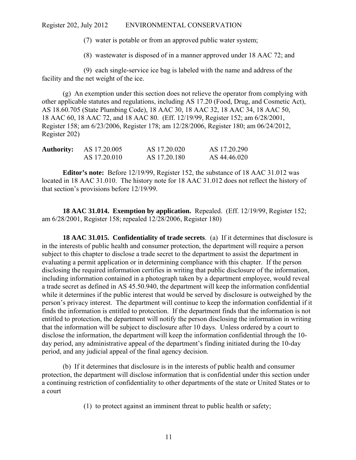(7) water is potable or from an approved public water system;

(8) wastewater is disposed of in a manner approved under 18 AAC 72; and

(9) each single-service ice bag is labeled with the name and address of the facility and the net weight of the ice.

(g) An exemption under this section does not relieve the operator from complying with other applicable statutes and regulations, including AS 17.20 (Food, Drug, and Cosmetic Act), AS 18.60.705 (State Plumbing Code), 18 AAC 30, 18 AAC 32, 18 AAC 34, 18 AAC 50, 18 AAC 60, 18 AAC 72, and 18 AAC 80. (Eff. 12/19/99, Register 152; am 6/28/2001, Register 158; am 6/23/2006, Register 178; am 12/28/2006, Register 180; am 06/24/2012, Register 202)

| <b>Authority:</b> | AS 17.20.005 | AS 17.20.020 | AS 17.20.290 |
|-------------------|--------------|--------------|--------------|
|                   | AS 17.20.010 | AS 17.20.180 | AS 44.46.020 |

**Editor's note:** Before 12/19/99, Register 152, the substance of 18 AAC 31.012 was located in 18 AAC 31.010. The history note for 18 AAC 31.012 does not reflect the history of that section's provisions before 12/19/99.

**18 AAC 31.014. Exemption by application.** Repealed. (Eff. 12/19/99, Register 152; am 6/28/2001, Register 158; repealed 12/28/2006, Register 180)

**18 AAC 31.015. Confidentiality of trade secrets**. (a) If it determines that disclosure is in the interests of public health and consumer protection, the department will require a person subject to this chapter to disclose a trade secret to the department to assist the department in evaluating a permit application or in determining compliance with this chapter. If the person disclosing the required information certifies in writing that public disclosure of the information, including information contained in a photograph taken by a department employee, would reveal a trade secret as defined in AS 45.50.940, the department will keep the information confidential while it determines if the public interest that would be served by disclosure is outweighed by the person's privacy interest. The department will continue to keep the information confidential if it finds the information is entitled to protection. If the department finds that the information is not entitled to protection, the department will notify the person disclosing the information in writing that the information will be subject to disclosure after 10 days. Unless ordered by a court to disclose the information, the department will keep the information confidential through the 10 day period, any administrative appeal of the department's finding initiated during the 10-day period, and any judicial appeal of the final agency decision.

(b) If it determines that disclosure is in the interests of public health and consumer protection, the department will disclose information that is confidential under this section under a continuing restriction of confidentiality to other departments of the state or United States or to a court

(1) to protect against an imminent threat to public health or safety;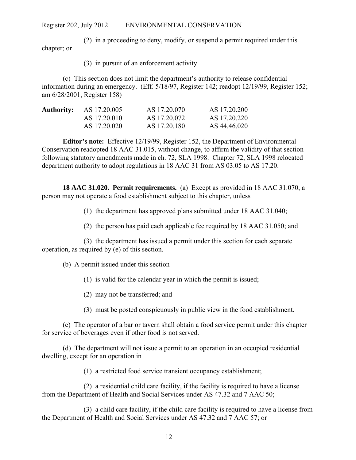(2) in a proceeding to deny, modify, or suspend a permit required under this chapter; or

(3) in pursuit of an enforcement activity.

(c) This section does not limit the department's authority to release confidential information during an emergency. (Eff. 5/18/97, Register 142; readopt 12/19/99, Register 152; am 6/28/2001, Register 158)

| <b>Authority:</b> | AS 17.20.005 | AS 17.20.070 | AS 17.20.200 |
|-------------------|--------------|--------------|--------------|
|                   | AS 17.20.010 | AS 17.20.072 | AS 17.20.220 |
|                   | AS 17.20.020 | AS 17.20.180 | AS 44.46.020 |

**Editor's note:** Effective 12/19/99, Register 152, the Department of Environmental Conservation readopted 18 AAC 31.015, without change, to affirm the validity of that section following statutory amendments made in ch. 72, SLA 1998. Chapter 72, SLA 1998 relocated department authority to adopt regulations in 18 AAC 31 from AS 03.05 to AS 17.20.

**18 AAC 31.020. Permit requirements.** (a) Except as provided in 18 AAC 31.070, a person may not operate a food establishment subject to this chapter, unless

(1) the department has approved plans submitted under 18 AAC 31.040;

(2) the person has paid each applicable fee required by 18 AAC 31.050; and

(3) the department has issued a permit under this section for each separate operation, as required by (e) of this section.

(b) A permit issued under this section

(1) is valid for the calendar year in which the permit is issued;

(2) may not be transferred; and

(3) must be posted conspicuously in public view in the food establishment.

(c) The operator of a bar or tavern shall obtain a food service permit under this chapter for service of beverages even if other food is not served.

(d) The department will not issue a permit to an operation in an occupied residential dwelling, except for an operation in

(1) a restricted food service transient occupancy establishment;

(2) a residential child care facility, if the facility is required to have a license from the Department of Health and Social Services under AS 47.32 and 7 AAC 50;

(3) a child care facility, if the child care facility is required to have a license from the Department of Health and Social Services under AS 47.32 and 7 AAC 57; or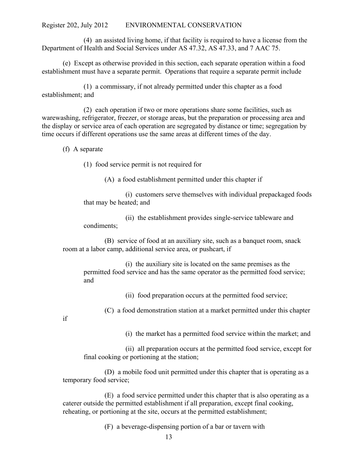(4) an assisted living home, if that facility is required to have a license from the Department of Health and Social Services under AS 47.32, AS 47.33, and 7 AAC 75.

(e) Except as otherwise provided in this section, each separate operation within a food establishment must have a separate permit. Operations that require a separate permit include

(1) a commissary, if not already permitted under this chapter as a food establishment; and

(2) each operation if two or more operations share some facilities, such as warewashing, refrigerator, freezer, or storage areas, but the preparation or processing area and the display or service area of each operation are segregated by distance or time; segregation by time occurs if different operations use the same areas at different times of the day.

(f) A separate

(1) food service permit is not required for

(A) a food establishment permitted under this chapter if

(i) customers serve themselves with individual prepackaged foods that may be heated; and

(ii) the establishment provides single-service tableware and condiments;

(B) service of food at an auxiliary site, such as a banquet room, snack room at a labor camp, additional service area, or pushcart, if

(i) the auxiliary site is located on the same premises as the permitted food service and has the same operator as the permitted food service; and

(ii) food preparation occurs at the permitted food service;

(C) a food demonstration station at a market permitted under this chapter

if

(i) the market has a permitted food service within the market; and

(ii) all preparation occurs at the permitted food service, except for final cooking or portioning at the station;

(D) a mobile food unit permitted under this chapter that is operating as a temporary food service;

(E) a food service permitted under this chapter that is also operating as a caterer outside the permitted establishment if all preparation, except final cooking, reheating, or portioning at the site, occurs at the permitted establishment;

(F) a beverage-dispensing portion of a bar or tavern with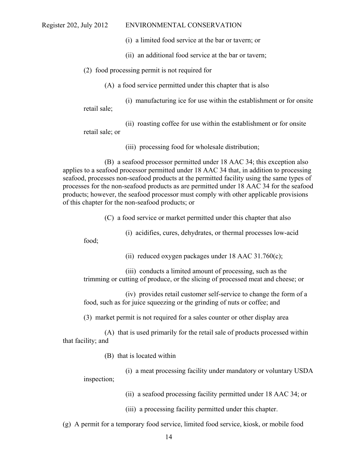(i) a limited food service at the bar or tavern; or

- (ii) an additional food service at the bar or tavern;
- (2) food processing permit is not required for

(A) a food service permitted under this chapter that is also

(i) manufacturing ice for use within the establishment or for onsite retail sale;

(ii) roasting coffee for use within the establishment or for onsite retail sale; or

(iii) processing food for wholesale distribution;

(B) a seafood processor permitted under 18 AAC 34; this exception also applies to a seafood processor permitted under 18 AAC 34 that, in addition to processing seafood, processes non-seafood products at the permitted facility using the same types of processes for the non-seafood products as are permitted under 18 AAC 34 for the seafood products; however, the seafood processor must comply with other applicable provisions of this chapter for the non-seafood products; or

(C) a food service or market permitted under this chapter that also

(i) acidifies, cures, dehydrates, or thermal processes low-acid

food;

(ii) reduced oxygen packages under  $18$  AAC  $31.760(c)$ ;

(iii) conducts a limited amount of processing, such as the trimming or cutting of produce, or the slicing of processed meat and cheese; or

(iv) provides retail customer self-service to change the form of a food, such as for juice squeezing or the grinding of nuts or coffee; and

(3) market permit is not required for a sales counter or other display area

(A) that is used primarily for the retail sale of products processed within that facility; and

(B) that is located within

(i) a meat processing facility under mandatory or voluntary USDA inspection;

(ii) a seafood processing facility permitted under 18 AAC 34; or

(iii) a processing facility permitted under this chapter.

(g) A permit for a temporary food service, limited food service, kiosk, or mobile food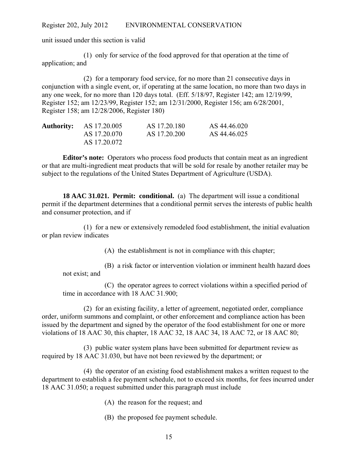unit issued under this section is valid

(1) only for service of the food approved for that operation at the time of application; and

(2) for a temporary food service, for no more than 21 consecutive days in conjunction with a single event, or, if operating at the same location, no more than two days in any one week, for no more than 120 days total. (Eff. 5/18/97, Register 142; am 12/19/99, Register 152; am 12/23/99, Register 152; am 12/31/2000, Register 156; am 6/28/2001, Register 158; am 12/28/2006, Register 180)

| <b>Authority:</b> AS 17.20.005 | AS 17.20.180 | AS 44.46.020 |
|--------------------------------|--------------|--------------|
| AS 17.20.070                   | AS 17.20.200 | AS 44.46.025 |
| AS 17.20.072                   |              |              |

**Editor's note:** Operators who process food products that contain meat as an ingredient or that are multi-ingredient meat products that will be sold for resale by another retailer may be subject to the regulations of the United States Department of Agriculture (USDA).

**18 AAC 31.021. Permit: conditional.** (a) The department will issue a conditional permit if the department determines that a conditional permit serves the interests of public health and consumer protection, and if

(1) for a new or extensively remodeled food establishment, the initial evaluation or plan review indicates

(A) the establishment is not in compliance with this chapter;

(B) a risk factor or intervention violation or imminent health hazard does not exist; and

(C) the operator agrees to correct violations within a specified period of time in accordance with 18 AAC 31.900;

(2) for an existing facility, a letter of agreement, negotiated order, compliance order, uniform summons and complaint, or other enforcement and compliance action has been issued by the department and signed by the operator of the food establishment for one or more violations of 18 AAC 30, this chapter, 18 AAC 32, 18 AAC 34, 18 AAC 72, or 18 AAC 80;

(3) public water system plans have been submitted for department review as required by 18 AAC 31.030, but have not been reviewed by the department; or

(4) the operator of an existing food establishment makes a written request to the department to establish a fee payment schedule, not to exceed six months, for fees incurred under 18 AAC 31.050; a request submitted under this paragraph must include

- (A) the reason for the request; and
- (B) the proposed fee payment schedule.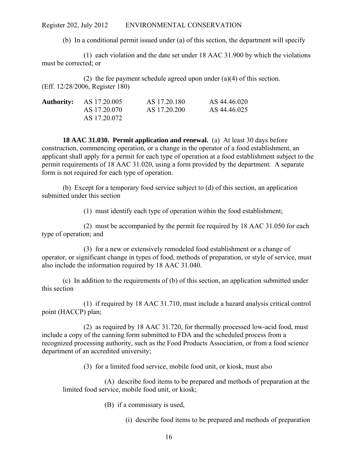(b) In a conditional permit issued under (a) of this section, the department will specify

(1) each violation and the date set under 18 AAC 31.900 by which the violations must be corrected; or

(2) the fee payment schedule agreed upon under (a)(4) of this section. (Eff. 12/28/2006, Register 180)

| <b>Authority:</b> AS 17.20.005 | AS 17.20.180 | AS 44.46.020 |
|--------------------------------|--------------|--------------|
| AS 17.20.070                   | AS 17.20.200 | AS 44.46.025 |
| AS 17.20.072                   |              |              |

**18 AAC 31.030. Permit application and renewal.** (a) At least 30 days before construction, commencing operation, or a change in the operator of a food establishment, an applicant shall apply for a permit for each type of operation at a food establishment subject to the permit requirements of 18 AAC 31.020, using a form provided by the department. A separate form is not required for each type of operation.

(b) Except for a temporary food service subject to (d) of this section, an application submitted under this section

(1) must identify each type of operation within the food establishment;

(2) must be accompanied by the permit fee required by 18 AAC 31.050 for each type of operation; and

(3) for a new or extensively remodeled food establishment or a change of operator, or significant change in types of food, methods of preparation, or style of service, must also include the information required by 18 AAC 31.040.

(c) In addition to the requirements of (b) of this section, an application submitted under this section

(1) if required by 18 AAC 31.710, must include a hazard analysis critical control point (HACCP) plan;

(2) as required by 18 AAC 31.720, for thermally processed low-acid food, must include a copy of the canning form submitted to FDA and the scheduled process from a recognized processing authority, such as the Food Products Association, or from a food science department of an accredited university;

(3) for a limited food service, mobile food unit, or kiosk, must also

(A) describe food items to be prepared and methods of preparation at the limited food service, mobile food unit, or kiosk;

(B) if a commissary is used,

(i) describe food items to be prepared and methods of preparation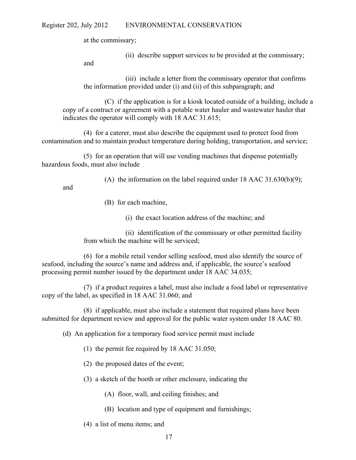at the commissary;

(ii) describe support services to be provided at the commissary;

and

(iii) include a letter from the commissary operator that confirms the information provided under (i) and (ii) of this subparagraph; and

(C) if the application is for a kiosk located outside of a building, include a copy of a contract or agreement with a potable water hauler and wastewater hauler that indicates the operator will comply with 18 AAC 31.615;

(4) for a caterer, must also describe the equipment used to protect food from contamination and to maintain product temperature during holding, transportation, and service;

(5) for an operation that will use vending machines that dispense potentially hazardous foods, must also include

(A) the information on the label required under 18 AAC 31.630(b)(9);

and

- (B) for each machine,
	- (i) the exact location address of the machine; and

(ii) identification of the commissary or other permitted facility from which the machine will be serviced;

(6) for a mobile retail vendor selling seafood, must also identify the source of seafood, including the source's name and address and, if applicable, the source's seafood processing permit number issued by the department under 18 AAC 34.035;

(7) if a product requires a label, must also include a food label or representative copy of the label, as specified in 18 AAC 31.060; and

(8) if applicable, must also include a statement that required plans have been submitted for department review and approval for the public water system under 18 AAC 80.

(d) An application for a temporary food service permit must include

- (1) the permit fee required by 18 AAC 31.050;
- (2) the proposed dates of the event;
- (3) a sketch of the booth or other enclosure, indicating the
	- (A) floor, wall, and ceiling finishes; and
	- (B) location and type of equipment and furnishings;
- (4) a list of menu items; and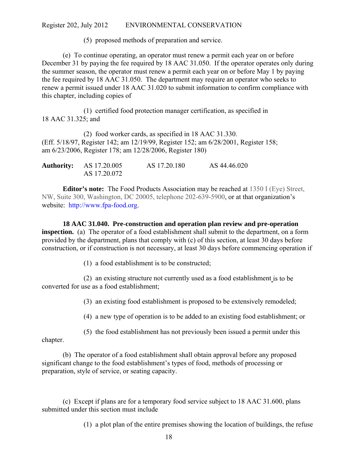(5) proposed methods of preparation and service.

(e) To continue operating, an operator must renew a permit each year on or before December 31 by paying the fee required by 18 AAC 31.050. If the operator operates only during the summer season, the operator must renew a permit each year on or before May 1 by paying the fee required by 18 AAC 31.050. The department may require an operator who seeks to renew a permit issued under 18 AAC 31.020 to submit information to confirm compliance with this chapter, including copies of

(1) certified food protection manager certification, as specified in 18 AAC 31.325; and

(2) food worker cards, as specified in 18 AAC 31.330. (Eff. 5/18/97, Register 142; am 12/19/99, Register 152; am 6/28/2001, Register 158; am 6/23/2006, Register 178; am 12/28/2006, Register 180)

| <b>Authority:</b> AS 17.20.005 | AS 17.20.180 | AS 44.46.020 |
|--------------------------------|--------------|--------------|
| AS 17.20.072                   |              |              |

**Editor's note:** The Food Products Association may be reached at 1350 I (Eye) Street, NW, Suite 300, Washington, DC 20005, telephone 202-639-5900, or at that organization's website: http://www.fpa-food.org.

**18 AAC 31.040. Pre-construction and operation plan review and pre-operation inspection.** (a) The operator of a food establishment shall submit to the department, on a form provided by the department, plans that comply with (c) of this section, at least 30 days before construction, or if construction is not necessary, at least 30 days before commencing operation if

(1) a food establishment is to be constructed;

(2) an existing structure not currently used as a food establishment is to be converted for use as a food establishment;

(3) an existing food establishment is proposed to be extensively remodeled;

(4) a new type of operation is to be added to an existing food establishment; or

(5) the food establishment has not previously been issued a permit under this chapter.

(b) The operator of a food establishment shall obtain approval before any proposed significant change to the food establishment's types of food, methods of processing or preparation, style of service, or seating capacity.

(c) Except if plans are for a temporary food service subject to 18 AAC 31.600, plans submitted under this section must include

(1) a plot plan of the entire premises showing the location of buildings, the refuse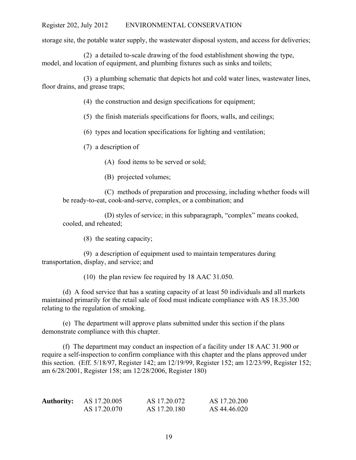storage site, the potable water supply, the wastewater disposal system, and access for deliveries;

(2) a detailed to-scale drawing of the food establishment showing the type, model, and location of equipment, and plumbing fixtures such as sinks and toilets;

(3) a plumbing schematic that depicts hot and cold water lines, wastewater lines, floor drains, and grease traps;

(4) the construction and design specifications for equipment;

(5) the finish materials specifications for floors, walls, and ceilings;

(6) types and location specifications for lighting and ventilation;

(7) a description of

(A) food items to be served or sold;

(B) projected volumes;

(C) methods of preparation and processing, including whether foods will be ready-to-eat, cook-and-serve, complex, or a combination; and

(D) styles of service; in this subparagraph, "complex" means cooked, cooled, and reheated;

(8) the seating capacity;

(9) a description of equipment used to maintain temperatures during transportation, display, and service; and

(10) the plan review fee required by 18 AAC 31.050.

(d) A food service that has a seating capacity of at least 50 individuals and all markets maintained primarily for the retail sale of food must indicate compliance with AS 18.35.300 relating to the regulation of smoking.

(e) The department will approve plans submitted under this section if the plans demonstrate compliance with this chapter.

(f) The department may conduct an inspection of a facility under 18 AAC 31.900 or require a self-inspection to confirm compliance with this chapter and the plans approved under this section. (Eff. 5/18/97, Register 142; am 12/19/99, Register 152; am 12/23/99, Register 152; am 6/28/2001, Register 158; am 12/28/2006, Register 180)

| <b>Authority:</b> | AS 17.20.005 | AS 17.20.072 | AS 17.20.200 |
|-------------------|--------------|--------------|--------------|
|                   | AS 17.20.070 | AS 17.20.180 | AS 44.46.020 |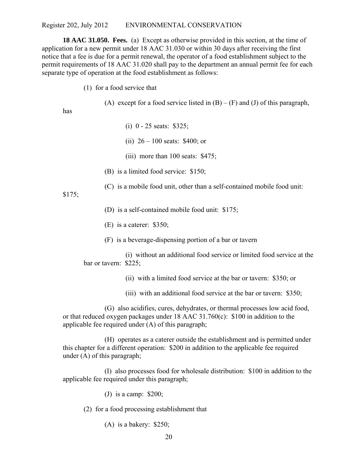**18 AAC 31.050. Fees.** (a) Except as otherwise provided in this section, at the time of application for a new permit under 18 AAC 31.030 or within 30 days after receiving the first notice that a fee is due for a permit renewal, the operator of a food establishment subject to the permit requirements of 18 AAC 31.020 shall pay to the department an annual permit fee for each separate type of operation at the food establishment as follows:

(1) for a food service that

(A) except for a food service listed in  $(B) - (F)$  and  $(J)$  of this paragraph,

has

- (i) 0 25 seats: \$325;
- (ii) 26 100 seats: \$400; or
- (iii) more than 100 seats: \$475;
- (B) is a limited food service: \$150;
- (C) is a mobile food unit, other than a self-contained mobile food unit:

\$175;

(D) is a self-contained mobile food unit: \$175;

- (E) is a caterer: \$350;
- (F) is a beverage-dispensing portion of a bar or tavern

(i) without an additional food service or limited food service at the bar or tavern: \$225;

- (ii) with a limited food service at the bar or tavern: \$350; or
- (iii) with an additional food service at the bar or tavern: \$350;

(G) also acidifies, cures, dehydrates, or thermal processes low acid food, or that reduced oxygen packages under 18 AAC 31.760(c): \$100 in addition to the applicable fee required under (A) of this paragraph;

(H) operates as a caterer outside the establishment and is permitted under this chapter for a different operation: \$200 in addition to the applicable fee required under (A) of this paragraph;

(I) also processes food for wholesale distribution: \$100 in addition to the applicable fee required under this paragraph;

(J) is a camp: \$200;

(2) for a food processing establishment that

(A) is a bakery: \$250;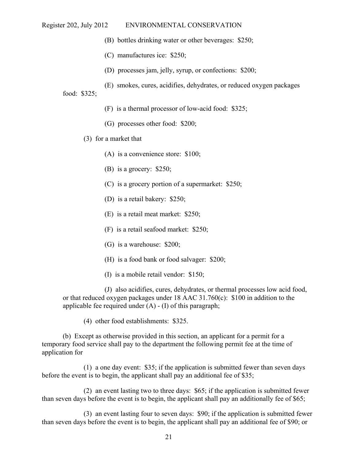- (B) bottles drinking water or other beverages: \$250;
- (C) manufactures ice: \$250;
- (D) processes jam, jelly, syrup, or confections: \$200;
- (E) smokes, cures, acidifies, dehydrates, or reduced oxygen packages

food: \$325;

- (F) is a thermal processor of low-acid food: \$325;
- (G) processes other food: \$200;
- (3) for a market that
	- (A) is a convenience store: \$100;
	- (B) is a grocery: \$250;
	- (C) is a grocery portion of a supermarket: \$250;
	- (D) is a retail bakery: \$250;
	- (E) is a retail meat market: \$250;
	- (F) is a retail seafood market: \$250;
	- (G) is a warehouse: \$200;
	- (H) is a food bank or food salvager: \$200;
	- (I) is a mobile retail vendor: \$150;

(J) also acidifies, cures, dehydrates, or thermal processes low acid food, or that reduced oxygen packages under 18 AAC 31.760(c): \$100 in addition to the applicable fee required under  $(A) - (I)$  of this paragraph;

(4) other food establishments: \$325.

(b) Except as otherwise provided in this section, an applicant for a permit for a temporary food service shall pay to the department the following permit fee at the time of application for

(1) a one day event: \$35; if the application is submitted fewer than seven days before the event is to begin, the applicant shall pay an additional fee of \$35;

(2) an event lasting two to three days: \$65; if the application is submitted fewer than seven days before the event is to begin, the applicant shall pay an additionally fee of \$65;

(3) an event lasting four to seven days: \$90; if the application is submitted fewer than seven days before the event is to begin, the applicant shall pay an additional fee of \$90; or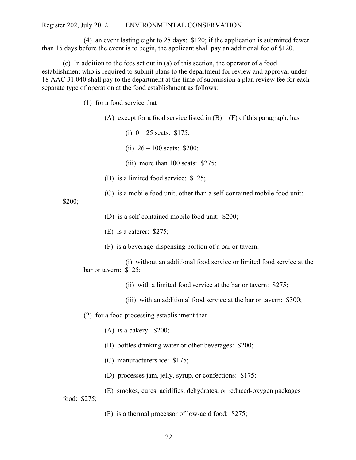(4) an event lasting eight to 28 days: \$120; if the application is submitted fewer than 15 days before the event is to begin, the applicant shall pay an additional fee of \$120.

(c) In addition to the fees set out in (a) of this section, the operator of a food establishment who is required to submit plans to the department for review and approval under 18 AAC 31.040 shall pay to the department at the time of submission a plan review fee for each separate type of operation at the food establishment as follows:

(1) for a food service that

(A) except for a food service listed in  $(B) - (F)$  of this paragraph, has

- (i)  $0 25$  seats: \$175;
- (ii)  $26 100$  seats: \$200;
- (iii) more than 100 seats: \$275;
- (B) is a limited food service: \$125;
- (C) is a mobile food unit, other than a self-contained mobile food unit:

\$200;

- (D) is a self-contained mobile food unit: \$200;
- (E) is a caterer: \$275;
- (F) is a beverage-dispensing portion of a bar or tavern:

(i) without an additional food service or limited food service at the bar or tavern: \$125;

- (ii) with a limited food service at the bar or tavern: \$275;
- (iii) with an additional food service at the bar or tavern: \$300;
- (2) for a food processing establishment that
	- (A) is a bakery: \$200;
	- (B) bottles drinking water or other beverages: \$200;
	- (C) manufacturers ice: \$175;
	- (D) processes jam, jelly, syrup, or confections: \$175;
- (E) smokes, cures, acidifies, dehydrates, or reduced-oxygen packages food: \$275;

(F) is a thermal processor of low-acid food: \$275;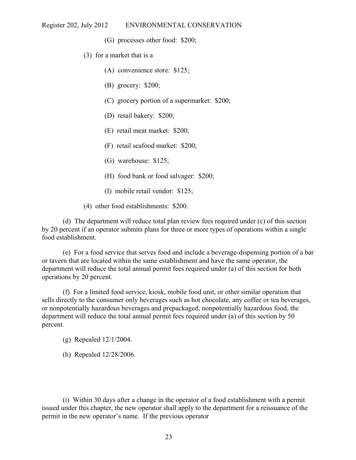- (G) processes other food: \$200;
- (3) for a market that is a
	- (A) convenience store: \$125;
	- (B) grocery: \$200;
	- (C) grocery portion of a supermarket: \$200;
	- (D) retail bakery: \$200;
	- (E) retail meat market: \$200;
	- (F) retail seafood market: \$200;
	- (G) warehouse: \$125;
	- (H) food bank or food salvager: \$200;
	- (I) mobile retail vendor: \$125;
- (4) other food establishments: \$200.

(d) The department will reduce total plan review fees required under (c) of this section by 20 percent if an operator submits plans for three or more types of operations within a single food establishment.

(e) For a food service that serves food and include a beverage-dispensing portion of a bar or tavern that are located within the same establishment and have the same operator, the department will reduce the total annual permit fees required under (a) of this section for both operations by 20 percent.

(f) For a limited food service, kiosk, mobile food unit, or other similar operation that sells directly to the consumer only beverages such as hot chocolate, any coffee or tea beverages, or nonpotentially hazardous beverages and prepackaged, nonpotentially hazardous food, the department will reduce the total annual permit fees required under (a) of this section by 50 percent.

- (g) Repealed 12/1/2004.
- (h) Repealed 12/28/2006.

(i) Within 30 days after a change in the operator of a food establishment with a permit issued under this chapter, the new operator shall apply to the department for a reissuance of the permit in the new operator's name. If the previous operator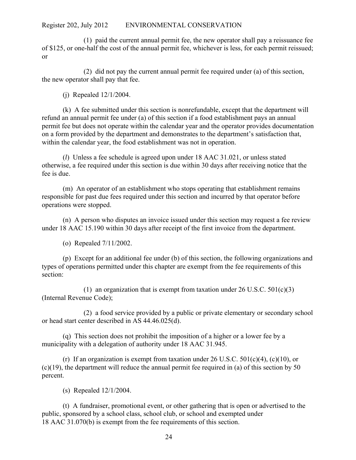(1) paid the current annual permit fee, the new operator shall pay a reissuance fee of \$125, or one-half the cost of the annual permit fee, whichever is less, for each permit reissued; or

(2) did not pay the current annual permit fee required under (a) of this section, the new operator shall pay that fee.

(j) Repealed 12/1/2004.

(k) A fee submitted under this section is nonrefundable, except that the department will refund an annual permit fee under (a) of this section if a food establishment pays an annual permit fee but does not operate within the calendar year and the operator provides documentation on a form provided by the department and demonstrates to the department's satisfaction that, within the calendar year, the food establishment was not in operation.

(*l*) Unless a fee schedule is agreed upon under 18 AAC 31.021, or unless stated otherwise, a fee required under this section is due within 30 days after receiving notice that the fee is due.

(m) An operator of an establishment who stops operating that establishment remains responsible for past due fees required under this section and incurred by that operator before operations were stopped.

(n) A person who disputes an invoice issued under this section may request a fee review under 18 AAC 15.190 within 30 days after receipt of the first invoice from the department.

(o) Repealed 7/11/2002.

(p) Except for an additional fee under (b) of this section, the following organizations and types of operations permitted under this chapter are exempt from the fee requirements of this section:

(1) an organization that is exempt from taxation under  $26 \text{ U.S.C. } 501 \text{ (c)}(3)$ (Internal Revenue Code);

(2) a food service provided by a public or private elementary or secondary school or head start center described in AS 44.46.025(d).

(q) This section does not prohibit the imposition of a higher or a lower fee by a municipality with a delegation of authority under 18 AAC 31.945.

(r) If an organization is exempt from taxation under 26 U.S.C.  $501(c)(4)$ ,  $(c)(10)$ , or  $(c)(19)$ , the department will reduce the annual permit fee required in (a) of this section by 50 percent.

(s) Repealed 12/1/2004.

(t) A fundraiser, promotional event, or other gathering that is open or advertised to the public, sponsored by a school class, school club, or school and exempted under 18 AAC 31.070(b) is exempt from the fee requirements of this section.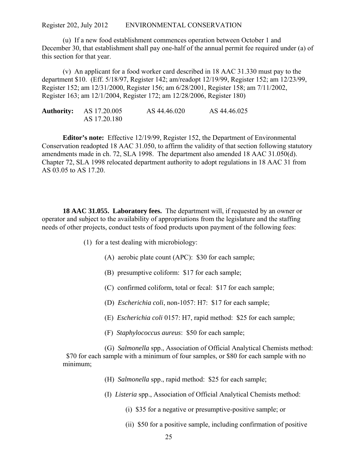(u) If a new food establishment commences operation between October 1 and December 30, that establishment shall pay one-half of the annual permit fee required under (a) of this section for that year.

(v) An applicant for a food worker card described in 18 AAC 31.330 must pay to the department \$10. (Eff. 5/18/97, Register 142; am/readopt 12/19/99, Register 152; am 12/23/99, Register 152; am 12/31/2000, Register 156; am 6/28/2001, Register 158; am 7/11/2002, Register 163; am 12/1/2004, Register 172; am 12/28/2006, Register 180)

| <b>Authority:</b> AS 17.20.005 | AS 44.46.020 | AS 44.46.025 |
|--------------------------------|--------------|--------------|
| AS 17.20.180                   |              |              |

**Editor's note:** Effective 12/19/99, Register 152, the Department of Environmental Conservation readopted 18 AAC 31.050, to affirm the validity of that section following statutory amendments made in ch. 72, SLA 1998. The department also amended 18 AAC 31.050(d). Chapter 72, SLA 1998 relocated department authority to adopt regulations in 18 AAC 31 from AS 03.05 to AS 17.20.

**18 AAC 31.055. Laboratory fees.** The department will, if requested by an owner or operator and subject to the availability of appropriations from the legislature and the staffing needs of other projects, conduct tests of food products upon payment of the following fees:

- (1) for a test dealing with microbiology:
	- (A) aerobic plate count (APC): \$30 for each sample;
	- (B) presumptive coliform: \$17 for each sample;
	- (C) confirmed coliform, total or fecal: \$17 for each sample;
	- (D) *Escherichia coli*, non-1057: H7: \$17 for each sample;
	- (E) *Escherichia coli* 0157: H7, rapid method: \$25 for each sample;
	- (F) *Staphylococcus aureus*: \$50 for each sample;

(G) *Salmonella* spp., Association of Official Analytical Chemists method: \$70 for each sample with a minimum of four samples, or \$80 for each sample with no minimum;

- (H) *Salmonella* spp., rapid method: \$25 for each sample;
- (I) *Listeria* spp., Association of Official Analytical Chemists method:
	- (i) \$35 for a negative or presumptive-positive sample; or
	- (ii) \$50 for a positive sample, including confirmation of positive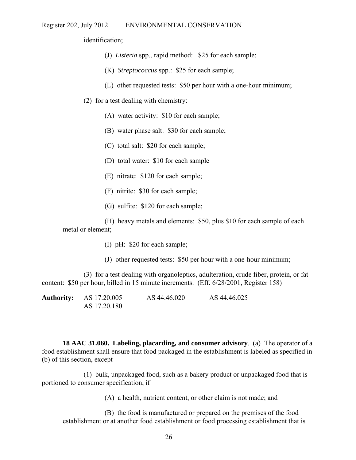identification;

- (J) *Listeria* spp., rapid method: \$25 for each sample;
- (K) *Streptococcus* spp.: \$25 for each sample;
- (L) other requested tests: \$50 per hour with a one-hour minimum;
- (2) for a test dealing with chemistry:
	- (A) water activity: \$10 for each sample;
	- (B) water phase salt: \$30 for each sample;
	- (C) total salt: \$20 for each sample;
	- (D) total water: \$10 for each sample
	- (E) nitrate: \$120 for each sample;
	- (F) nitrite: \$30 for each sample;
	- (G) sulfite: \$120 for each sample;

(H) heavy metals and elements: \$50, plus \$10 for each sample of each metal or element;

- (I) pH: \$20 for each sample;
- (J) other requested tests: \$50 per hour with a one-hour minimum;

(3) for a test dealing with organoleptics, adulteration, crude fiber, protein, or fat content: \$50 per hour, billed in 15 minute increments. (Eff. 6/28/2001, Register 158)

| <b>Authority:</b> AS 17.20.005 | AS 44.46.020 | AS 44.46.025 |
|--------------------------------|--------------|--------------|
| AS 17.20.180                   |              |              |

**18 AAC 31.060. Labeling, placarding, and consumer advisory**. (a) The operator of a food establishment shall ensure that food packaged in the establishment is labeled as specified in (b) of this section, except

(1) bulk, unpackaged food, such as a bakery product or unpackaged food that is portioned to consumer specification, if

(A) a health, nutrient content, or other claim is not made; and

(B) the food is manufactured or prepared on the premises of the food establishment or at another food establishment or food processing establishment that is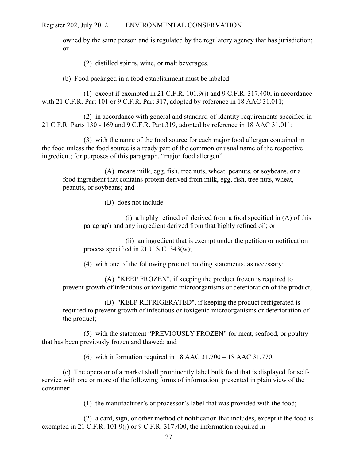owned by the same person and is regulated by the regulatory agency that has jurisdiction; or

(2) distilled spirits, wine, or malt beverages.

(b) Food packaged in a food establishment must be labeled

(1) except if exempted in 21 C.F.R. 101.9(j) and 9 C.F.R. 317.400, in accordance with 21 C.F.R. Part 101 or 9 C.F.R. Part 317, adopted by reference in 18 AAC 31.011;

(2) in accordance with general and standard-of-identity requirements specified in 21 C.F.R. Parts 130 - 169 and 9 C.F.R. Part 319, adopted by reference in 18 AAC 31.011;

(3) with the name of the food source for each major food allergen contained in the food unless the food source is already part of the common or usual name of the respective ingredient; for purposes of this paragraph, "major food allergen"

(A) means milk, egg, fish, tree nuts, wheat, peanuts, or soybeans, or a food ingredient that contains protein derived from milk, egg, fish, tree nuts, wheat, peanuts, or soybeans; and

(B) does not include

(i) a highly refined oil derived from a food specified in (A) of this paragraph and any ingredient derived from that highly refined oil; or

(ii) an ingredient that is exempt under the petition or notification process specified in 21 U.S.C. 343(w);

(4) with one of the following product holding statements, as necessary:

(A) "KEEP FROZEN", if keeping the product frozen is required to prevent growth of infectious or toxigenic microorganisms or deterioration of the product;

(B) "KEEP REFRIGERATED", if keeping the product refrigerated is required to prevent growth of infectious or toxigenic microorganisms or deterioration of the product;

(5) with the statement "PREVIOUSLY FROZEN" for meat, seafood, or poultry that has been previously frozen and thawed; and

(6) with information required in 18 AAC 31.700 – 18 AAC 31.770.

(c) The operator of a market shall prominently label bulk food that is displayed for selfservice with one or more of the following forms of information, presented in plain view of the consumer:

(1) the manufacturer's or processor's label that was provided with the food;

(2) a card, sign, or other method of notification that includes, except if the food is exempted in 21 C.F.R. 101.9(j) or 9 C.F.R. 317.400, the information required in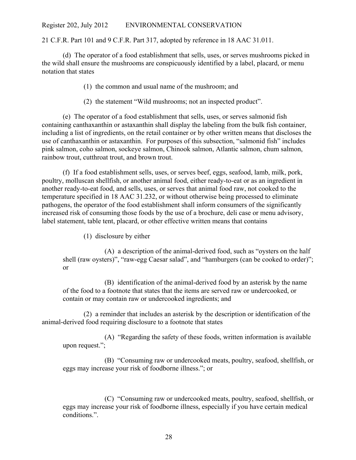21 C.F.R. Part 101 and 9 C.F.R. Part 317, adopted by reference in 18 AAC 31.011.

(d) The operator of a food establishment that sells, uses, or serves mushrooms picked in the wild shall ensure the mushrooms are conspicuously identified by a label, placard, or menu notation that states

(1) the common and usual name of the mushroom; and

(2) the statement "Wild mushrooms; not an inspected product".

(e) The operator of a food establishment that sells, uses, or serves salmonid fish containing canthaxanthin or astaxanthin shall display the labeling from the bulk fish container, including a list of ingredients, on the retail container or by other written means that discloses the use of canthaxanthin or astaxanthin. For purposes of this subsection, "salmonid fish" includes pink salmon, coho salmon, sockeye salmon, Chinook salmon, Atlantic salmon, chum salmon, rainbow trout, cutthroat trout, and brown trout.

(f) If a food establishment sells, uses, or serves beef, eggs, seafood, lamb, milk, pork, poultry, molluscan shellfish, or another animal food, either ready-to-eat or as an ingredient in another ready-to-eat food, and sells, uses, or serves that animal food raw, not cooked to the temperature specified in 18 AAC 31.232, or without otherwise being processed to eliminate pathogens, the operator of the food establishment shall inform consumers of the significantly increased risk of consuming those foods by the use of a brochure, deli case or menu advisory, label statement, table tent, placard, or other effective written means that contains

(1) disclosure by either

(A) a description of the animal-derived food, such as "oysters on the half shell (raw oysters)", "raw-egg Caesar salad", and "hamburgers (can be cooked to order)"; or

(B) identification of the animal-derived food by an asterisk by the name of the food to a footnote that states that the items are served raw or undercooked, or contain or may contain raw or undercooked ingredients; and

(2) a reminder that includes an asterisk by the description or identification of the animal-derived food requiring disclosure to a footnote that states

(A) "Regarding the safety of these foods, written information is available upon request.";

(B) "Consuming raw or undercooked meats, poultry, seafood, shellfish, or eggs may increase your risk of foodborne illness."; or

(C) "Consuming raw or undercooked meats, poultry, seafood, shellfish, or eggs may increase your risk of foodborne illness, especially if you have certain medical conditions.".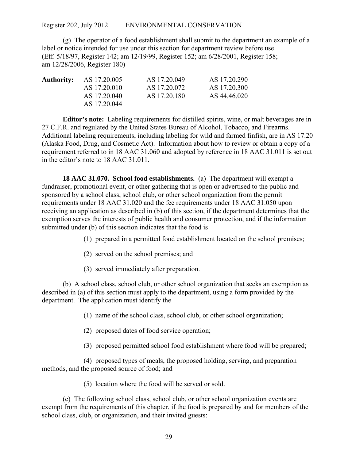(g) The operator of a food establishment shall submit to the department an example of a label or notice intended for use under this section for department review before use. (Eff. 5/18/97, Register 142; am 12/19/99, Register 152; am 6/28/2001, Register 158; am 12/28/2006, Register 180)

| <b>Authority:</b> | AS 17.20.005 | AS 17.20.049 | AS 17.20.290 |
|-------------------|--------------|--------------|--------------|
|                   | AS 17.20.010 | AS 17.20.072 | AS 17.20.300 |
|                   | AS 17.20.040 | AS 17.20.180 | AS 44.46.020 |
|                   | AS 17.20.044 |              |              |

**Editor's note:** Labeling requirements for distilled spirits, wine, or malt beverages are in 27 C.F.R. and regulated by the United States Bureau of Alcohol, Tobacco, and Firearms. Additional labeling requirements, including labeling for wild and farmed finfish, are in AS 17.20 (Alaska Food, Drug, and Cosmetic Act). Information about how to review or obtain a copy of a requirement referred to in 18 AAC 31.060 and adopted by reference in 18 AAC 31.011 is set out in the editor's note to 18 AAC 31.011.

**18 AAC 31.070. School food establishments.** (a) The department will exempt a fundraiser, promotional event, or other gathering that is open or advertised to the public and sponsored by a school class, school club, or other school organization from the permit requirements under 18 AAC 31.020 and the fee requirements under 18 AAC 31.050 upon receiving an application as described in (b) of this section, if the department determines that the exemption serves the interests of public health and consumer protection, and if the information submitted under (b) of this section indicates that the food is

(1) prepared in a permitted food establishment located on the school premises;

- (2) served on the school premises; and
- (3) served immediately after preparation.

(b) A school class, school club, or other school organization that seeks an exemption as described in (a) of this section must apply to the department, using a form provided by the department. The application must identify the

(1) name of the school class, school club, or other school organization;

(2) proposed dates of food service operation;

(3) proposed permitted school food establishment where food will be prepared;

(4) proposed types of meals, the proposed holding, serving, and preparation methods, and the proposed source of food; and

(5) location where the food will be served or sold.

(c) The following school class, school club, or other school organization events are exempt from the requirements of this chapter, if the food is prepared by and for members of the school class, club, or organization, and their invited guests: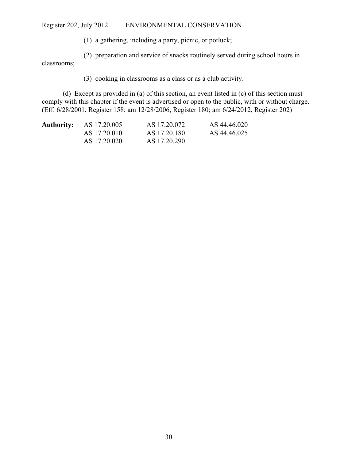(1) a gathering, including a party, picnic, or potluck;

(2) preparation and service of snacks routinely served during school hours in

classrooms;

(3) cooking in classrooms as a class or as a club activity.

(d) Except as provided in (a) of this section, an event listed in (c) of this section must comply with this chapter if the event is advertised or open to the public, with or without charge. (Eff. 6/28/2001, Register 158; am 12/28/2006, Register 180; am 6/24/2012, Register 202)

| <b>Authority:</b> | AS 17.20.005 | AS 17.20.072 | AS 44.46.020 |
|-------------------|--------------|--------------|--------------|
|                   | AS 17.20.010 | AS 17.20.180 | AS 44.46.025 |
|                   | AS 17.20.020 | AS 17.20.290 |              |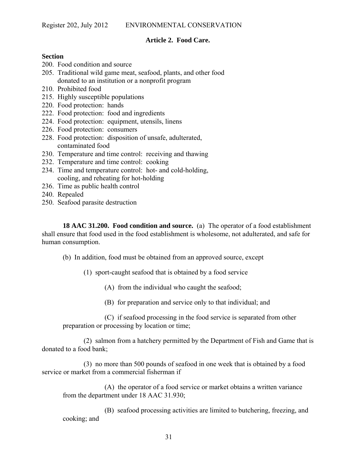# **Article 2. Food Care.**

#### **Section**

- 200. Food condition and source
- 205. Traditional wild game meat, seafood, plants, and other food donated to an institution or a nonprofit program
- 210. Prohibited food
- 215. Highly susceptible populations
- 220. Food protection: hands
- 222. Food protection: food and ingredients
- 224. Food protection: equipment, utensils, linens
- 226. Food protection: consumers
- 228. Food protection: disposition of unsafe, adulterated, contaminated food
- 230. Temperature and time control: receiving and thawing
- 232. Temperature and time control: cooking
- 234. Time and temperature control: hot- and cold-holding, cooling, and reheating for hot-holding
- 236. Time as public health control
- 240. Repealed
- 250. Seafood parasite destruction

**18 AAC 31.200. Food condition and source.** (a) The operator of a food establishment shall ensure that food used in the food establishment is wholesome, not adulterated, and safe for human consumption.

(b) In addition, food must be obtained from an approved source, except

(1) sport-caught seafood that is obtained by a food service

(A) from the individual who caught the seafood;

(B) for preparation and service only to that individual; and

(C) if seafood processing in the food service is separated from other preparation or processing by location or time;

(2) salmon from a hatchery permitted by the Department of Fish and Game that is donated to a food bank;

(3) no more than 500 pounds of seafood in one week that is obtained by a food service or market from a commercial fisherman if

(A) the operator of a food service or market obtains a written variance from the department under 18 AAC 31.930;

(B) seafood processing activities are limited to butchering, freezing, and cooking; and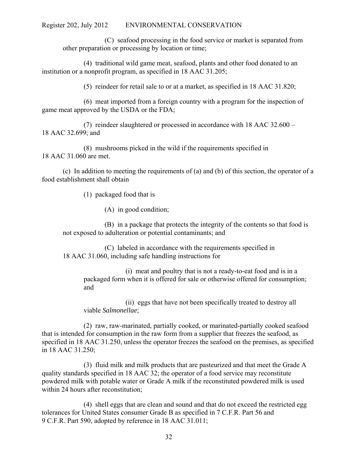(C) seafood processing in the food service or market is separated from other preparation or processing by location or time;

(4) traditional wild game meat, seafood, plants and other food donated to an institution or a nonprofit program, as specified in 18 AAC 31.205;

(5) reindeer for retail sale to or at a market, as specified in 18 AAC 31.820;

(6) meat imported from a foreign country with a program for the inspection of game meat approved by the USDA or the FDA;

(7) reindeer slaughtered or processed in accordance with 18 AAC 32.600 – 18 AAC 32.699; and

(8) mushrooms picked in the wild if the requirements specified in 18 AAC 31.060 are met.

(c) In addition to meeting the requirements of (a) and (b) of this section, the operator of a food establishment shall obtain

(1) packaged food that is

(A) in good condition;

(B) in a package that protects the integrity of the contents so that food is not exposed to adulteration or potential contaminants; and

(C) labeled in accordance with the requirements specified in 18 AAC 31.060, including safe handling instructions for

(i) meat and poultry that is not a ready-to-eat food and is in a packaged form when it is offered for sale or otherwise offered for consumption; and

(ii) eggs that have not been specifically treated to destroy all viable *Salmonellae*;

(2) raw, raw-marinated, partially cooked, or marinated-partially cooked seafood that is intended for consumption in the raw form from a supplier that freezes the seafood, as specified in 18 AAC 31.250, unless the operator freezes the seafood on the premises, as specified in 18 AAC 31.250;

(3) fluid milk and milk products that are pasteurized and that meet the Grade A quality standards specified in 18 AAC 32; the operator of a food service may reconstitute powdered milk with potable water or Grade A milk if the reconstituted powdered milk is used within 24 hours after reconstitution;

(4) shell eggs that are clean and sound and that do not exceed the restricted egg tolerances for United States consumer Grade B as specified in 7 C.F.R. Part 56 and 9 C.F.R. Part 590, adopted by reference in 18 AAC 31.011;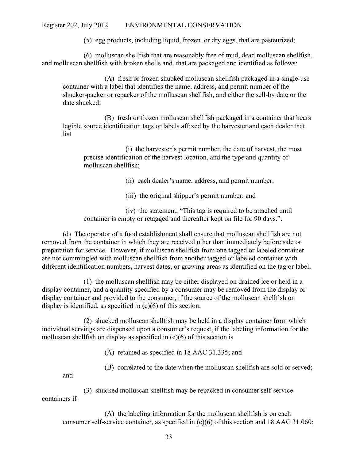(5) egg products, including liquid, frozen, or dry eggs, that are pasteurized;

(6) molluscan shellfish that are reasonably free of mud, dead molluscan shellfish, and molluscan shellfish with broken shells and, that are packaged and identified as follows:

(A) fresh or frozen shucked molluscan shellfish packaged in a single-use container with a label that identifies the name, address, and permit number of the shucker-packer or repacker of the molluscan shellfish, and either the sell-by date or the date shucked;

(B) fresh or frozen molluscan shellfish packaged in a container that bears legible source identification tags or labels affixed by the harvester and each dealer that list

(i) the harvester's permit number, the date of harvest, the most precise identification of the harvest location, and the type and quantity of molluscan shellfish;

(ii) each dealer's name, address, and permit number;

(iii) the original shipper's permit number; and

(iv) the statement, "This tag is required to be attached until container is empty or retagged and thereafter kept on file for 90 days.".

(d) The operator of a food establishment shall ensure that molluscan shellfish are not removed from the container in which they are received other than immediately before sale or preparation for service. However, if molluscan shellfish from one tagged or labeled container are not commingled with molluscan shellfish from another tagged or labeled container with different identification numbers, harvest dates, or growing areas as identified on the tag or label,

(1) the molluscan shellfish may be either displayed on drained ice or held in a display container, and a quantity specified by a consumer may be removed from the display or display container and provided to the consumer, if the source of the molluscan shellfish on display is identified, as specified in (c)(6) of this section;

(2) shucked molluscan shellfish may be held in a display container from which individual servings are dispensed upon a consumer's request, if the labeling information for the molluscan shellfish on display as specified in (c)(6) of this section is

(A) retained as specified in 18 AAC 31.335; and

(B) correlated to the date when the molluscan shellfish are sold or served;

and

(3) shucked molluscan shellfish may be repacked in consumer self-service containers if

(A) the labeling information for the molluscan shellfish is on each consumer self-service container, as specified in (c)(6) of this section and 18 AAC 31.060;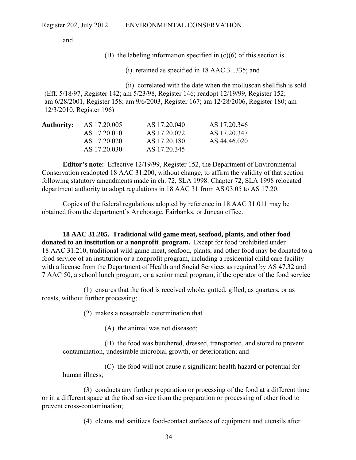and

(B) the labeling information specified in  $(c)(6)$  of this section is

(i) retained as specified in 18 AAC 31.335; and

 (ii) correlated with the date when the molluscan shellfish is sold. (Eff. 5/18/97, Register 142; am 5/23/98, Register 146; readopt 12/19/99, Register 152; am 6/28/2001, Register 158; am 9/6/2003, Register 167; am 12/28/2006, Register 180; am 12/3/2010, Register 196)

| <b>Authority:</b> AS 17.20.005 | AS 17.20.040 | AS 17.20.346 |
|--------------------------------|--------------|--------------|
| AS 17.20.010                   | AS 17.20.072 | AS 17.20.347 |
| AS 17.20.020                   | AS 17.20.180 | AS 44.46.020 |
| AS 17.20.030                   | AS 17.20.345 |              |

**Editor's note:** Effective 12/19/99, Register 152, the Department of Environmental Conservation readopted 18 AAC 31.200, without change, to affirm the validity of that section following statutory amendments made in ch. 72, SLA 1998. Chapter 72, SLA 1998 relocated department authority to adopt regulations in 18 AAC 31 from AS 03.05 to AS 17.20.

Copies of the federal regulations adopted by reference in 18 AAC 31.011 may be obtained from the department's Anchorage, Fairbanks, or Juneau office.

**18 AAC 31.205. Traditional wild game meat, seafood, plants, and other food donated to an institution or a nonprofit program.** Except for food prohibited under 18 AAC 31.210, traditional wild game meat, seafood, plants, and other food may be donated to a food service of an institution or a nonprofit program, including a residential child care facility with a license from the Department of Health and Social Services as required by AS 47.32 and 7 AAC 50, a school lunch program, or a senior meal program, if the operator of the food service

(1) ensures that the food is received whole, gutted, gilled, as quarters, or as roasts, without further processing;

(2) makes a reasonable determination that

(A) the animal was not diseased;

(B) the food was butchered, dressed, transported, and stored to prevent contamination, undesirable microbial growth, or deterioration; and

(C) the food will not cause a significant health hazard or potential for human illness;

(3) conducts any further preparation or processing of the food at a different time or in a different space at the food service from the preparation or processing of other food to prevent cross-contamination;

(4) cleans and sanitizes food-contact surfaces of equipment and utensils after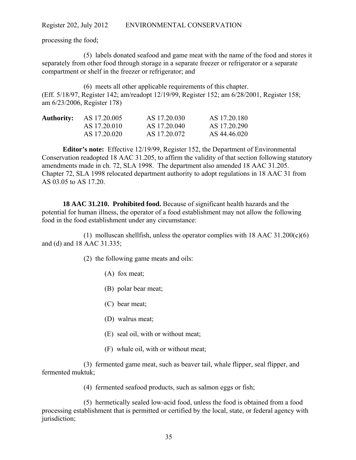processing the food;

(5) labels donated seafood and game meat with the name of the food and stores it separately from other food through storage in a separate freezer or refrigerator or a separate compartment or shelf in the freezer or refrigerator; and

(6) meets all other applicable requirements of this chapter. (Eff. 5/18/97, Register 142; am/readopt 12/19/99, Register 152; am 6/28/2001, Register 158; am 6/23/2006, Register 178)

| <b>Authority:</b> | AS 17.20.005 | AS 17.20.030 | AS 17.20.180 |
|-------------------|--------------|--------------|--------------|
|                   | AS 17.20.010 | AS 17.20.040 | AS 17.20.290 |
|                   | AS 17.20.020 | AS 17.20.072 | AS 44.46.020 |

**Editor's note:** Effective 12/19/99, Register 152, the Department of Environmental Conservation readopted 18 AAC 31.205, to affirm the validity of that section following statutory amendments made in ch. 72, SLA 1998. The department also amended 18 AAC 31.205. Chapter 72, SLA 1998 relocated department authority to adopt regulations in 18 AAC 31 from AS 03.05 to AS 17.20.

**18 AAC 31.210. Prohibited food.** Because of significant health hazards and the potential for human illness, the operator of a food establishment may not allow the following food in the food establishment under any circumstance:

(1) molluscan shellfish, unless the operator complies with  $18$  AAC  $31.200(c)(6)$ and (d) and 18 AAC 31.335;

(2) the following game meats and oils:

- (A) fox meat;
- (B) polar bear meat;
- (C) bear meat;
- (D) walrus meat;
- (E) seal oil, with or without meat;
- (F) whale oil, with or without meat;

(3) fermented game meat, such as beaver tail, whale flipper, seal flipper, and fermented muktuk;

(4) fermented seafood products, such as salmon eggs or fish;

(5) hermetically sealed low-acid food, unless the food is obtained from a food processing establishment that is permitted or certified by the local, state, or federal agency with jurisdiction;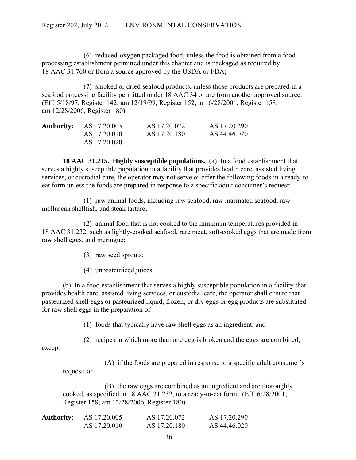(6) reduced-oxygen packaged food, unless the food is obtained from a food processing establishment permitted under this chapter and is packaged as required by 18 AAC 31.760 or from a source approved by the USDA or FDA;

(7) smoked or dried seafood products, unless those products are prepared in a seafood processing facility permitted under 18 AAC 34 or are from another approved source. (Eff. 5/18/97, Register 142; am 12/19/99, Register 152; am 6/28/2001, Register 158; am 12/28/2006, Register 180)

| <b>Authority:</b> AS 17.20.005 | AS 17.20.072 | AS 17.20.290 |
|--------------------------------|--------------|--------------|
| AS 17.20.010                   | AS 17.20.180 | AS 44.46.020 |
| AS 17.20.020                   |              |              |

**18 AAC 31.215. Highly susceptible populations.** (a) In a food establishment that serves a highly susceptible population in a facility that provides health care, assisted living services, or custodial care, the operator may not serve or offer the following foods in a ready-toeat form unless the foods are prepared in response to a specific adult consumer's request:

(1) raw animal foods, including raw seafood, raw marinated seafood, raw molluscan shellfish, and steak tartare;

(2) animal food that is not cooked to the minimum temperatures provided in 18 AAC 31.232, such as lightly-cooked seafood, rare meat, soft-cooked eggs that are made from raw shell eggs, and meringue;

(3) raw seed sprouts;

(4) unpasteurized juices.

(b) In a food establishment that serves a highly susceptible population in a facility that provides health care, assisted living services, or custodial care, the operator shall ensure that pasteurized shell eggs or pasteurized liquid, frozen, or dry eggs or egg products are substituted for raw shell eggs in the preparation of

(1) foods that typically have raw shell eggs as an ingredient; and

(2) recipes in which more than one egg is broken and the eggs are combined,

except

(A) if the foods are prepared in response to a specific adult consumer's

request; or

(B) the raw eggs are combined as an ingredient and are thoroughly cooked, as specified in 18 AAC 31.232, to a ready-to-eat form. (Eff. 6/28/2001, Register 158; am 12/28/2006, Register 180)

| <b>Authority:</b> | AS 17.20.005 | AS 17.20.072 | AS 17.20.290 |
|-------------------|--------------|--------------|--------------|
|                   | AS 17.20.010 | AS 17.20.180 | AS 44.46.020 |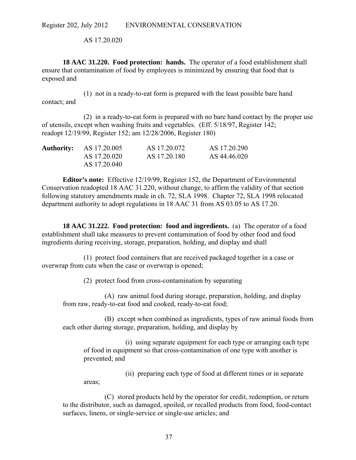AS 17.20.020

**18 AAC 31.220. Food protection: hands.** The operator of a food establishment shall ensure that contamination of food by employees is minimized by ensuring that food that is exposed and

(1) not in a ready-to-eat form is prepared with the least possible bare hand contact; and

(2) in a ready-to-eat form is prepared with no bare hand contact by the proper use of utensils, except when washing fruits and vegetables. (Eff. 5/18/97, Register 142; readopt 12/19/99, Register 152; am 12/28/2006, Register 180)

| <b>Authority:</b> AS 17.20.005 | AS 17.20.072 | AS 17.20.290 |
|--------------------------------|--------------|--------------|
| AS 17.20.020                   | AS 17.20.180 | AS 44.46.020 |
| AS 17.20.040                   |              |              |

**Editor's note:** Effective 12/19/99, Register 152, the Department of Environmental Conservation readopted 18 AAC 31.220, without change, to affirm the validity of that section following statutory amendments made in ch. 72, SLA 1998. Chapter 72, SLA 1998 relocated department authority to adopt regulations in 18 AAC 31 from AS 03.05 to AS 17.20.

**18 AAC 31.222. Food protection: food and ingredients.** (a) The operator of a food establishment shall take measures to prevent contamination of food by other food and food ingredients during receiving, storage, preparation, holding, and display and shall

(1) protect food containers that are received packaged together in a case or overwrap from cuts when the case or overwrap is opened;

(2) protect food from cross-contamination by separating

(A) raw animal food during storage, preparation, holding, and display from raw, ready-to-eat food and cooked, ready-to-eat food;

(B) except when combined as ingredients, types of raw animal foods from each other during storage, preparation, holding, and display by

(i) using separate equipment for each type or arranging each type of food in equipment so that cross-contamination of one type with another is prevented; and

(ii) preparing each type of food at different times or in separate areas;

(C) stored products held by the operator for credit, redemption, or return to the distributor, such as damaged, spoiled, or recalled products from food, food-contact surfaces, linens, or single-service or single-use articles; and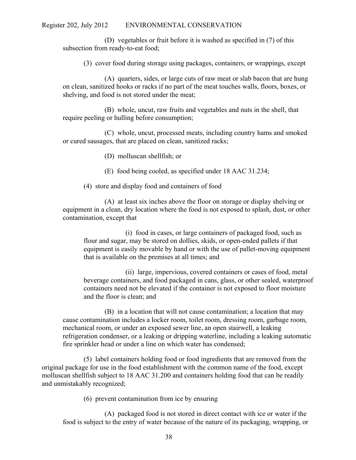(D) vegetables or fruit before it is washed as specified in (7) of this subsection from ready-to-eat food;

(3) cover food during storage using packages, containers, or wrappings, except

(A) quarters, sides, or large cuts of raw meat or slab bacon that are hung on clean, sanitized hooks or racks if no part of the meat touches walls, floors, boxes, or shelving, and food is not stored under the meat;

(B) whole, uncut, raw fruits and vegetables and nuts in the shell, that require peeling or hulling before consumption;

(C) whole, uncut, processed meats, including country hams and smoked or cured sausages, that are placed on clean, sanitized racks;

- (D) molluscan shellfish; or
- (E) food being cooled, as specified under 18 AAC 31.234;

## (4) store and display food and containers of food

(A) at least six inches above the floor on storage or display shelving or equipment in a clean, dry location where the food is not exposed to splash, dust, or other contamination, except that

(i) food in cases, or large containers of packaged food, such as flour and sugar, may be stored on dollies, skids, or open-ended pallets if that equipment is easily movable by hand or with the use of pallet-moving equipment that is available on the premises at all times; and

(ii) large, impervious, covered containers or cases of food, metal beverage containers, and food packaged in cans, glass, or other sealed, waterproof containers need not be elevated if the container is not exposed to floor moisture and the floor is clean; and

(B) in a location that will not cause contamination; a location that may cause contamination includes a locker room, toilet room, dressing room, garbage room, mechanical room, or under an exposed sewer line, an open stairwell, a leaking refrigeration condenser, or a leaking or dripping waterline, including a leaking automatic fire sprinkler head or under a line on which water has condensed;

(5) label containers holding food or food ingredients that are removed from the original package for use in the food establishment with the common name of the food, except molluscan shellfish subject to 18 AAC 31.200 and containers holding food that can be readily and unmistakably recognized;

(6) prevent contamination from ice by ensuring

(A) packaged food is not stored in direct contact with ice or water if the food is subject to the entry of water because of the nature of its packaging, wrapping, or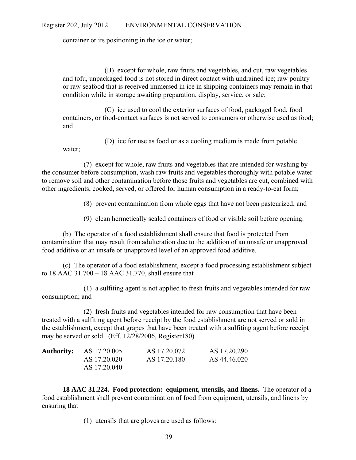container or its positioning in the ice or water;

(B) except for whole, raw fruits and vegetables, and cut, raw vegetables and tofu, unpackaged food is not stored in direct contact with undrained ice; raw poultry or raw seafood that is received immersed in ice in shipping containers may remain in that condition while in storage awaiting preparation, display, service, or sale;

(C) ice used to cool the exterior surfaces of food, packaged food, food containers, or food-contact surfaces is not served to consumers or otherwise used as food; and

(D) ice for use as food or as a cooling medium is made from potable water;

(7) except for whole, raw fruits and vegetables that are intended for washing by the consumer before consumption, wash raw fruits and vegetables thoroughly with potable water to remove soil and other contamination before those fruits and vegetables are cut, combined with other ingredients, cooked, served, or offered for human consumption in a ready-to-eat form;

(8) prevent contamination from whole eggs that have not been pasteurized; and

(9) clean hermetically sealed containers of food or visible soil before opening.

(b) The operator of a food establishment shall ensure that food is protected from contamination that may result from adulteration due to the addition of an unsafe or unapproved food additive or an unsafe or unapproved level of an approved food additive.

(c) The operator of a food establishment, except a food processing establishment subject to 18 AAC 31.700 – 18 AAC 31.770, shall ensure that

(1) a sulfiting agent is not applied to fresh fruits and vegetables intended for raw consumption; and

(2) fresh fruits and vegetables intended for raw consumption that have been treated with a sulfiting agent before receipt by the food establishment are not served or sold in the establishment, except that grapes that have been treated with a sulfiting agent before receipt may be served or sold. (Eff. 12/28/2006, Register180)

| <b>Authority:</b> AS 17.20.005 | AS 17.20.072 | AS 17.20.290 |
|--------------------------------|--------------|--------------|
| AS 17.20.020                   | AS 17.20.180 | AS 44.46.020 |
| AS 17.20.040                   |              |              |

**18 AAC 31.224. Food protection: equipment, utensils, and linens.** The operator of a food establishment shall prevent contamination of food from equipment, utensils, and linens by ensuring that

(1) utensils that are gloves are used as follows: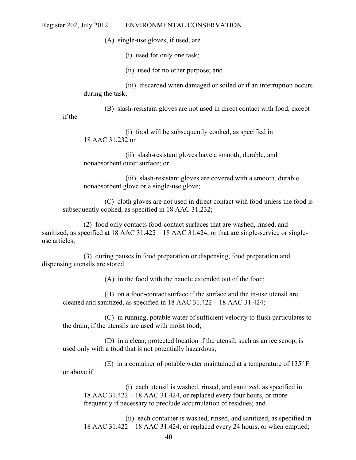(A) single-use gloves, if used, are

(i) used for only one task;

(ii) used for no other purpose; and

(iii) discarded when damaged or soiled or if an interruption occurs during the task;

(B) slash-resistant gloves are not used in direct contact with food, except

if the

(i) food will be subsequently cooked, as specified in 18 AAC 31.232 or

(ii) slash-resistant gloves have a smooth, durable, and nonabsorbent outer surface; or

(iii) slash-resistant gloves are covered with a smooth, durable nonabsorbent glove or a single-use glove;

(C) cloth gloves are not used in direct contact with food unless the food is subsequently cooked, as specified in 18 AAC 31.232;

(2) food only contacts food-contact surfaces that are washed, rinsed, and sanitized, as specified at 18 AAC 31.422 – 18 AAC 31.424, or that are single-service or singleuse articles;

(3) during pauses in food preparation or dispensing, food preparation and dispensing utensils are stored

(A) in the food with the handle extended out of the food;

(B) on a food-contact surface if the surface and the in-use utensil are cleaned and sanitized, as specified in 18 AAC 31.422 – 18 AAC 31.424;

(C) in running, potable water of sufficient velocity to flush particulates to the drain, if the utensils are used with moist food;

(D) in a clean, protected location if the utensil, such as an ice scoop, is used only with a food that is not potentially hazardous;

(E) in a container of potable water maintained at a temperature of  $135^{\circ}$  F or above if

(i) each utensil is washed, rinsed, and sanitized, as specified in 18 AAC 31.422 – 18 AAC 31.424, or replaced every four hours, or more frequently if necessary to preclude accumulation of residues; and

(ii) each container is washed, rinsed, and sanitized, as specified in 18 AAC 31.422 – 18 AAC 31.424, or replaced every 24 hours, or when emptied;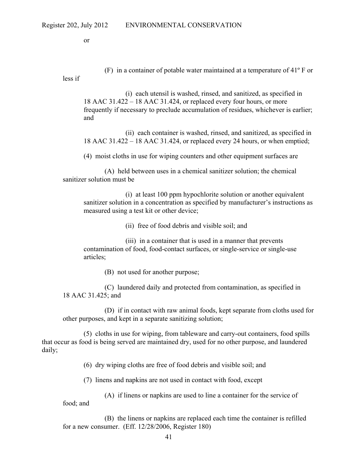less if

or

(F) in a container of potable water maintained at a temperature of 41º F or

(i) each utensil is washed, rinsed, and sanitized, as specified in 18 AAC 31.422 – 18 AAC 31.424, or replaced every four hours, or more frequently if necessary to preclude accumulation of residues, whichever is earlier; and

(ii) each container is washed, rinsed, and sanitized, as specified in 18 AAC 31.422 – 18 AAC 31.424, or replaced every 24 hours, or when emptied;

(4) moist cloths in use for wiping counters and other equipment surfaces are

(A) held between uses in a chemical sanitizer solution; the chemical sanitizer solution must be

(i) at least 100 ppm hypochlorite solution or another equivalent sanitizer solution in a concentration as specified by manufacturer's instructions as measured using a test kit or other device;

(ii) free of food debris and visible soil; and

(iii) in a container that is used in a manner that prevents contamination of food, food-contact surfaces, or single-service or single-use articles;

(B) not used for another purpose;

(C) laundered daily and protected from contamination, as specified in 18 AAC 31.425; and

(D) if in contact with raw animal foods, kept separate from cloths used for other purposes, and kept in a separate sanitizing solution;

(5) cloths in use for wiping, from tableware and carry-out containers, food spills that occur as food is being served are maintained dry, used for no other purpose, and laundered daily;

(6) dry wiping cloths are free of food debris and visible soil; and

(7) linens and napkins are not used in contact with food, except

(A) if linens or napkins are used to line a container for the service of food; and

(B) the linens or napkins are replaced each time the container is refilled for a new consumer. (Eff. 12/28/2006, Register 180)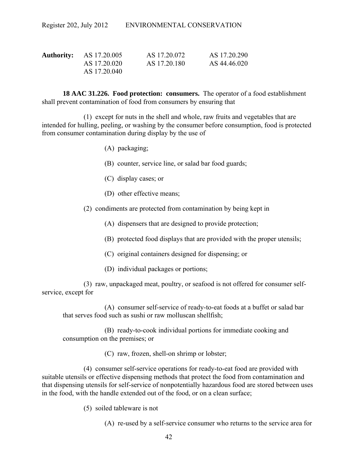| <b>Authority:</b> AS 17.20.005 | AS 17.20.072 | AS 17.20.290 |
|--------------------------------|--------------|--------------|
| AS 17.20.020                   | AS 17.20.180 | AS 44.46.020 |
| AS 17.20.040                   |              |              |

**18 AAC 31.226. Food protection: consumers.** The operator of a food establishment shall prevent contamination of food from consumers by ensuring that

(1) except for nuts in the shell and whole, raw fruits and vegetables that are intended for hulling, peeling, or washing by the consumer before consumption, food is protected from consumer contamination during display by the use of

- (A) packaging;
- (B) counter, service line, or salad bar food guards;
- (C) display cases; or
- (D) other effective means;
- (2) condiments are protected from contamination by being kept in
	- (A) dispensers that are designed to provide protection;
	- (B) protected food displays that are provided with the proper utensils;
	- (C) original containers designed for dispensing; or
	- (D) individual packages or portions;

(3) raw, unpackaged meat, poultry, or seafood is not offered for consumer selfservice, except for

(A) consumer self-service of ready-to-eat foods at a buffet or salad bar that serves food such as sushi or raw molluscan shellfish;

(B) ready-to-cook individual portions for immediate cooking and consumption on the premises; or

(C) raw, frozen, shell-on shrimp or lobster;

(4) consumer self-service operations for ready-to-eat food are provided with suitable utensils or effective dispensing methods that protect the food from contamination and that dispensing utensils for self-service of nonpotentially hazardous food are stored between uses in the food, with the handle extended out of the food, or on a clean surface;

(5) soiled tableware is not

(A) re-used by a self-service consumer who returns to the service area for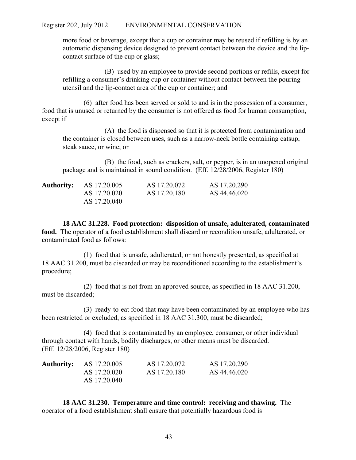more food or beverage, except that a cup or container may be reused if refilling is by an automatic dispensing device designed to prevent contact between the device and the lipcontact surface of the cup or glass;

(B) used by an employee to provide second portions or refills, except for refilling a consumer's drinking cup or container without contact between the pouring utensil and the lip-contact area of the cup or container; and

(6) after food has been served or sold to and is in the possession of a consumer, food that is unused or returned by the consumer is not offered as food for human consumption, except if

(A) the food is dispensed so that it is protected from contamination and the container is closed between uses, such as a narrow-neck bottle containing catsup, steak sauce, or wine; or

(B) the food, such as crackers, salt, or pepper, is in an unopened original package and is maintained in sound condition. (Eff. 12/28/2006, Register 180)

| <b>Authority:</b> AS 17.20.005 | AS 17.20.072 | AS 17.20.290 |
|--------------------------------|--------------|--------------|
| AS 17.20.020                   | AS 17.20.180 | AS 44.46.020 |
| AS 17.20.040                   |              |              |

**18 AAC 31.228. Food protection: disposition of unsafe, adulterated, contaminated food.** The operator of a food establishment shall discard or recondition unsafe, adulterated, or contaminated food as follows:

(1) food that is unsafe, adulterated, or not honestly presented, as specified at 18 AAC 31.200, must be discarded or may be reconditioned according to the establishment's procedure;

(2) food that is not from an approved source, as specified in 18 AAC 31.200, must be discarded;

(3) ready-to-eat food that may have been contaminated by an employee who has been restricted or excluded, as specified in 18 AAC 31.300, must be discarded;

(4) food that is contaminated by an employee, consumer, or other individual through contact with hands, bodily discharges, or other means must be discarded. (Eff. 12/28/2006, Register 180)

| <b>Authority:</b> AS 17.20.005 | AS 17.20.072 | AS 17.20.290 |
|--------------------------------|--------------|--------------|
| AS 17.20.020                   | AS 17.20.180 | AS 44.46.020 |
| AS 17.20.040                   |              |              |

**18 AAC 31.230. Temperature and time control: receiving and thawing.** The operator of a food establishment shall ensure that potentially hazardous food is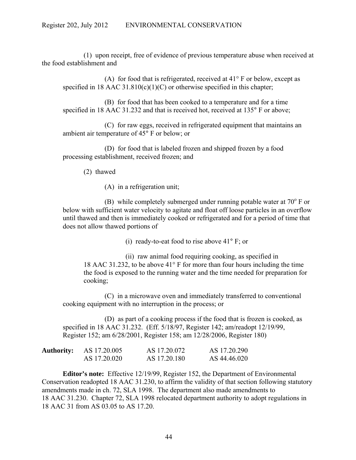(1) upon receipt, free of evidence of previous temperature abuse when received at the food establishment and

(A) for food that is refrigerated, received at  $41^{\circ}$  F or below, except as specified in 18 AAC 31.810(c)(1)(C) or otherwise specified in this chapter;

(B) for food that has been cooked to a temperature and for a time specified in 18 AAC 31.232 and that is received hot, received at 135° F or above;

(C) for raw eggs, received in refrigerated equipment that maintains an ambient air temperature of 45° F or below; or

(D) for food that is labeled frozen and shipped frozen by a food processing establishment, received frozen; and

(2) thawed

(A) in a refrigeration unit;

(B) while completely submerged under running potable water at  $70^{\circ}$  F or below with sufficient water velocity to agitate and float off loose particles in an overflow until thawed and then is immediately cooked or refrigerated and for a period of time that does not allow thawed portions of

(i) ready-to-eat food to rise above 41° F; or

(ii) raw animal food requiring cooking, as specified in 18 AAC 31.232, to be above 41° F for more than four hours including the time the food is exposed to the running water and the time needed for preparation for cooking;

(C) in a microwave oven and immediately transferred to conventional cooking equipment with no interruption in the process; or

(D) as part of a cooking process if the food that is frozen is cooked, as specified in 18 AAC 31.232. (Eff. 5/18/97, Register 142; am/readopt 12/19/99, Register 152; am 6/28/2001, Register 158; am 12/28/2006, Register 180)

| <b>Authority:</b> | AS 17.20.005 | AS 17.20.072 | AS 17.20.290 |
|-------------------|--------------|--------------|--------------|
|                   | AS 17.20.020 | AS 17.20.180 | AS 44.46.020 |

**Editor's note:** Effective 12/19/99, Register 152, the Department of Environmental Conservation readopted 18 AAC 31.230, to affirm the validity of that section following statutory amendments made in ch. 72, SLA 1998. The department also made amendments to 18 AAC 31.230. Chapter 72, SLA 1998 relocated department authority to adopt regulations in 18 AAC 31 from AS 03.05 to AS 17.20.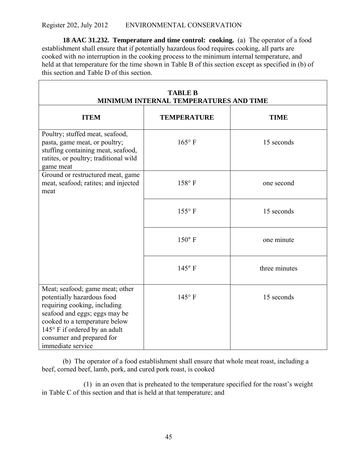**18 AAC 31.232. Temperature and time control: cooking.** (a) The operator of a food establishment shall ensure that if potentially hazardous food requires cooking, all parts are cooked with no interruption in the cooking process to the minimum internal temperature, and held at that temperature for the time shown in Table B of this section except as specified in (b) of this section and Table D of this section.

| <b>TABLE B</b><br>MINIMUM INTERNAL TEMPERATURES AND TIME                                                                                                                                                                                           |                    |               |  |
|----------------------------------------------------------------------------------------------------------------------------------------------------------------------------------------------------------------------------------------------------|--------------------|---------------|--|
| <b>ITEM</b>                                                                                                                                                                                                                                        | <b>TEMPERATURE</b> | <b>TIME</b>   |  |
| Poultry; stuffed meat, seafood,<br>pasta, game meat, or poultry;<br>stuffing containing meat, seafood,<br>ratites, or poultry; traditional wild<br>game meat                                                                                       | $165^{\circ}$ F    | 15 seconds    |  |
| Ground or restructured meat, game<br>meat, seafood; ratites; and injected<br>meat                                                                                                                                                                  | $158^{\circ}$ F    | one second    |  |
|                                                                                                                                                                                                                                                    | $155^{\circ}$ F    | 15 seconds    |  |
|                                                                                                                                                                                                                                                    | $150^{\circ}$ F    | one minute    |  |
|                                                                                                                                                                                                                                                    | $145^{\circ}$ F    | three minutes |  |
| Meat; seafood; game meat; other<br>potentially hazardous food<br>requiring cooking, including<br>seafood and eggs; eggs may be<br>cooked to a temperature below<br>145° F if ordered by an adult<br>consumer and prepared for<br>immediate service | $145^{\circ}$ F    | 15 seconds    |  |

(b) The operator of a food establishment shall ensure that whole meat roast, including a beef, corned beef, lamb, pork, and cured pork roast, is cooked

(1) in an oven that is preheated to the temperature specified for the roast's weight in Table C of this section and that is held at that temperature; and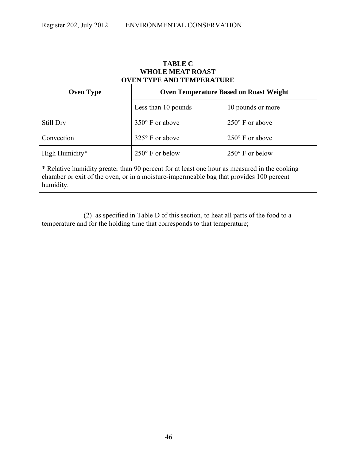| <b>TABLE C</b><br><b>WHOLE MEAT ROAST</b><br><b>OVEN TYPE AND TEMPERATURE</b>                                                                                                                        |                                               |                          |  |
|------------------------------------------------------------------------------------------------------------------------------------------------------------------------------------------------------|-----------------------------------------------|--------------------------|--|
| <b>Oven Type</b>                                                                                                                                                                                     | <b>Oven Temperature Based on Roast Weight</b> |                          |  |
|                                                                                                                                                                                                      | Less than 10 pounds                           | 10 pounds or more        |  |
| Still Dry                                                                                                                                                                                            | $350^\circ$ F or above                        | $250^{\circ}$ F or above |  |
| Convection                                                                                                                                                                                           | $325^{\circ}$ F or above                      | $250^{\circ}$ F or above |  |
| High Humidity*<br>$250^{\circ}$ F or below<br>$250^{\circ}$ F or below                                                                                                                               |                                               |                          |  |
| * Relative humidity greater than 90 percent for at least one hour as measured in the cooking<br>chamber or exit of the oven, or in a moisture-impermeable bag that provides 100 percent<br>humidity. |                                               |                          |  |

(2) as specified in Table D of this section, to heat all parts of the food to a temperature and for the holding time that corresponds to that temperature;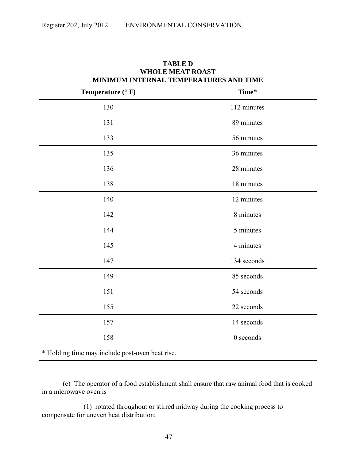| <b>TABLE D</b><br><b>WHOLE MEAT ROAST</b><br>MINIMUM INTERNAL TEMPERATURES AND TIME |             |  |
|-------------------------------------------------------------------------------------|-------------|--|
| Temperature $(^{\circ}$ F)                                                          | Time*       |  |
| 130                                                                                 | 112 minutes |  |
| 131                                                                                 | 89 minutes  |  |
| 133                                                                                 | 56 minutes  |  |
| 135                                                                                 | 36 minutes  |  |
| 136                                                                                 | 28 minutes  |  |
| 138                                                                                 | 18 minutes  |  |
| 140                                                                                 | 12 minutes  |  |
| 142                                                                                 | 8 minutes   |  |
| 144                                                                                 | 5 minutes   |  |
| 145                                                                                 | 4 minutes   |  |
| 147                                                                                 | 134 seconds |  |
| 149                                                                                 | 85 seconds  |  |
| 151                                                                                 | 54 seconds  |  |
| 155                                                                                 | 22 seconds  |  |
| 157                                                                                 | 14 seconds  |  |
| 158                                                                                 | $0$ seconds |  |
| * Holding time may include post-oven heat rise.                                     |             |  |

(c) The operator of a food establishment shall ensure that raw animal food that is cooked in a microwave oven is

(1) rotated throughout or stirred midway during the cooking process to compensate for uneven heat distribution;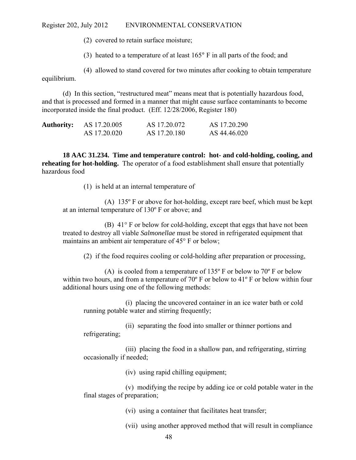(2) covered to retain surface moisture;

(3) heated to a temperature of at least 165° F in all parts of the food; and

(4) allowed to stand covered for two minutes after cooking to obtain temperature equilibrium.

(d) In this section, "restructured meat" means meat that is potentially hazardous food, and that is processed and formed in a manner that might cause surface contaminants to become incorporated inside the final product. (Eff. 12/28/2006, Register 180)

| <b>Authority:</b> | AS 17.20.005 | AS 17.20.072 | AS 17.20.290 |
|-------------------|--------------|--------------|--------------|
|                   | AS 17.20.020 | AS 17.20.180 | AS 44.46.020 |

**18 AAC 31.234. Time and temperature control: hot- and cold-holding, cooling, and reheating for hot-holding.** The operator of a food establishment shall ensure that potentially hazardous food

(1) is held at an internal temperature of

(A) 135º F or above for hot-holding, except rare beef, which must be kept at an internal temperature of 130º F or above; and

(B) 41° F or below for cold-holding, except that eggs that have not been treated to destroy all viable *Salmonellae* must be stored in refrigerated equipment that maintains an ambient air temperature of 45° F or below;

(2) if the food requires cooling or cold-holding after preparation or processing,

(A) is cooled from a temperature of  $135^{\circ}$  F or below to  $70^{\circ}$  F or below within two hours, and from a temperature of 70º F or below to 41º F or below within four additional hours using one of the following methods:

(i) placing the uncovered container in an ice water bath or cold running potable water and stirring frequently;

(ii) separating the food into smaller or thinner portions and refrigerating;

(iii) placing the food in a shallow pan, and refrigerating, stirring occasionally if needed;

(iv) using rapid chilling equipment;

(v) modifying the recipe by adding ice or cold potable water in the final stages of preparation;

(vi) using a container that facilitates heat transfer;

(vii) using another approved method that will result in compliance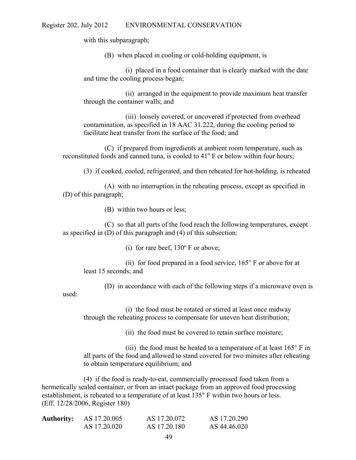with this subparagraph;

(B) when placed in cooling or cold-holding equipment, is

(i) placed in a food container that is clearly marked with the date and time the cooling process began;

(ii) arranged in the equipment to provide maximum heat transfer through the container walls; and

(iii) loosely covered, or uncovered if protected from overhead contamination, as specified in 18 AAC 31.222, during the cooling period to facilitate heat transfer from the surface of the food; and

(C) if prepared from ingredients at ambient room temperature, such as reconstituted foods and canned tuna, is cooled to 41<sup>°</sup> F or below within four hours;

(3) if cooked, cooled, refrigerated, and then reheated for hot-holding, is reheated

(A) with no interruption in the reheating process, except as specified in (D) of this paragraph;

(B) within two hours or less;

(C) so that all parts of the food reach the following temperatures, except as specified in (D) of this paragraph and (4) of this subsection:

(i) for rare beef, 130º F or above;

(ii) for food prepared in a food service, 165° F or above for at least 15 seconds; and

(D) in accordance with each of the following steps if a microwave oven is

used:

(i) the food must be rotated or stirred at least once midway through the reheating process to compensate for uneven heat distribution;

(ii) the food must be covered to retain surface moisture;

(iii) the food must be heated to a temperature of at least  $165^{\circ}$  F in all parts of the food and allowed to stand covered for two minutes after reheating to obtain temperature equilibrium; and

(4) if the food is ready-to-eat, commercially processed food taken from a hermetically sealed container, or from an intact package from an approved food processing establishment, is reheated to a temperature of at least 135° F within two hours or less. (Eff. 12/28/2006, Register 180)

| <b>Authority:</b> | AS 17.20.005 | AS 17.20.072 | AS 17.20.290 |
|-------------------|--------------|--------------|--------------|
|                   | AS 17.20.020 | AS 17.20.180 | AS 44.46.020 |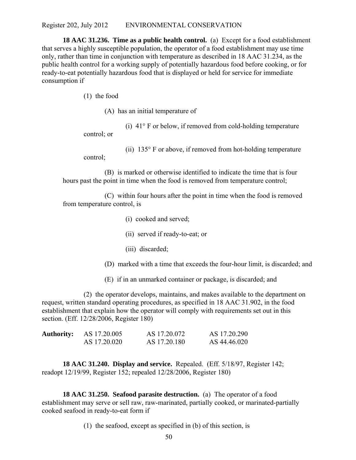**18 AAC 31.236. Time as a public health control.** (a) Except for a food establishment that serves a highly susceptible population, the operator of a food establishment may use time only, rather than time in conjunction with temperature as described in 18 AAC 31.234, as the public health control for a working supply of potentially hazardous food before cooking, or for ready-to-eat potentially hazardous food that is displayed or held for service for immediate consumption if

(1) the food

(A) has an initial temperature of

(i) 41° F or below, if removed from cold-holding temperature control; or

control;

(ii) 135° F or above, if removed from hot-holding temperature

(B) is marked or otherwise identified to indicate the time that is four hours past the point in time when the food is removed from temperature control;

(C) within four hours after the point in time when the food is removed from temperature control, is

- (i) cooked and served;
- (ii) served if ready-to-eat; or
- (iii) discarded;
- (D) marked with a time that exceeds the four-hour limit, is discarded; and
- (E) if in an unmarked container or package, is discarded; and

(2) the operator develops, maintains, and makes available to the department on request, written standard operating procedures, as specified in 18 AAC 31.902, in the food establishment that explain how the operator will comply with requirements set out in this section. (Eff. 12/28/2006, Register 180)

| <b>Authority:</b> | AS 17.20.005 | AS 17.20.072 | AS 17.20.290 |
|-------------------|--------------|--------------|--------------|
|                   | AS 17.20.020 | AS 17.20.180 | AS 44.46.020 |

**18 AAC 31.240. Display and service.** Repealed. (Eff. 5/18/97, Register 142; readopt 12/19/99, Register 152; repealed 12/28/2006, Register 180)

**18 AAC 31.250. Seafood parasite destruction.** (a) The operator of a food establishment may serve or sell raw, raw-marinated, partially cooked, or marinated-partially cooked seafood in ready-to-eat form if

(1) the seafood, except as specified in (b) of this section, is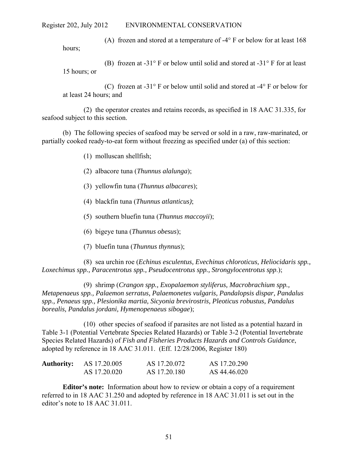(A) frozen and stored at a temperature of -4° F or below for at least 168 hours;

(B) frozen at -31° F or below until solid and stored at -31° F for at least 15 hours; or

(C) frozen at -31° F or below until solid and stored at -4° F or below for at least 24 hours; and

(2) the operator creates and retains records, as specified in 18 AAC 31.335, for seafood subject to this section.

(b) The following species of seafood may be served or sold in a raw, raw-marinated, or partially cooked ready-to-eat form without freezing as specified under (a) of this section:

(1) molluscan shellfish;

(2) albacore tuna (*Thunnus alalunga*);

(3) yellowfin tuna (*Thunnus albacares*);

- (4) blackfin tuna (*Thunnus atlanticus)*;
- (5) southern bluefin tuna (*Thunnus maccoyii*);
- (6) bigeye tuna (*Thunnus obesus*);
- (7) bluefin tuna (*Thunnus thynnus*);

(8) sea urchin roe (*Echinus esculentus, Evechinus chloroticus, Heliocidaris spp., Loxechimus spp., Paracentrotus spp., Pseudocentrotus spp., Strongylocentrotus spp*.);

(9) shrimp (*Crangon spp., Exopalaemon styliferus, Macrobrachium spp., Metapenaeus spp., Palaemon serratus, Palaemonetes vulgaris, Pandalopsis dispar, Pandalus spp., Penaeus spp., Plesionika martia, Sicyonia brevirostris, Pleoticus robustus, Pandalus borealis, Pandalus jordani, Hymenopenaeus sibogae*);

(10) other species of seafood if parasites are not listed as a potential hazard in Table 3-1 (Potential Vertebrate Species Related Hazards) or Table 3-2 (Potential Invertebrate Species Related Hazards) of *Fish and Fisheries Products Hazards and Controls Guidance*, adopted by reference in 18 AAC 31.011. (Eff. 12/28/2006, Register 180)

| <b>Authority:</b> | AS 17.20.005 | AS 17.20.072 | AS 17.20.290 |
|-------------------|--------------|--------------|--------------|
|                   | AS 17.20.020 | AS 17.20.180 | AS 44.46.020 |

**Editor's note:** Information about how to review or obtain a copy of a requirement referred to in 18 AAC 31.250 and adopted by reference in 18 AAC 31.011 is set out in the editor's note to 18 AAC 31.011.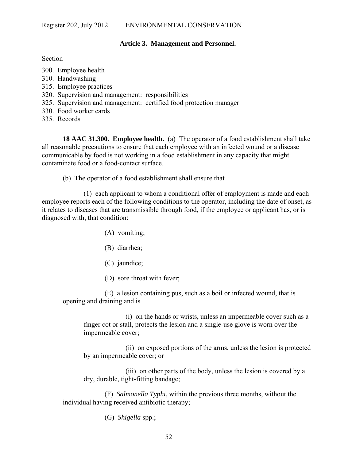### **Article 3. Management and Personnel.**

Section

- 300. Employee health
- 310. Handwashing
- 315. Employee practices
- 320. Supervision and management: responsibilities
- 325. Supervision and management: certified food protection manager
- 330. Food worker cards
- 335. Records

**18 AAC 31.300. Employee health.** (a) The operator of a food establishment shall take all reasonable precautions to ensure that each employee with an infected wound or a disease communicable by food is not working in a food establishment in any capacity that might contaminate food or a food-contact surface.

(b) The operator of a food establishment shall ensure that

(1) each applicant to whom a conditional offer of employment is made and each employee reports each of the following conditions to the operator, including the date of onset, as it relates to diseases that are transmissible through food, if the employee or applicant has, or is diagnosed with, that condition:

- (A) vomiting;
- (B) diarrhea;
- (C) jaundice;
- (D) sore throat with fever;

(E) a lesion containing pus, such as a boil or infected wound, that is opening and draining and is

(i) on the hands or wrists, unless an impermeable cover such as a finger cot or stall, protects the lesion and a single-use glove is worn over the impermeable cover;

(ii) on exposed portions of the arms, unless the lesion is protected by an impermeable cover; or

(iii) on other parts of the body, unless the lesion is covered by a dry, durable, tight-fitting bandage;

(F) *Salmonella Typhi*, within the previous three months, without the individual having received antibiotic therapy;

(G) *Shigella* spp.;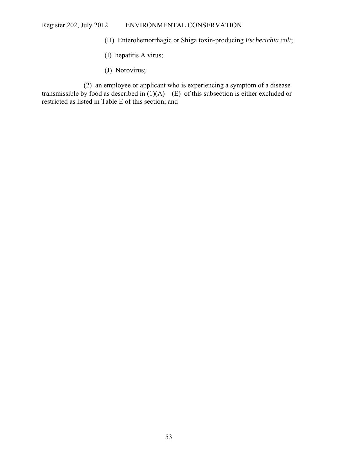- (H) Enterohemorrhagic or Shiga toxin-producing *Escherichia coli*;
- (I) hepatitis A virus;
- (J) Norovirus;

(2) an employee or applicant who is experiencing a symptom of a disease transmissible by food as described in  $(1)(A) - (E)$  of this subsection is either excluded or restricted as listed in Table E of this section; and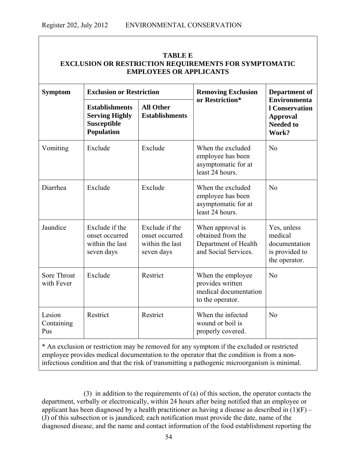| <b>EXCLUSION OR RESTRICTION REQUIREMENTS FOR SYMPTOMATIC</b><br><b>EMPLOYEES OR APPLICANTS</b> |                                                                                    |                                                                   |                                                                                            |                                                                                              |
|------------------------------------------------------------------------------------------------|------------------------------------------------------------------------------------|-------------------------------------------------------------------|--------------------------------------------------------------------------------------------|----------------------------------------------------------------------------------------------|
| <b>Symptom</b>                                                                                 |                                                                                    | <b>Exclusion or Restriction</b>                                   |                                                                                            | <b>Department of</b>                                                                         |
|                                                                                                | <b>Establishments</b><br><b>Serving Highly</b><br>Susceptible<br><b>Population</b> | <b>All Other</b><br><b>Establishments</b>                         | or Restriction*                                                                            | <b>Environmenta</b><br><b>l</b> Conservation<br><b>Approval</b><br><b>Needed to</b><br>Work? |
| Vomiting                                                                                       | Exclude                                                                            | Exclude                                                           | When the excluded<br>employee has been<br>asymptomatic for at<br>least 24 hours.           | N <sub>o</sub>                                                                               |
| Diarrhea                                                                                       | Exclude                                                                            | Exclude                                                           | When the excluded<br>employee has been<br>asymptomatic for at<br>least 24 hours.           | No                                                                                           |
| Jaundice                                                                                       | Exclude if the<br>onset occurred<br>within the last<br>seven days                  | Exclude if the<br>onset occurred<br>within the last<br>seven days | When approval is<br>obtained from the<br>Department of Health<br>and Social Services.      | Yes, unless<br>medical<br>documentation<br>is provided to<br>the operator.                   |
| Sore Throat<br>with Fever                                                                      | Exclude                                                                            | Restrict                                                          | When the employee<br>provides written<br>medical documentation<br>to the operator.         | No                                                                                           |
| Lesion<br>Containing<br>Pus                                                                    | Restrict                                                                           | Restrict                                                          | When the infected<br>wound or boil is<br>properly covered.                                 | No                                                                                           |
|                                                                                                |                                                                                    |                                                                   | * An exclusion or restriction may be removed for any symptom if the excluded or restricted |                                                                                              |

# **TABLE E**

\* An exclusion or restriction may be removed for any symptom if the excluded or restricted employee provides medical documentation to the operator that the condition is from a noninfectious condition and that the risk of transmitting a pathogenic microorganism is minimal.

(3) in addition to the requirements of (a) of this section, the operator contacts the department, verbally or electronically, within 24 hours after being notified that an employee or applicant has been diagnosed by a health practitioner as having a disease as described in  $(1)(F)$  – (J) of this subsection or is jaundiced; each notification must provide the date, name of the diagnosed disease, and the name and contact information of the food establishment reporting the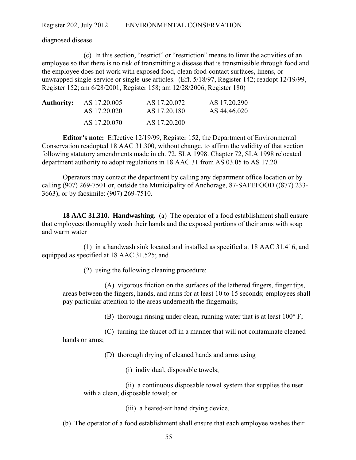diagnosed disease.

(c) In this section, "restrict" or "restriction" means to limit the activities of an employee so that there is no risk of transmitting a disease that is transmissible through food and the employee does not work with exposed food, clean food-contact surfaces, linens, or unwrapped single-service or single-use articles. (Eff. 5/18/97, Register 142; readopt 12/19/99, Register 152; am 6/28/2001, Register 158; am 12/28/2006, Register 180)

| <b>Authority:</b> AS 17.20.005 | AS 17.20.072 | AS 17.20.290 |
|--------------------------------|--------------|--------------|
| AS 17.20.020                   | AS 17.20.180 | AS 44.46.020 |
| AS 17.20.070                   | AS 17.20.200 |              |

**Editor's note:** Effective 12/19/99, Register 152, the Department of Environmental Conservation readopted 18 AAC 31.300, without change, to affirm the validity of that section following statutory amendments made in ch. 72, SLA 1998. Chapter 72, SLA 1998 relocated department authority to adopt regulations in 18 AAC 31 from AS 03.05 to AS 17.20.

Operators may contact the department by calling any department office location or by calling (907) 269-7501 or, outside the Municipality of Anchorage, 87-SAFEFOOD ((877) 233- 3663), or by facsimile: (907) 269-7510.

**18 AAC 31.310. Handwashing.** (a) The operator of a food establishment shall ensure that employees thoroughly wash their hands and the exposed portions of their arms with soap and warm water

(1) in a handwash sink located and installed as specified at 18 AAC 31.416, and equipped as specified at 18 AAC 31.525; and

(2) using the following cleaning procedure:

(A) vigorous friction on the surfaces of the lathered fingers, finger tips, areas between the fingers, hands, and arms for at least 10 to 15 seconds; employees shall pay particular attention to the areas underneath the fingernails;

(B) thorough rinsing under clean, running water that is at least 100° F;

(C) turning the faucet off in a manner that will not contaminate cleaned hands or arms;

(D) thorough drying of cleaned hands and arms using

(i) individual, disposable towels;

(ii) a continuous disposable towel system that supplies the user with a clean, disposable towel; or

(iii) a heated-air hand drying device.

(b) The operator of a food establishment shall ensure that each employee washes their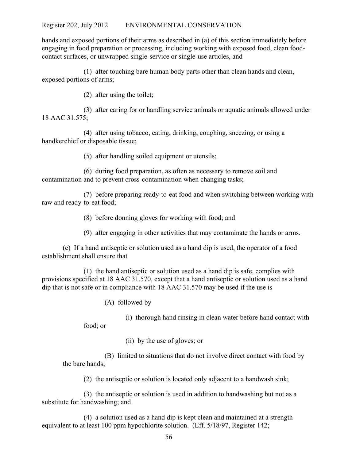hands and exposed portions of their arms as described in (a) of this section immediately before engaging in food preparation or processing, including working with exposed food, clean foodcontact surfaces, or unwrapped single-service or single-use articles, and

(1) after touching bare human body parts other than clean hands and clean, exposed portions of arms;

(2) after using the toilet;

(3) after caring for or handling service animals or aquatic animals allowed under 18 AAC 31.575;

(4) after using tobacco, eating, drinking, coughing, sneezing, or using a handkerchief or disposable tissue;

(5) after handling soiled equipment or utensils;

(6) during food preparation, as often as necessary to remove soil and contamination and to prevent cross-contamination when changing tasks;

(7) before preparing ready-to-eat food and when switching between working with raw and ready-to-eat food;

(8) before donning gloves for working with food; and

(9) after engaging in other activities that may contaminate the hands or arms.

(c) If a hand antiseptic or solution used as a hand dip is used, the operator of a food establishment shall ensure that

(1) the hand antiseptic or solution used as a hand dip is safe, complies with provisions specified at 18 AAC 31.570, except that a hand antiseptic or solution used as a hand dip that is not safe or in compliance with 18 AAC 31.570 may be used if the use is

(A) followed by

(i) thorough hand rinsing in clean water before hand contact with

food; or

(ii) by the use of gloves; or

(B) limited to situations that do not involve direct contact with food by the bare hands;

(2) the antiseptic or solution is located only adjacent to a handwash sink;

(3) the antiseptic or solution is used in addition to handwashing but not as a substitute for handwashing; and

(4) a solution used as a hand dip is kept clean and maintained at a strength equivalent to at least 100 ppm hypochlorite solution. (Eff. 5/18/97, Register 142;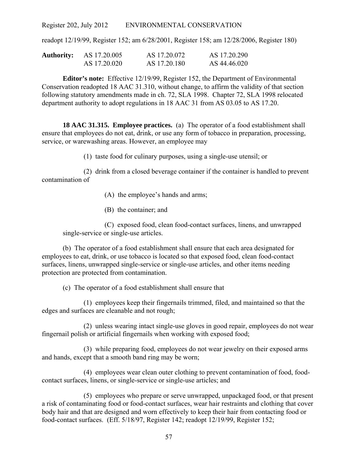readopt 12/19/99, Register 152; am 6/28/2001, Register 158; am 12/28/2006, Register 180)

| Authority: | AS 17.20.005 | AS 17.20.072 | AS 17.20.290 |
|------------|--------------|--------------|--------------|
|            | AS 17.20.020 | AS 17.20.180 | AS 44.46.020 |

**Editor's note:** Effective 12/19/99, Register 152, the Department of Environmental Conservation readopted 18 AAC 31.310, without change, to affirm the validity of that section following statutory amendments made in ch. 72, SLA 1998. Chapter 72, SLA 1998 relocated department authority to adopt regulations in 18 AAC 31 from AS 03.05 to AS 17.20.

**18 AAC 31.315. Employee practices.** (a) The operator of a food establishment shall ensure that employees do not eat, drink, or use any form of tobacco in preparation, processing, service, or warewashing areas. However, an employee may

(1) taste food for culinary purposes, using a single-use utensil; or

(2) drink from a closed beverage container if the container is handled to prevent contamination of

(A) the employee's hands and arms;

(B) the container; and

(C) exposed food, clean food-contact surfaces, linens, and unwrapped single-service or single-use articles.

(b) The operator of a food establishment shall ensure that each area designated for employees to eat, drink, or use tobacco is located so that exposed food, clean food-contact surfaces, linens, unwrapped single-service or single-use articles, and other items needing protection are protected from contamination.

(c) The operator of a food establishment shall ensure that

(1) employees keep their fingernails trimmed, filed, and maintained so that the edges and surfaces are cleanable and not rough;

(2) unless wearing intact single-use gloves in good repair, employees do not wear fingernail polish or artificial fingernails when working with exposed food;

(3) while preparing food, employees do not wear jewelry on their exposed arms and hands, except that a smooth band ring may be worn;

(4) employees wear clean outer clothing to prevent contamination of food, foodcontact surfaces, linens, or single-service or single-use articles; and

(5) employees who prepare or serve unwrapped, unpackaged food, or that present a risk of contaminating food or food-contact surfaces, wear hair restraints and clothing that cover body hair and that are designed and worn effectively to keep their hair from contacting food or food-contact surfaces. (Eff. 5/18/97, Register 142; readopt 12/19/99, Register 152;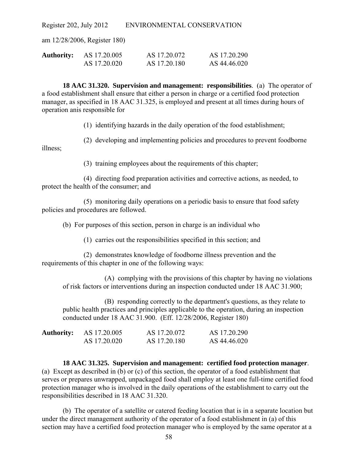am 12/28/2006, Register 180)

| <b>Authority:</b> | AS 17.20.005 | AS 17.20.072 | AS 17.20.290 |
|-------------------|--------------|--------------|--------------|
|                   | AS 17.20.020 | AS 17.20.180 | AS 44.46.020 |

**18 AAC 31.320. Supervision and management: responsibilities**. (a) The operator of a food establishment shall ensure that either a person in charge or a certified food protection manager, as specified in 18 AAC 31.325, is employed and present at all times during hours of operation anis responsible for

(1) identifying hazards in the daily operation of the food establishment;

(2) developing and implementing policies and procedures to prevent foodborne illness;

(3) training employees about the requirements of this chapter;

(4) directing food preparation activities and corrective actions, as needed, to protect the health of the consumer; and

(5) monitoring daily operations on a periodic basis to ensure that food safety policies and procedures are followed.

(b) For purposes of this section, person in charge is an individual who

(1) carries out the responsibilities specified in this section; and

(2) demonstrates knowledge of foodborne illness prevention and the requirements of this chapter in one of the following ways:

(A) complying with the provisions of this chapter by having no violations of risk factors or interventions during an inspection conducted under 18 AAC 31.900;

(B) responding correctly to the department's questions, as they relate to public health practices and principles applicable to the operation, during an inspection conducted under 18 AAC 31.900. (Eff. 12/28/2006, Register 180)

| <b>Authority:</b> | AS 17.20.005 | AS 17.20.072 | AS 17.20.290 |
|-------------------|--------------|--------------|--------------|
|                   | AS 17.20.020 | AS 17.20.180 | AS 44.46.020 |

**18 AAC 31.325. Supervision and management: certified food protection manager**. (a) Except as described in (b) or (c) of this section, the operator of a food establishment that serves or prepares unwrapped, unpackaged food shall employ at least one full-time certified food protection manager who is involved in the daily operations of the establishment to carry out the responsibilities described in 18 AAC 31.320.

(b) The operator of a satellite or catered feeding location that is in a separate location but under the direct management authority of the operator of a food establishment in (a) of this section may have a certified food protection manager who is employed by the same operator at a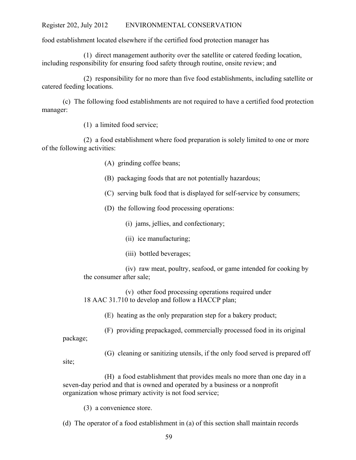food establishment located elsewhere if the certified food protection manager has

(1) direct management authority over the satellite or catered feeding location, including responsibility for ensuring food safety through routine, onsite review; and

(2) responsibility for no more than five food establishments, including satellite or catered feeding locations.

(c) The following food establishments are not required to have a certified food protection manager:

(1) a limited food service;

(2) a food establishment where food preparation is solely limited to one or more of the following activities:

- (A) grinding coffee beans;
- (B) packaging foods that are not potentially hazardous;
- (C) serving bulk food that is displayed for self-service by consumers;
- (D) the following food processing operations:
	- (i) jams, jellies, and confectionary;
	- (ii) ice manufacturing;
	- (iii) bottled beverages;

(iv) raw meat, poultry, seafood, or game intended for cooking by the consumer after sale;

(v) other food processing operations required under 18 AAC 31.710 to develop and follow a HACCP plan;

(E) heating as the only preparation step for a bakery product;

(F) providing prepackaged, commercially processed food in its original package;

(G) cleaning or sanitizing utensils, if the only food served is prepared off site;

(H) a food establishment that provides meals no more than one day in a seven-day period and that is owned and operated by a business or a nonprofit organization whose primary activity is not food service;

(3) a convenience store.

(d) The operator of a food establishment in (a) of this section shall maintain records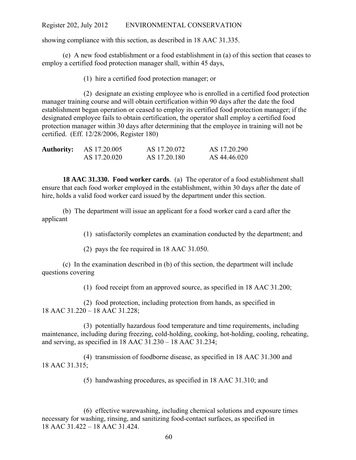showing compliance with this section, as described in 18 AAC 31.335.

(e) A new food establishment or a food establishment in (a) of this section that ceases to employ a certified food protection manager shall, within 45 days,

(1) hire a certified food protection manager; or

(2) designate an existing employee who is enrolled in a certified food protection manager training course and will obtain certification within 90 days after the date the food establishment began operation or ceased to employ its certified food protection manager; if the designated employee fails to obtain certification, the operator shall employ a certified food protection manager within 30 days after determining that the employee in training will not be certified. (Eff. 12/28/2006, Register 180)

| <b>Authority:</b> | AS 17.20.005 | AS 17.20.072 | AS 17.20.290 |
|-------------------|--------------|--------------|--------------|
|                   | AS 17.20.020 | AS 17.20.180 | AS 44.46.020 |

**18 AAC 31.330. Food worker cards**. (a) The operator of a food establishment shall ensure that each food worker employed in the establishment, within 30 days after the date of hire, holds a valid food worker card issued by the department under this section.

(b) The department will issue an applicant for a food worker card a card after the applicant

(1) satisfactorily completes an examination conducted by the department; and

(2) pays the fee required in 18 AAC 31.050.

(c) In the examination described in (b) of this section, the department will include questions covering

(1) food receipt from an approved source, as specified in 18 AAC 31.200;

(2) food protection, including protection from hands, as specified in 18 AAC 31.220 – 18 AAC 31.228;

(3) potentially hazardous food temperature and time requirements, including maintenance, including during freezing, cold-holding, cooking, hot-holding, cooling, reheating, and serving, as specified in 18 AAC 31.230 – 18 AAC 31.234;

(4) transmission of foodborne disease, as specified in 18 AAC 31.300 and 18 AAC 31.315;

(5) handwashing procedures, as specified in 18 AAC 31.310; and

(6) effective warewashing, including chemical solutions and exposure times necessary for washing, rinsing, and sanitizing food-contact surfaces, as specified in 18 AAC 31.422 – 18 AAC 31.424.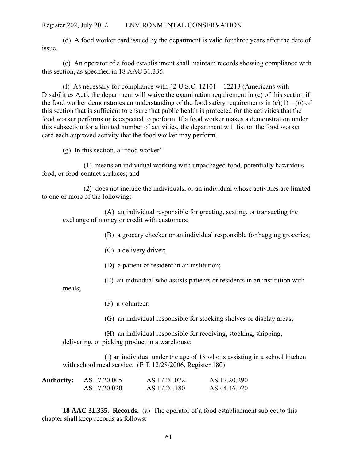(d) A food worker card issued by the department is valid for three years after the date of issue.

(e) An operator of a food establishment shall maintain records showing compliance with this section, as specified in 18 AAC 31.335.

(f) As necessary for compliance with 42 U.S.C. 12101 – 12213 (Americans with Disabilities Act), the department will waive the examination requirement in (c) of this section if the food worker demonstrates an understanding of the food safety requirements in  $(c)(1) - (6)$  of this section that is sufficient to ensure that public health is protected for the activities that the food worker performs or is expected to perform. If a food worker makes a demonstration under this subsection for a limited number of activities, the department will list on the food worker card each approved activity that the food worker may perform.

(g) In this section, a "food worker"

(1) means an individual working with unpackaged food, potentially hazardous food, or food-contact surfaces; and

(2) does not include the individuals, or an individual whose activities are limited to one or more of the following:

(A) an individual responsible for greeting, seating, or transacting the exchange of money or credit with customers;

(B) a grocery checker or an individual responsible for bagging groceries;

(C) a delivery driver;

(D) a patient or resident in an institution;

(E) an individual who assists patients or residents in an institution with

meals;

(F) a volunteer;

(G) an individual responsible for stocking shelves or display areas;

(H) an individual responsible for receiving, stocking, shipping, delivering, or picking product in a warehouse;

(I) an individual under the age of 18 who is assisting in a school kitchen with school meal service. (Eff. 12/28/2006, Register 180)

| <b>Authority:</b> | AS 17.20.005 | AS 17.20.072 | AS 17.20.290 |
|-------------------|--------------|--------------|--------------|
|                   | AS 17.20.020 | AS 17.20.180 | AS 44.46.020 |

**18 AAC 31.335. Records.** (a) The operator of a food establishment subject to this chapter shall keep records as follows: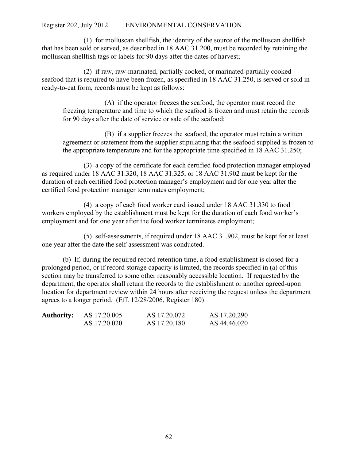(1) for molluscan shellfish, the identity of the source of the molluscan shellfish that has been sold or served, as described in 18 AAC 31.200, must be recorded by retaining the molluscan shellfish tags or labels for 90 days after the dates of harvest;

(2) if raw, raw-marinated, partially cooked, or marinated-partially cooked seafood that is required to have been frozen, as specified in 18 AAC 31.250, is served or sold in ready-to-eat form, records must be kept as follows:

(A) if the operator freezes the seafood, the operator must record the freezing temperature and time to which the seafood is frozen and must retain the records for 90 days after the date of service or sale of the seafood;

(B) if a supplier freezes the seafood, the operator must retain a written agreement or statement from the supplier stipulating that the seafood supplied is frozen to the appropriate temperature and for the appropriate time specified in 18 AAC 31.250;

(3) a copy of the certificate for each certified food protection manager employed as required under 18 AAC 31.320, 18 AAC 31.325, or 18 AAC 31.902 must be kept for the duration of each certified food protection manager's employment and for one year after the certified food protection manager terminates employment;

(4) a copy of each food worker card issued under 18 AAC 31.330 to food workers employed by the establishment must be kept for the duration of each food worker's employment and for one year after the food worker terminates employment;

(5) self-assessments, if required under 18 AAC 31.902, must be kept for at least one year after the date the self-assessment was conducted.

(b) If, during the required record retention time, a food establishment is closed for a prolonged period, or if record storage capacity is limited, the records specified in (a) of this section may be transferred to some other reasonably accessible location. If requested by the department, the operator shall return the records to the establishment or another agreed-upon location for department review within 24 hours after receiving the request unless the department agrees to a longer period. (Eff. 12/28/2006, Register 180)

| <b>Authority:</b> | AS 17.20.005 | AS 17.20.072 | AS 17.20.290 |
|-------------------|--------------|--------------|--------------|
|                   | AS 17.20.020 | AS 17.20.180 | AS 44.46.020 |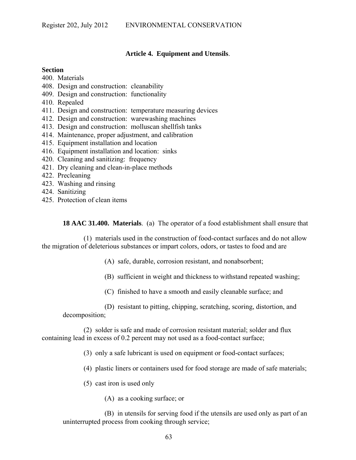## **Article 4. Equipment and Utensils**.

#### **Section**

- 400. Materials
- 408. Design and construction: cleanability
- 409. Design and construction: functionality
- 410. Repealed
- 411. Design and construction: temperature measuring devices
- 412. Design and construction: warewashing machines
- 413. Design and construction: molluscan shellfish tanks
- 414. Maintenance, proper adjustment, and calibration
- 415. Equipment installation and location
- 416. Equipment installation and location: sinks
- 420. Cleaning and sanitizing: frequency
- 421. Dry cleaning and clean-in-place methods
- 422. Precleaning
- 423. Washing and rinsing
- 424. Sanitizing
- 425. Protection of clean items

**18 AAC 31.400. Materials**. (a) The operator of a food establishment shall ensure that

(1) materials used in the construction of food-contact surfaces and do not allow the migration of deleterious substances or impart colors, odors, or tastes to food and are

- (A) safe, durable, corrosion resistant, and nonabsorbent;
- (B) sufficient in weight and thickness to withstand repeated washing;
- (C) finished to have a smooth and easily cleanable surface; and

(D) resistant to pitting, chipping, scratching, scoring, distortion, and decomposition;

(2) solder is safe and made of corrosion resistant material; solder and flux containing lead in excess of 0.2 percent may not used as a food-contact surface;

(3) only a safe lubricant is used on equipment or food-contact surfaces;

- (4) plastic liners or containers used for food storage are made of safe materials;
- (5) cast iron is used only
	- (A) as a cooking surface; or

(B) in utensils for serving food if the utensils are used only as part of an uninterrupted process from cooking through service;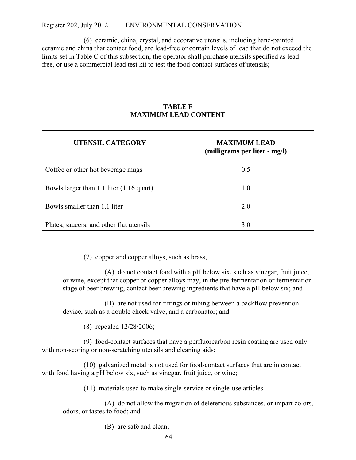(6) ceramic, china, crystal, and decorative utensils, including hand-painted ceramic and china that contact food, are lead-free or contain levels of lead that do not exceed the limits set in Table C of this subsection; the operator shall purchase utensils specified as leadfree, or use a commercial lead test kit to test the food-contact surfaces of utensils;

| <b>TABLE F</b><br><b>MAXIMUM LEAD CONTENT</b> |                                                      |  |  |
|-----------------------------------------------|------------------------------------------------------|--|--|
| <b>UTENSIL CATEGORY</b>                       | <b>MAXIMUM LEAD</b><br>(milligrams per liter - mg/l) |  |  |
| Coffee or other hot beverage mugs             | 0.5                                                  |  |  |
| Bowls larger than 1.1 liter (1.16 quart)      | 1.0                                                  |  |  |
| Bowls smaller than 1.1 liter                  | 2.0                                                  |  |  |
| Plates, saucers, and other flat utensils      | 3.0                                                  |  |  |

(7) copper and copper alloys, such as brass,

(A) do not contact food with a pH below six, such as vinegar, fruit juice, or wine, except that copper or copper alloys may, in the pre-fermentation or fermentation stage of beer brewing, contact beer brewing ingredients that have a pH below six; and

(B) are not used for fittings or tubing between a backflow prevention device, such as a double check valve, and a carbonator; and

(8) repealed 12/28/2006;

(9) food-contact surfaces that have a perfluorcarbon resin coating are used only with non-scoring or non-scratching utensils and cleaning aids;

(10) galvanized metal is not used for food-contact surfaces that are in contact with food having a pH below six, such as vinegar, fruit juice, or wine;

(11) materials used to make single-service or single-use articles

(A) do not allow the migration of deleterious substances, or impart colors, odors, or tastes to food; and

(B) are safe and clean;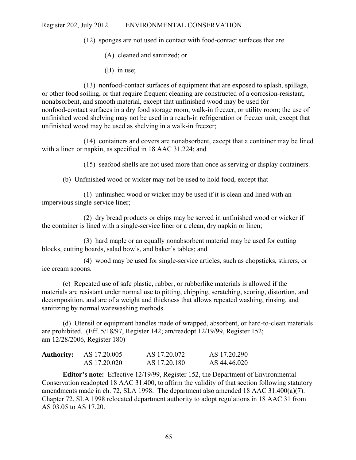(12) sponges are not used in contact with food-contact surfaces that are

- (A) cleaned and sanitized; or
- (B) in use;

(13) nonfood-contact surfaces of equipment that are exposed to splash, spillage, or other food soiling, or that require frequent cleaning are constructed of a corrosion-resistant, nonabsorbent, and smooth material, except that unfinished wood may be used for nonfood-contact surfaces in a dry food storage room, walk-in freezer, or utility room; the use of unfinished wood shelving may not be used in a reach-in refrigeration or freezer unit, except that unfinished wood may be used as shelving in a walk-in freezer;

(14) containers and covers are nonabsorbent, except that a container may be lined with a linen or napkin, as specified in 18 AAC 31.224; and

(15) seafood shells are not used more than once as serving or display containers.

(b) Unfinished wood or wicker may not be used to hold food, except that

(1) unfinished wood or wicker may be used if it is clean and lined with an impervious single-service liner;

(2) dry bread products or chips may be served in unfinished wood or wicker if the container is lined with a single-service liner or a clean, dry napkin or linen;

(3) hard maple or an equally nonabsorbent material may be used for cutting blocks, cutting boards, salad bowls, and baker's tables; and

(4) wood may be used for single-service articles, such as chopsticks, stirrers, or ice cream spoons.

(c) Repeated use of safe plastic, rubber, or rubberlike materials is allowed if the materials are resistant under normal use to pitting, chipping, scratching, scoring, distortion, and decomposition, and are of a weight and thickness that allows repeated washing, rinsing, and sanitizing by normal warewashing methods.

(d) Utensil or equipment handles made of wrapped, absorbent, or hard-to-clean materials are prohibited. (Eff. 5/18/97, Register 142; am/readopt 12/19/99, Register 152; am 12/28/2006, Register 180)

| <b>Authority:</b> | AS 17.20.005 | AS 17.20.072 | AS 17.20.290 |
|-------------------|--------------|--------------|--------------|
|                   | AS 17.20.020 | AS 17.20.180 | AS 44.46.020 |

**Editor's note:** Effective 12/19/99, Register 152, the Department of Environmental Conservation readopted 18 AAC 31.400, to affirm the validity of that section following statutory amendments made in ch. 72, SLA 1998. The department also amended 18 AAC 31.400(a)(7). Chapter 72, SLA 1998 relocated department authority to adopt regulations in 18 AAC 31 from AS 03.05 to AS 17.20.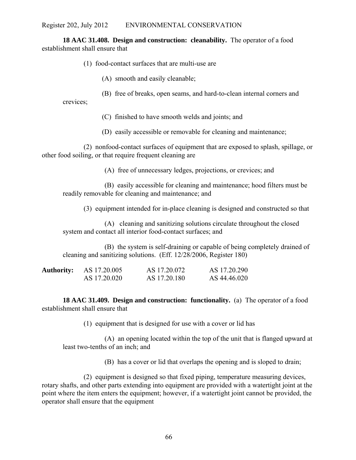**18 AAC 31.408. Design and construction: cleanability.** The operator of a food establishment shall ensure that

- (1) food-contact surfaces that are multi-use are
	- (A) smooth and easily cleanable;
	- (B) free of breaks, open seams, and hard-to-clean internal corners and

crevices;

- (C) finished to have smooth welds and joints; and
- (D) easily accessible or removable for cleaning and maintenance;

(2) nonfood-contact surfaces of equipment that are exposed to splash, spillage, or other food soiling, or that require frequent cleaning are

(A) free of unnecessary ledges, projections, or crevices; and

(B) easily accessible for cleaning and maintenance; hood filters must be readily removable for cleaning and maintenance; and

(3) equipment intended for in-place cleaning is designed and constructed so that

(A) cleaning and sanitizing solutions circulate throughout the closed system and contact all interior food-contact surfaces; and

(B) the system is self-draining or capable of being completely drained of cleaning and sanitizing solutions. (Eff. 12/28/2006, Register 180)

| <b>Authority:</b> | AS 17.20.005 | AS 17.20.072 | AS 17.20.290 |
|-------------------|--------------|--------------|--------------|
|                   | AS 17.20.020 | AS 17.20.180 | AS 44.46.020 |

**18 AAC 31.409. Design and construction: functionality.** (a) The operator of a food establishment shall ensure that

(1) equipment that is designed for use with a cover or lid has

(A) an opening located within the top of the unit that is flanged upward at least two-tenths of an inch; and

(B) has a cover or lid that overlaps the opening and is sloped to drain;

(2) equipment is designed so that fixed piping, temperature measuring devices, rotary shafts, and other parts extending into equipment are provided with a watertight joint at the point where the item enters the equipment; however, if a watertight joint cannot be provided, the operator shall ensure that the equipment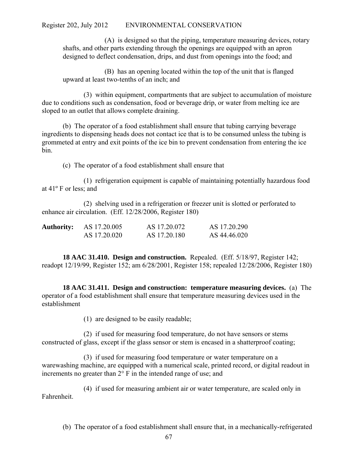(A) is designed so that the piping, temperature measuring devices, rotary shafts, and other parts extending through the openings are equipped with an apron designed to deflect condensation, drips, and dust from openings into the food; and

(B) has an opening located within the top of the unit that is flanged upward at least two-tenths of an inch; and

(3) within equipment, compartments that are subject to accumulation of moisture due to conditions such as condensation, food or beverage drip, or water from melting ice are sloped to an outlet that allows complete draining.

(b) The operator of a food establishment shall ensure that tubing carrying beverage ingredients to dispensing heads does not contact ice that is to be consumed unless the tubing is grommeted at entry and exit points of the ice bin to prevent condensation from entering the ice bin.

(c) The operator of a food establishment shall ensure that

(1) refrigeration equipment is capable of maintaining potentially hazardous food at 41º F or less; and

(2) shelving used in a refrigeration or freezer unit is slotted or perforated to enhance air circulation. (Eff. 12/28/2006, Register 180)

| <b>Authority:</b> | AS 17.20.005 | AS 17.20.072 | AS 17.20.290 |
|-------------------|--------------|--------------|--------------|
|                   | AS 17.20.020 | AS 17.20.180 | AS 44.46.020 |

**18 AAC 31.410. Design and construction.** Repealed. (Eff. 5/18/97, Register 142; readopt 12/19/99, Register 152; am 6/28/2001, Register 158; repealed 12/28/2006, Register 180)

**18 AAC 31.411. Design and construction: temperature measuring devices.** (a) The operator of a food establishment shall ensure that temperature measuring devices used in the establishment

(1) are designed to be easily readable;

(2) if used for measuring food temperature, do not have sensors or stems constructed of glass, except if the glass sensor or stem is encased in a shatterproof coating;

(3) if used for measuring food temperature or water temperature on a warewashing machine, are equipped with a numerical scale, printed record, or digital readout in increments no greater than 2° F in the intended range of use; and

(4) if used for measuring ambient air or water temperature, are scaled only in Fahrenheit.

(b) The operator of a food establishment shall ensure that, in a mechanically-refrigerated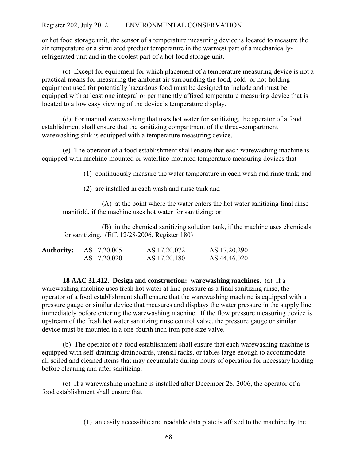or hot food storage unit, the sensor of a temperature measuring device is located to measure the air temperature or a simulated product temperature in the warmest part of a mechanicallyrefrigerated unit and in the coolest part of a hot food storage unit.

(c) Except for equipment for which placement of a temperature measuring device is not a practical means for measuring the ambient air surrounding the food, cold- or hot-holding equipment used for potentially hazardous food must be designed to include and must be equipped with at least one integral or permanently affixed temperature measuring device that is located to allow easy viewing of the device's temperature display.

(d) For manual warewashing that uses hot water for sanitizing, the operator of a food establishment shall ensure that the sanitizing compartment of the three-compartment warewashing sink is equipped with a temperature measuring device.

(e) The operator of a food establishment shall ensure that each warewashing machine is equipped with machine-mounted or waterline-mounted temperature measuring devices that

(1) continuously measure the water temperature in each wash and rinse tank; and

(2) are installed in each wash and rinse tank and

(A) at the point where the water enters the hot water sanitizing final rinse manifold, if the machine uses hot water for sanitizing; or

(B) in the chemical sanitizing solution tank, if the machine uses chemicals for sanitizing. (Eff. 12/28/2006, Register 180)

| <b>Authority:</b> | AS 17.20.005 | AS 17.20.072 | AS 17.20.290 |
|-------------------|--------------|--------------|--------------|
|                   | AS 17.20.020 | AS 17.20.180 | AS 44.46.020 |

**18 AAC 31.412. Design and construction: warewashing machines.** (a) If a warewashing machine uses fresh hot water at line-pressure as a final sanitizing rinse, the operator of a food establishment shall ensure that the warewashing machine is equipped with a pressure gauge or similar device that measures and displays the water pressure in the supply line immediately before entering the warewashing machine. If the flow pressure measuring device is upstream of the fresh hot water sanitizing rinse control valve, the pressure gauge or similar device must be mounted in a one-fourth inch iron pipe size valve.

(b) The operator of a food establishment shall ensure that each warewashing machine is equipped with self-draining drainboards, utensil racks, or tables large enough to accommodate all soiled and cleaned items that may accumulate during hours of operation for necessary holding before cleaning and after sanitizing.

(c) If a warewashing machine is installed after December 28, 2006, the operator of a food establishment shall ensure that

(1) an easily accessible and readable data plate is affixed to the machine by the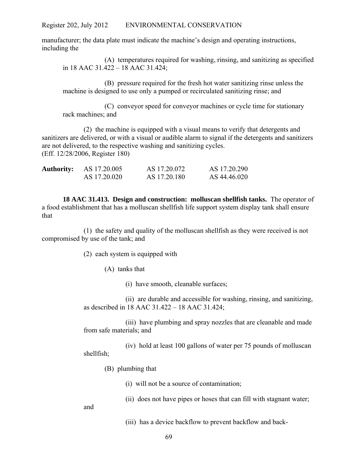manufacturer; the data plate must indicate the machine's design and operating instructions, including the

(A) temperatures required for washing, rinsing, and sanitizing as specified in 18 AAC 31.422 – 18 AAC 31.424;

(B) pressure required for the fresh hot water sanitizing rinse unless the machine is designed to use only a pumped or recirculated sanitizing rinse; and

(C) conveyor speed for conveyor machines or cycle time for stationary rack machines; and

(2) the machine is equipped with a visual means to verify that detergents and sanitizers are delivered, or with a visual or audible alarm to signal if the detergents and sanitizers are not delivered, to the respective washing and sanitizing cycles. (Eff. 12/28/2006, Register 180)

| <b>Authority:</b> | AS 17.20.005 | AS 17.20.072 | AS 17.20.290 |
|-------------------|--------------|--------------|--------------|
|                   | AS 17.20.020 | AS 17.20.180 | AS 44.46.020 |

**18 AAC 31.413. Design and construction: molluscan shellfish tanks.** The operator of a food establishment that has a molluscan shellfish life support system display tank shall ensure that

(1) the safety and quality of the molluscan shellfish as they were received is not compromised by use of the tank; and

(2) each system is equipped with

(A) tanks that

(i) have smooth, cleanable surfaces;

(ii) are durable and accessible for washing, rinsing, and sanitizing, as described in 18 AAC 31.422 – 18 AAC 31.424;

(iii) have plumbing and spray nozzles that are cleanable and made from safe materials; and

(iv) hold at least 100 gallons of water per 75 pounds of molluscan shellfish;

(B) plumbing that

(i) will not be a source of contamination;

(ii) does not have pipes or hoses that can fill with stagnant water;

and

(iii) has a device backflow to prevent backflow and back-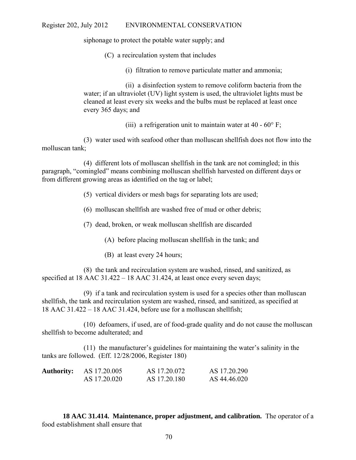siphonage to protect the potable water supply; and

- (C) a recirculation system that includes
	- (i) filtration to remove particulate matter and ammonia;

(ii) a disinfection system to remove coliform bacteria from the water; if an ultraviolet (UV) light system is used, the ultraviolet lights must be cleaned at least every six weeks and the bulbs must be replaced at least once every 365 days; and

(iii) a refrigeration unit to maintain water at  $40 - 60^{\circ}$  F;

(3) water used with seafood other than molluscan shellfish does not flow into the molluscan tank;

(4) different lots of molluscan shellfish in the tank are not comingled; in this paragraph, "comingled" means combining molluscan shellfish harvested on different days or from different growing areas as identified on the tag or label;

- (5) vertical dividers or mesh bags for separating lots are used;
- (6) molluscan shellfish are washed free of mud or other debris;
- (7) dead, broken, or weak molluscan shellfish are discarded
	- (A) before placing molluscan shellfish in the tank; and
	- (B) at least every 24 hours;

(8) the tank and recirculation system are washed, rinsed, and sanitized, as specified at 18 AAC 31.422 – 18 AAC 31.424, at least once every seven days;

(9) if a tank and recirculation system is used for a species other than molluscan shellfish, the tank and recirculation system are washed, rinsed, and sanitized, as specified at 18 AAC 31.422 – 18 AAC 31.424, before use for a molluscan shellfish;

(10) defoamers, if used, are of food-grade quality and do not cause the molluscan shellfish to become adulterated; and

(11) the manufacturer's guidelines for maintaining the water's salinity in the tanks are followed. (Eff. 12/28/2006, Register 180)

| <b>Authority:</b> | AS 17.20.005 | AS 17.20.072 | AS 17.20.290 |
|-------------------|--------------|--------------|--------------|
|                   | AS 17.20.020 | AS 17.20.180 | AS 44.46.020 |

**18 AAC 31.414. Maintenance, proper adjustment, and calibration.** The operator of a food establishment shall ensure that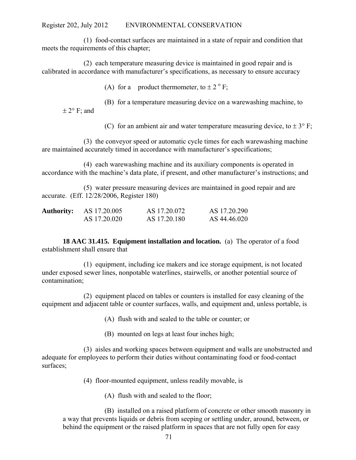(1) food-contact surfaces are maintained in a state of repair and condition that meets the requirements of this chapter;

(2) each temperature measuring device is maintained in good repair and is calibrated in accordance with manufacturer's specifications, as necessary to ensure accuracy

(A) for a product thermometer, to  $\pm 2$ <sup>o</sup> F;

(B) for a temperature measuring device on a warewashing machine, to

 $\pm 2^{\circ}$  F; and

(C) for an ambient air and water temperature measuring device, to  $\pm 3^{\circ}$  F;

(3) the conveyor speed or automatic cycle times for each warewashing machine are maintained accurately timed in accordance with manufacturer's specifications;

(4) each warewashing machine and its auxiliary components is operated in accordance with the machine's data plate, if present, and other manufacturer's instructions; and

(5) water pressure measuring devices are maintained in good repair and are accurate. (Eff. 12/28/2006, Register 180)

| <b>Authority:</b> | AS 17.20.005 | AS 17.20.072 | AS 17.20.290 |
|-------------------|--------------|--------------|--------------|
|                   | AS 17.20.020 | AS 17.20.180 | AS 44.46.020 |

**18 AAC 31.415. Equipment installation and location.** (a) The operator of a food establishment shall ensure that

(1) equipment, including ice makers and ice storage equipment, is not located under exposed sewer lines, nonpotable waterlines, stairwells, or another potential source of contamination;

(2) equipment placed on tables or counters is installed for easy cleaning of the equipment and adjacent table or counter surfaces, walls, and equipment and, unless portable, is

(A) flush with and sealed to the table or counter; or

(B) mounted on legs at least four inches high;

(3) aisles and working spaces between equipment and walls are unobstructed and adequate for employees to perform their duties without contaminating food or food-contact surfaces;

(4) floor-mounted equipment, unless readily movable, is

(A) flush with and sealed to the floor;

(B) installed on a raised platform of concrete or other smooth masonry in a way that prevents liquids or debris from seeping or settling under, around, between, or behind the equipment or the raised platform in spaces that are not fully open for easy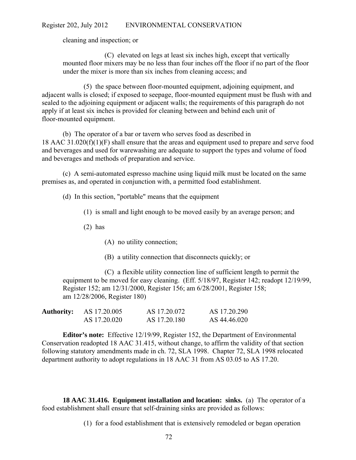cleaning and inspection; or

(C) elevated on legs at least six inches high, except that vertically mounted floor mixers may be no less than four inches off the floor if no part of the floor under the mixer is more than six inches from cleaning access; and

(5) the space between floor-mounted equipment, adjoining equipment, and adjacent walls is closed; if exposed to seepage, floor-mounted equipment must be flush with and sealed to the adjoining equipment or adjacent walls; the requirements of this paragraph do not apply if at least six inches is provided for cleaning between and behind each unit of floor-mounted equipment.

(b) The operator of a bar or tavern who serves food as described in 18 AAC 31.020(f)(1)(F) shall ensure that the areas and equipment used to prepare and serve food and beverages and used for warewashing are adequate to support the types and volume of food and beverages and methods of preparation and service.

(c) A semi-automated espresso machine using liquid milk must be located on the same premises as, and operated in conjunction with, a permitted food establishment.

(d) In this section, "portable" means that the equipment

(1) is small and light enough to be moved easily by an average person; and

(2) has

(A) no utility connection;

(B) a utility connection that disconnects quickly; or

(C) a flexible utility connection line of sufficient length to permit the equipment to be moved for easy cleaning. (Eff. 5/18/97, Register 142; readopt 12/19/99, Register 152; am 12/31/2000, Register 156; am 6/28/2001, Register 158; am 12/28/2006, Register 180)

| <b>Authority:</b> | AS 17.20.005 | AS 17.20.072 | AS 17.20.290 |
|-------------------|--------------|--------------|--------------|
|                   | AS 17.20.020 | AS 17.20.180 | AS 44.46.020 |

**Editor's note:** Effective 12/19/99, Register 152, the Department of Environmental Conservation readopted 18 AAC 31.415, without change, to affirm the validity of that section following statutory amendments made in ch. 72, SLA 1998. Chapter 72, SLA 1998 relocated department authority to adopt regulations in 18 AAC 31 from AS 03.05 to AS 17.20.

**18 AAC 31.416. Equipment installation and location: sinks.** (a) The operator of a food establishment shall ensure that self-draining sinks are provided as follows:

(1) for a food establishment that is extensively remodeled or began operation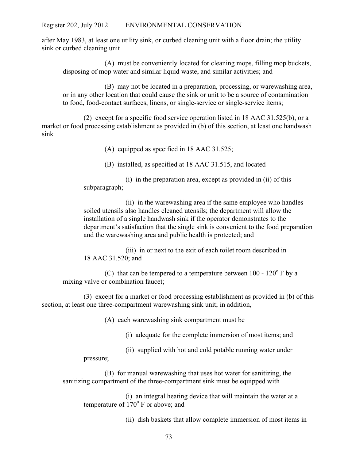after May 1983, at least one utility sink, or curbed cleaning unit with a floor drain; the utility sink or curbed cleaning unit

(A) must be conveniently located for cleaning mops, filling mop buckets, disposing of mop water and similar liquid waste, and similar activities; and

(B) may not be located in a preparation, processing, or warewashing area, or in any other location that could cause the sink or unit to be a source of contamination to food, food-contact surfaces, linens, or single-service or single-service items;

(2) except for a specific food service operation listed in 18 AAC 31.525(b), or a market or food processing establishment as provided in (b) of this section, at least one handwash sink

(A) equipped as specified in 18 AAC 31.525;

(B) installed, as specified at 18 AAC 31.515, and located

(i) in the preparation area, except as provided in (ii) of this subparagraph;

(ii) in the warewashing area if the same employee who handles soiled utensils also handles cleaned utensils; the department will allow the installation of a single handwash sink if the operator demonstrates to the department's satisfaction that the single sink is convenient to the food preparation and the warewashing area and public health is protected; and

(iii) in or next to the exit of each toilet room described in 18 AAC 31.520; and

(C) that can be tempered to a temperature between  $100 - 120^{\circ}$  F by a mixing valve or combination faucet;

(3) except for a market or food processing establishment as provided in (b) of this section, at least one three-compartment warewashing sink unit; in addition,

(A) each warewashing sink compartment must be

(i) adequate for the complete immersion of most items; and

(ii) supplied with hot and cold potable running water under

pressure;

(B) for manual warewashing that uses hot water for sanitizing, the sanitizing compartment of the three-compartment sink must be equipped with

(i) an integral heating device that will maintain the water at a temperature of  $170^{\circ}$  F or above; and

(ii) dish baskets that allow complete immersion of most items in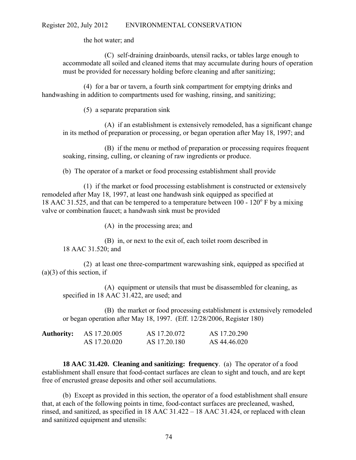the hot water; and

(C) self-draining drainboards, utensil racks, or tables large enough to accommodate all soiled and cleaned items that may accumulate during hours of operation must be provided for necessary holding before cleaning and after sanitizing;

(4) for a bar or tavern, a fourth sink compartment for emptying drinks and handwashing in addition to compartments used for washing, rinsing, and sanitizing;

(5) a separate preparation sink

(A) if an establishment is extensively remodeled, has a significant change in its method of preparation or processing, or began operation after May 18, 1997; and

(B) if the menu or method of preparation or processing requires frequent soaking, rinsing, culling, or cleaning of raw ingredients or produce.

(b) The operator of a market or food processing establishment shall provide

(1) if the market or food processing establishment is constructed or extensively remodeled after May 18, 1997, at least one handwash sink equipped as specified at 18 AAC 31.525, and that can be tempered to a temperature between  $100 - 120^{\circ}$  F by a mixing valve or combination faucet; a handwash sink must be provided

(A) in the processing area; and

(B) in, or next to the exit of, each toilet room described in 18 AAC 31.520; and

(2) at least one three-compartment warewashing sink, equipped as specified at  $(a)(3)$  of this section, if

(A) equipment or utensils that must be disassembled for cleaning, as specified in 18 AAC 31.422, are used; and

(B) the market or food processing establishment is extensively remodeled or began operation after May 18, 1997. (Eff. 12/28/2006, Register 180)

| <b>Authority:</b> | AS 17.20.005 | AS 17.20.072 | AS 17.20.290 |
|-------------------|--------------|--------------|--------------|
|                   | AS 17.20.020 | AS 17.20.180 | AS 44.46.020 |

**18 AAC 31.420. Cleaning and sanitizing: frequency**. (a) The operator of a food establishment shall ensure that food-contact surfaces are clean to sight and touch, and are kept free of encrusted grease deposits and other soil accumulations.

(b) Except as provided in this section, the operator of a food establishment shall ensure that, at each of the following points in time, food-contact surfaces are precleaned, washed, rinsed, and sanitized, as specified in 18 AAC 31.422 – 18 AAC 31.424, or replaced with clean and sanitized equipment and utensils: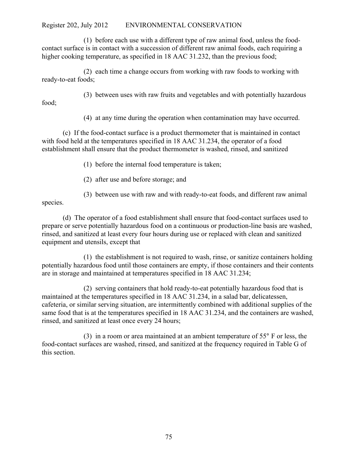(1) before each use with a different type of raw animal food, unless the foodcontact surface is in contact with a succession of different raw animal foods, each requiring a higher cooking temperature, as specified in 18 AAC 31.232, than the previous food;

(2) each time a change occurs from working with raw foods to working with ready-to-eat foods;

(3) between uses with raw fruits and vegetables and with potentially hazardous

(4) at any time during the operation when contamination may have occurred.

(c) If the food-contact surface is a product thermometer that is maintained in contact with food held at the temperatures specified in 18 AAC 31.234, the operator of a food establishment shall ensure that the product thermometer is washed, rinsed, and sanitized

(1) before the internal food temperature is taken;

(2) after use and before storage; and

(3) between use with raw and with ready-to-eat foods, and different raw animal

species.

food;

(d) The operator of a food establishment shall ensure that food-contact surfaces used to prepare or serve potentially hazardous food on a continuous or production-line basis are washed, rinsed, and sanitized at least every four hours during use or replaced with clean and sanitized equipment and utensils, except that

(1) the establishment is not required to wash, rinse, or sanitize containers holding potentially hazardous food until those containers are empty, if those containers and their contents are in storage and maintained at temperatures specified in 18 AAC 31.234;

(2) serving containers that hold ready-to-eat potentially hazardous food that is maintained at the temperatures specified in 18 AAC 31.234, in a salad bar, delicatessen, cafeteria, or similar serving situation, are intermittently combined with additional supplies of the same food that is at the temperatures specified in 18 AAC 31.234, and the containers are washed, rinsed, and sanitized at least once every 24 hours;

(3) in a room or area maintained at an ambient temperature of 55° F or less, the food-contact surfaces are washed, rinsed, and sanitized at the frequency required in Table G of this section.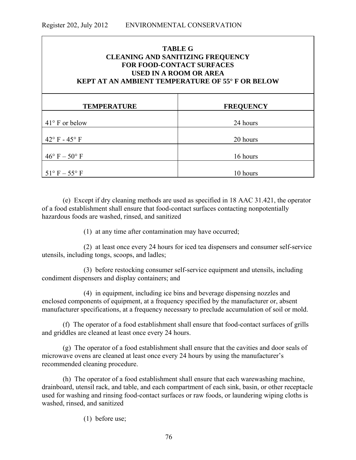| <b>TABLE G</b><br><b>CLEANING AND SANITIZING FREQUENCY</b><br><b>FOR FOOD-CONTACT SURFACES</b><br><b>USED IN A ROOM OR AREA</b><br><b>KEPT AT AN AMBIENT TEMPERATURE OF 55° F OR BELOW</b> |                  |  |
|--------------------------------------------------------------------------------------------------------------------------------------------------------------------------------------------|------------------|--|
| <b>TEMPERATURE</b>                                                                                                                                                                         | <b>FREQUENCY</b> |  |
| $41^{\circ}$ F or below                                                                                                                                                                    | 24 hours         |  |
| $42^{\circ}$ F - $45^{\circ}$ F                                                                                                                                                            | 20 hours         |  |
| $46^{\circ}$ F $-50^{\circ}$ F                                                                                                                                                             | 16 hours         |  |
| $51^\circ$ F $- 55^\circ$ F                                                                                                                                                                | 10 hours         |  |

(e) Except if dry cleaning methods are used as specified in 18 AAC 31.421, the operator of a food establishment shall ensure that food-contact surfaces contacting nonpotentially hazardous foods are washed, rinsed, and sanitized

(1) at any time after contamination may have occurred;

(2) at least once every 24 hours for iced tea dispensers and consumer self-service utensils, including tongs, scoops, and ladles;

(3) before restocking consumer self-service equipment and utensils, including condiment dispensers and display containers; and

(4) in equipment, including ice bins and beverage dispensing nozzles and enclosed components of equipment, at a frequency specified by the manufacturer or, absent manufacturer specifications, at a frequency necessary to preclude accumulation of soil or mold.

(f) The operator of a food establishment shall ensure that food-contact surfaces of grills and griddles are cleaned at least once every 24 hours.

(g) The operator of a food establishment shall ensure that the cavities and door seals of microwave ovens are cleaned at least once every 24 hours by using the manufacturer's recommended cleaning procedure.

(h) The operator of a food establishment shall ensure that each warewashing machine, drainboard, utensil rack, and table, and each compartment of each sink, basin, or other receptacle used for washing and rinsing food-contact surfaces or raw foods, or laundering wiping cloths is washed, rinsed, and sanitized

(1) before use;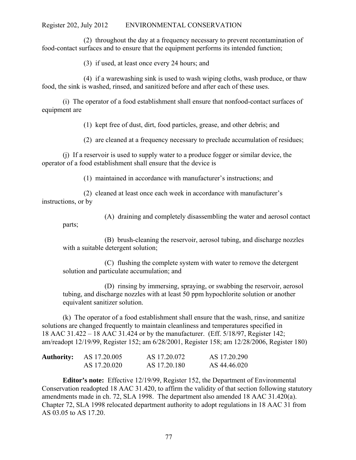(2) throughout the day at a frequency necessary to prevent recontamination of food-contact surfaces and to ensure that the equipment performs its intended function;

(3) if used, at least once every 24 hours; and

(4) if a warewashing sink is used to wash wiping cloths, wash produce, or thaw food, the sink is washed, rinsed, and sanitized before and after each of these uses.

(i) The operator of a food establishment shall ensure that nonfood-contact surfaces of equipment are

(1) kept free of dust, dirt, food particles, grease, and other debris; and

(2) are cleaned at a frequency necessary to preclude accumulation of residues;

(j) If a reservoir is used to supply water to a produce fogger or similar device, the operator of a food establishment shall ensure that the device is

(1) maintained in accordance with manufacturer's instructions; and

(2) cleaned at least once each week in accordance with manufacturer's instructions, or by

(A) draining and completely disassembling the water and aerosol contact parts;

(B) brush-cleaning the reservoir, aerosol tubing, and discharge nozzles with a suitable detergent solution;

(C) flushing the complete system with water to remove the detergent solution and particulate accumulation; and

(D) rinsing by immersing, spraying, or swabbing the reservoir, aerosol tubing, and discharge nozzles with at least 50 ppm hypochlorite solution or another equivalent sanitizer solution.

(k) The operator of a food establishment shall ensure that the wash, rinse, and sanitize solutions are changed frequently to maintain cleanliness and temperatures specified in 18 AAC 31.422 – 18 AAC 31.424 or by the manufacturer. (Eff. 5/18/97, Register 142; am/readopt 12/19/99, Register 152; am 6/28/2001, Register 158; am 12/28/2006, Register 180)

| <b>Authority:</b> | AS 17.20.005 | AS 17.20.072 | AS 17.20.290 |
|-------------------|--------------|--------------|--------------|
|                   | AS 17.20.020 | AS 17.20.180 | AS 44.46.020 |

**Editor's note:** Effective 12/19/99, Register 152, the Department of Environmental Conservation readopted 18 AAC 31.420, to affirm the validity of that section following statutory amendments made in ch. 72, SLA 1998. The department also amended 18 AAC 31.420(a). Chapter 72, SLA 1998 relocated department authority to adopt regulations in 18 AAC 31 from AS 03.05 to AS 17.20.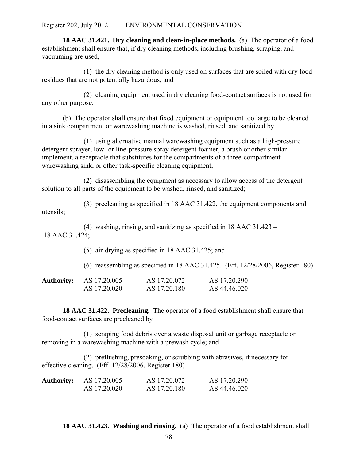**18 AAC 31.421. Dry cleaning and clean-in-place methods.** (a) The operator of a food establishment shall ensure that, if dry cleaning methods, including brushing, scraping, and vacuuming are used,

(1) the dry cleaning method is only used on surfaces that are soiled with dry food residues that are not potentially hazardous; and

(2) cleaning equipment used in dry cleaning food-contact surfaces is not used for any other purpose.

(b) The operator shall ensure that fixed equipment or equipment too large to be cleaned in a sink compartment or warewashing machine is washed, rinsed, and sanitized by

(1) using alternative manual warewashing equipment such as a high-pressure detergent sprayer, low- or line-pressure spray detergent foamer, a brush or other similar implement, a receptacle that substitutes for the compartments of a three-compartment warewashing sink, or other task-specific cleaning equipment;

(2) disassembling the equipment as necessary to allow access of the detergent solution to all parts of the equipment to be washed, rinsed, and sanitized;

(3) precleaning as specified in 18 AAC 31.422, the equipment components and utensils;

(4) washing, rinsing, and sanitizing as specified in 18 AAC 31.423 – 18 AAC 31.424;

(5) air-drying as specified in 18 AAC 31.425; and

(6) reassembling as specified in 18 AAC 31.425. (Eff. 12/28/2006, Register 180)

| <b>Authority:</b> | AS 17.20.005 | AS 17.20.072 | AS 17.20.290 |
|-------------------|--------------|--------------|--------------|
|                   | AS 17.20.020 | AS 17.20.180 | AS 44.46.020 |

**18 AAC 31.422. Precleaning.** The operator of a food establishment shall ensure that food-contact surfaces are precleaned by

(1) scraping food debris over a waste disposal unit or garbage receptacle or removing in a warewashing machine with a prewash cycle; and

(2) preflushing, presoaking, or scrubbing with abrasives, if necessary for effective cleaning. (Eff. 12/28/2006, Register 180)

| <b>Authority:</b> | AS 17.20.005 | AS 17.20.072 | AS 17.20.290 |
|-------------------|--------------|--------------|--------------|
|                   | AS 17.20.020 | AS 17.20.180 | AS 44.46.020 |

**18 AAC 31.423. Washing and rinsing.** (a) The operator of a food establishment shall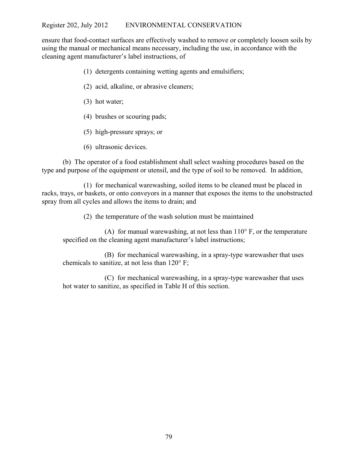ensure that food-contact surfaces are effectively washed to remove or completely loosen soils by using the manual or mechanical means necessary, including the use, in accordance with the cleaning agent manufacturer's label instructions, of

- (1) detergents containing wetting agents and emulsifiers;
- (2) acid, alkaline, or abrasive cleaners;
- (3) hot water;
- (4) brushes or scouring pads;
- (5) high-pressure sprays; or
- (6) ultrasonic devices.

(b) The operator of a food establishment shall select washing procedures based on the type and purpose of the equipment or utensil, and the type of soil to be removed. In addition,

(1) for mechanical warewashing, soiled items to be cleaned must be placed in racks, trays, or baskets, or onto conveyors in a manner that exposes the items to the unobstructed spray from all cycles and allows the items to drain; and

(2) the temperature of the wash solution must be maintained

(A) for manual warewashing, at not less than  $110^{\circ}$  F, or the temperature specified on the cleaning agent manufacturer's label instructions;

(B) for mechanical warewashing, in a spray-type warewasher that uses chemicals to sanitize, at not less than 120° F;

(C) for mechanical warewashing, in a spray-type warewasher that uses hot water to sanitize, as specified in Table H of this section.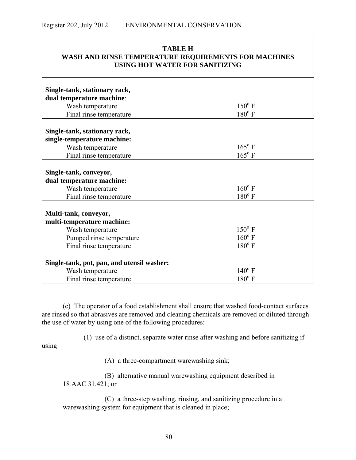| <b>TABLE H</b><br>WASH AND RINSE TEMPERATURE REQUIREMENTS FOR MACHINES<br><b>USING HOT WATER FOR SANITIZING</b>                |                                                       |  |  |
|--------------------------------------------------------------------------------------------------------------------------------|-------------------------------------------------------|--|--|
| Single-tank, stationary rack,<br>dual temperature machine:<br>Wash temperature<br>Final rinse temperature                      | $150^{\circ}$ F<br>$180^{\circ}$ F                    |  |  |
| Single-tank, stationary rack,<br>single-temperature machine:<br>Wash temperature<br>Final rinse temperature                    | $165^{\circ}$ F<br>$165^{\circ}$ F                    |  |  |
| Single-tank, conveyor,<br>dual temperature machine:<br>Wash temperature<br>Final rinse temperature                             | $160^{\circ}$ F<br>$180^{\circ}$ F                    |  |  |
| Multi-tank, conveyor,<br>multi-temperature machine:<br>Wash temperature<br>Pumped rinse temperature<br>Final rinse temperature | $150^{\circ}$ F<br>$160^{\circ}$ F<br>$180^{\circ}$ F |  |  |
| Single-tank, pot, pan, and utensil washer:<br>Wash temperature<br>Final rinse temperature                                      | $140^{\circ}$ F<br>$180^{\circ}$ F                    |  |  |

(c) The operator of a food establishment shall ensure that washed food-contact surfaces are rinsed so that abrasives are removed and cleaning chemicals are removed or diluted through the use of water by using one of the following procedures:

(1) use of a distinct, separate water rinse after washing and before sanitizing if

(A) a three-compartment warewashing sink;

using

Т

(B) alternative manual warewashing equipment described in 18 AAC 31.421; or

(C) a three-step washing, rinsing, and sanitizing procedure in a warewashing system for equipment that is cleaned in place;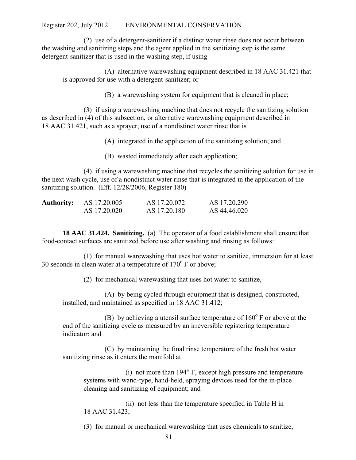(2) use of a detergent-sanitizer if a distinct water rinse does not occur between the washing and sanitizing steps and the agent applied in the sanitizing step is the same detergent-sanitizer that is used in the washing step, if using

(A) alternative warewashing equipment described in 18 AAC 31.421 that is approved for use with a detergent-sanitizer; or

(B) a warewashing system for equipment that is cleaned in place;

(3) if using a warewashing machine that does not recycle the sanitizing solution as described in (4) of this subsection, or alternative warewashing equipment described in 18 AAC 31.421, such as a sprayer, use of a nondistinct water rinse that is

(A) integrated in the application of the sanitizing solution; and

(B) wasted immediately after each application;

(4) if using a warewashing machine that recycles the sanitizing solution for use in the next wash cycle, use of a nondistinct water rinse that is integrated in the application of the sanitizing solution. (Eff. 12/28/2006, Register 180)

| <b>Authority:</b> | AS 17.20.005 | AS 17.20.072 | AS 17.20.290 |
|-------------------|--------------|--------------|--------------|
|                   | AS 17.20.020 | AS 17.20.180 | AS 44.46.020 |

**18 AAC 31.424. Sanitizing.** (a) The operator of a food establishment shall ensure that food-contact surfaces are sanitized before use after washing and rinsing as follows:

(1) for manual warewashing that uses hot water to sanitize, immersion for at least 30 seconds in clean water at a temperature of  $170^{\circ}$  F or above;

(2) for mechanical warewashing that uses hot water to sanitize,

(A) by being cycled through equipment that is designed, constructed, installed, and maintained as specified in 18 AAC 31.412;

(B) by achieving a utensil surface temperature of  $160^{\circ}$  F or above at the end of the sanitizing cycle as measured by an irreversible registering temperature indicator; and

(C) by maintaining the final rinse temperature of the fresh hot water sanitizing rinse as it enters the manifold at

(i) not more than 194° F, except high pressure and temperature systems with wand-type, hand-held, spraying devices used for the in-place cleaning and sanitizing of equipment; and

(ii) not less than the temperature specified in Table H in 18 AAC 31.423;

(3) for manual or mechanical warewashing that uses chemicals to sanitize,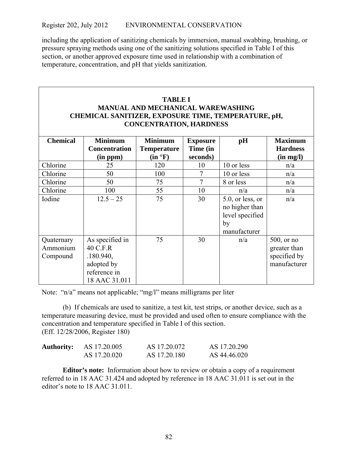including the application of sanitizing chemicals by immersion, manual swabbing, brushing, or pressure spraying methods using one of the sanitizing solutions specified in Table I of this section, or another approved exposure time used in relationship with a combination of temperature, concentration, and pH that yields sanitization.

# **TABLE I MANUAL AND MECHANICAL WAREWASHING CHEMICAL SANITIZER, EXPOSURE TIME, TEMPERATURE, pH, CONCENTRATION, HARDNESS**

| <b>Chemical</b>                    | <b>Minimum</b>                                                                          | <b>Minimum</b>     | <b>Exposure</b> | pH                                                                             | <b>Maximum</b>                                                |
|------------------------------------|-----------------------------------------------------------------------------------------|--------------------|-----------------|--------------------------------------------------------------------------------|---------------------------------------------------------------|
|                                    | <b>Concentration</b>                                                                    | <b>Temperature</b> | Time (in        |                                                                                | <b>Hardness</b>                                               |
|                                    | (in ppm)                                                                                | (in °F)            | seconds)        |                                                                                | (in mg/l)                                                     |
| Chlorine                           | 25                                                                                      | 120                | 10              | 10 or less                                                                     | n/a                                                           |
| Chlorine                           | 50                                                                                      | 100                | 7               | 10 or less                                                                     | n/a                                                           |
| Chlorine                           | 50                                                                                      | 75                 | 7               | 8 or less                                                                      | n/a                                                           |
| Chlorine                           | 100                                                                                     | 55                 | 10              | n/a                                                                            | n/a                                                           |
| Iodine                             | $12.5 - 25$                                                                             | 75                 | 30              | $5.0$ , or less, or<br>no higher than<br>level specified<br>by<br>manufacturer | n/a                                                           |
| Quaternary<br>Ammonium<br>Compound | As specified in<br>40 C.F.R<br>.180.940,<br>adopted by<br>reference in<br>18 AAC 31.011 | 75                 | 30              | n/a                                                                            | $500$ , or no<br>greater than<br>specified by<br>manufacturer |

Note: "n/a" means not applicable; "mg/l" means milligrams per liter

(b) If chemicals are used to sanitize, a test kit, test strips, or another device, such as a temperature measuring device, must be provided and used often to ensure compliance with the concentration and temperature specified in Table I of this section. (Eff. 12/28/2006, Register 180)

| <b>Authority:</b> | AS 17.20.005 | AS 17.20.072 | AS 17.20.290 |
|-------------------|--------------|--------------|--------------|
|                   | AS 17.20.020 | AS 17.20.180 | AS 44.46.020 |

**Editor's note:** Information about how to review or obtain a copy of a requirement referred to in 18 AAC 31.424 and adopted by reference in 18 AAC 31.011 is set out in the editor's note to 18 AAC 31.011.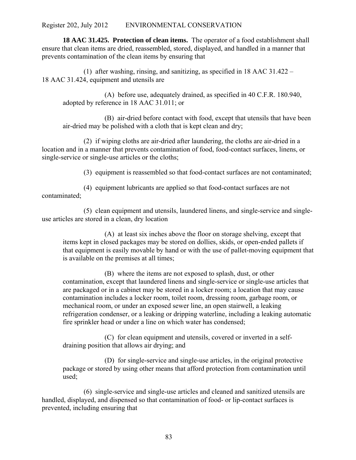**18 AAC 31.425. Protection of clean items.** The operator of a food establishment shall ensure that clean items are dried, reassembled, stored, displayed, and handled in a manner that prevents contamination of the clean items by ensuring that

(1) after washing, rinsing, and sanitizing, as specified in 18 AAC 31.422 – 18 AAC 31.424, equipment and utensils are

(A) before use, adequately drained, as specified in 40 C.F.R. 180.940, adopted by reference in 18 AAC 31.011; or

(B) air-dried before contact with food, except that utensils that have been air-dried may be polished with a cloth that is kept clean and dry;

(2) if wiping cloths are air-dried after laundering, the cloths are air-dried in a location and in a manner that prevents contamination of food, food-contact surfaces, linens, or single-service or single-use articles or the cloths;

(3) equipment is reassembled so that food-contact surfaces are not contaminated;

(4) equipment lubricants are applied so that food-contact surfaces are not contaminated;

(5) clean equipment and utensils, laundered linens, and single-service and singleuse articles are stored in a clean, dry location

(A) at least six inches above the floor on storage shelving, except that items kept in closed packages may be stored on dollies, skids, or open-ended pallets if that equipment is easily movable by hand or with the use of pallet-moving equipment that is available on the premises at all times;

(B) where the items are not exposed to splash, dust, or other contamination, except that laundered linens and single-service or single-use articles that are packaged or in a cabinet may be stored in a locker room; a location that may cause contamination includes a locker room, toilet room, dressing room, garbage room, or mechanical room, or under an exposed sewer line, an open stairwell, a leaking refrigeration condenser, or a leaking or dripping waterline, including a leaking automatic fire sprinkler head or under a line on which water has condensed;

(C) for clean equipment and utensils, covered or inverted in a selfdraining position that allows air drying; and

(D) for single-service and single-use articles, in the original protective package or stored by using other means that afford protection from contamination until used;

(6) single-service and single-use articles and cleaned and sanitized utensils are handled, displayed, and dispensed so that contamination of food- or lip-contact surfaces is prevented, including ensuring that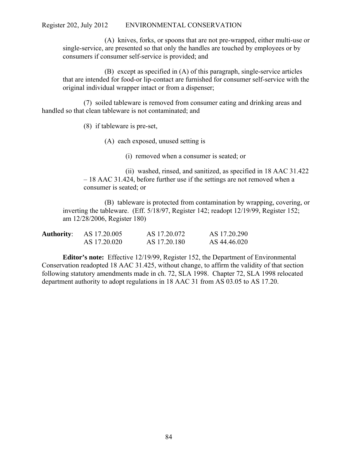(A) knives, forks, or spoons that are not pre-wrapped, either multi-use or single-service, are presented so that only the handles are touched by employees or by consumers if consumer self-service is provided; and

(B) except as specified in (A) of this paragraph, single-service articles that are intended for food-or lip-contact are furnished for consumer self-service with the original individual wrapper intact or from a dispenser;

(7) soiled tableware is removed from consumer eating and drinking areas and handled so that clean tableware is not contaminated; and

(8) if tableware is pre-set,

(A) each exposed, unused setting is

(i) removed when a consumer is seated; or

(ii) washed, rinsed, and sanitized, as specified in 18 AAC 31.422 – 18 AAC 31.424, before further use if the settings are not removed when a consumer is seated; or

(B) tableware is protected from contamination by wrapping, covering, or inverting the tableware. (Eff. 5/18/97, Register 142; readopt 12/19/99, Register 152; am 12/28/2006, Register 180)

| <b>Authority:</b> | AS 17.20.005 | AS 17.20.072 | AS 17.20.290 |
|-------------------|--------------|--------------|--------------|
|                   | AS 17.20.020 | AS 17.20.180 | AS 44.46.020 |

**Editor's note:** Effective 12/19/99, Register 152, the Department of Environmental Conservation readopted 18 AAC 31.425, without change, to affirm the validity of that section following statutory amendments made in ch. 72, SLA 1998. Chapter 72, SLA 1998 relocated department authority to adopt regulations in 18 AAC 31 from AS 03.05 to AS 17.20.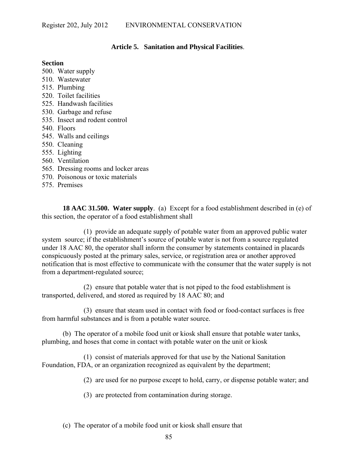# **Article 5. Sanitation and Physical Facilities**.

### **Section**

- 500. Water supply
- 510. Wastewater
- 515. Plumbing
- 520. Toilet facilities
- 525. Handwash facilities
- 530. Garbage and refuse
- 535. Insect and rodent control
- 540. Floors
- 545. Walls and ceilings
- 550. Cleaning
- 555. Lighting
- 560. Ventilation
- 565. Dressing rooms and locker areas
- 570. Poisonous or toxic materials
- 575. Premises

**18 AAC 31.500. Water supply**. (a) Except for a food establishment described in (e) of this section, the operator of a food establishment shall

(1) provide an adequate supply of potable water from an approved public water system source; if the establishment's source of potable water is not from a source regulated under 18 AAC 80, the operator shall inform the consumer by statements contained in placards conspicuously posted at the primary sales, service, or registration area or another approved notification that is most effective to communicate with the consumer that the water supply is not from a department-regulated source;

(2) ensure that potable water that is not piped to the food establishment is transported, delivered, and stored as required by 18 AAC 80; and

(3) ensure that steam used in contact with food or food-contact surfaces is free from harmful substances and is from a potable water source.

(b) The operator of a mobile food unit or kiosk shall ensure that potable water tanks, plumbing, and hoses that come in contact with potable water on the unit or kiosk

(1) consist of materials approved for that use by the National Sanitation Foundation, FDA, or an organization recognized as equivalent by the department;

(2) are used for no purpose except to hold, carry, or dispense potable water; and

- (3) are protected from contamination during storage.
- (c) The operator of a mobile food unit or kiosk shall ensure that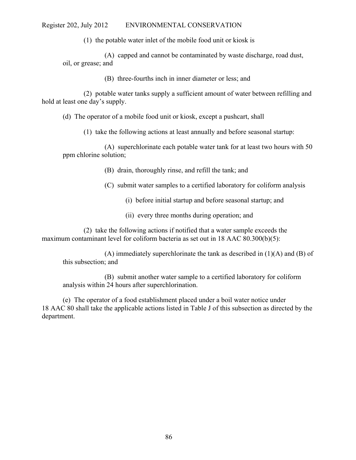(1) the potable water inlet of the mobile food unit or kiosk is

(A) capped and cannot be contaminated by waste discharge, road dust, oil, or grease; and

(B) three-fourths inch in inner diameter or less; and

(2) potable water tanks supply a sufficient amount of water between refilling and hold at least one day's supply.

(d) The operator of a mobile food unit or kiosk, except a pushcart, shall

(1) take the following actions at least annually and before seasonal startup:

(A) superchlorinate each potable water tank for at least two hours with 50 ppm chlorine solution;

(B) drain, thoroughly rinse, and refill the tank; and

(C) submit water samples to a certified laboratory for coliform analysis

(i) before initial startup and before seasonal startup; and

(ii) every three months during operation; and

(2) take the following actions if notified that a water sample exceeds the maximum contaminant level for coliform bacteria as set out in 18 AAC 80.300(b)(5):

(A) immediately superchlorinate the tank as described in  $(1)(A)$  and  $(B)$  of this subsection; and

(B) submit another water sample to a certified laboratory for coliform analysis within 24 hours after superchlorination.

(e) The operator of a food establishment placed under a boil water notice under 18 AAC 80 shall take the applicable actions listed in Table J of this subsection as directed by the department.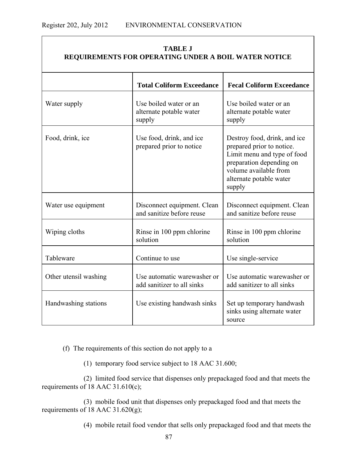| <b>TABLE J</b><br>REQUIREMENTS FOR OPERATING UNDER A BOIL WATER NOTICE |                                                             |                                                                                                                                                                                    |  |
|------------------------------------------------------------------------|-------------------------------------------------------------|------------------------------------------------------------------------------------------------------------------------------------------------------------------------------------|--|
|                                                                        | <b>Total Coliform Exceedance</b>                            | <b>Fecal Coliform Exceedance</b>                                                                                                                                                   |  |
| Water supply                                                           | Use boiled water or an<br>alternate potable water<br>supply | Use boiled water or an<br>alternate potable water<br>supply                                                                                                                        |  |
| Food, drink, ice                                                       | Use food, drink, and ice<br>prepared prior to notice        | Destroy food, drink, and ice<br>prepared prior to notice.<br>Limit menu and type of food<br>preparation depending on<br>volume available from<br>alternate potable water<br>supply |  |
| Water use equipment                                                    | Disconnect equipment. Clean<br>and sanitize before reuse    | Disconnect equipment. Clean<br>and sanitize before reuse                                                                                                                           |  |
| Wiping cloths                                                          | Rinse in 100 ppm chlorine<br>solution                       | Rinse in 100 ppm chlorine<br>solution                                                                                                                                              |  |
| Tableware                                                              | Continue to use                                             | Use single-service                                                                                                                                                                 |  |
| Other utensil washing                                                  | Use automatic warewasher or<br>add sanitizer to all sinks   | Use automatic warewasher or<br>add sanitizer to all sinks                                                                                                                          |  |
| Handwashing stations                                                   | Use existing handwash sinks                                 | Set up temporary handwash<br>sinks using alternate water<br>source                                                                                                                 |  |

# **TABLE J**

(f) The requirements of this section do not apply to a

(1) temporary food service subject to 18 AAC 31.600;

(2) limited food service that dispenses only prepackaged food and that meets the requirements of 18 AAC 31.610(c);

(3) mobile food unit that dispenses only prepackaged food and that meets the requirements of 18 AAC 31.620(g);

(4) mobile retail food vendor that sells only prepackaged food and that meets the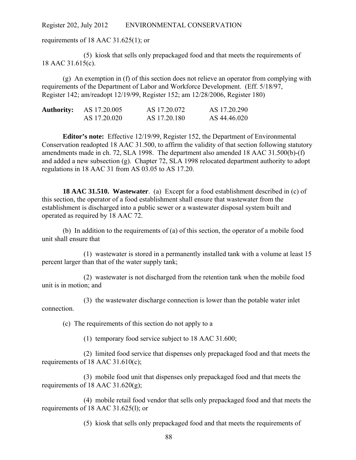requirements of 18 AAC 31.625(1); or

(5) kiosk that sells only prepackaged food and that meets the requirements of 18 AAC 31.615(c).

(g) An exemption in (f) of this section does not relieve an operator from complying with requirements of the Department of Labor and Workforce Development. (Eff. 5/18/97, Register 142; am/readopt 12/19/99, Register 152; am 12/28/2006, Register 180)

| <b>Authority:</b> | AS 17.20.005 | AS 17.20.072 | AS 17.20.290 |
|-------------------|--------------|--------------|--------------|
|                   | AS 17.20.020 | AS 17.20.180 | AS 44.46.020 |

**Editor's note:** Effective 12/19/99, Register 152, the Department of Environmental Conservation readopted 18 AAC 31.500, to affirm the validity of that section following statutory amendments made in ch. 72, SLA 1998. The department also amended 18 AAC 31.500(b)-(f) and added a new subsection (g). Chapter 72, SLA 1998 relocated department authority to adopt regulations in 18 AAC 31 from AS 03.05 to AS 17.20.

**18 AAC 31.510. Wastewater**. (a) Except for a food establishment described in (c) of this section, the operator of a food establishment shall ensure that wastewater from the establishment is discharged into a public sewer or a wastewater disposal system built and operated as required by 18 AAC 72.

(b) In addition to the requirements of (a) of this section, the operator of a mobile food unit shall ensure that

(1) wastewater is stored in a permanently installed tank with a volume at least 15 percent larger than that of the water supply tank;

(2) wastewater is not discharged from the retention tank when the mobile food unit is in motion; and

(3) the wastewater discharge connection is lower than the potable water inlet connection.

(c) The requirements of this section do not apply to a

(1) temporary food service subject to 18 AAC 31.600;

(2) limited food service that dispenses only prepackaged food and that meets the requirements of 18 AAC 31.610(c);

(3) mobile food unit that dispenses only prepackaged food and that meets the requirements of 18 AAC  $31.620(g)$ ;

(4) mobile retail food vendor that sells only prepackaged food and that meets the requirements of 18 AAC 31.625(l); or

(5) kiosk that sells only prepackaged food and that meets the requirements of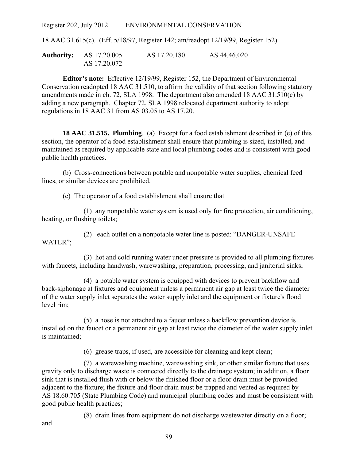18 AAC 31.615(c). (Eff. 5/18/97, Register 142; am/readopt 12/19/99, Register 152)

**Authority:** AS 17.20.005 AS 17.20.180 AS 44.46.020 AS 17.20.072

**Editor's note:** Effective 12/19/99, Register 152, the Department of Environmental Conservation readopted 18 AAC 31.510, to affirm the validity of that section following statutory amendments made in ch. 72, SLA 1998. The department also amended 18 AAC 31.510(c) by adding a new paragraph. Chapter 72, SLA 1998 relocated department authority to adopt regulations in 18 AAC 31 from AS 03.05 to AS 17.20.

**18 AAC 31.515. Plumbing**. (a) Except for a food establishment described in (e) of this section, the operator of a food establishment shall ensure that plumbing is sized, installed, and maintained as required by applicable state and local plumbing codes and is consistent with good public health practices.

(b) Cross-connections between potable and nonpotable water supplies, chemical feed lines, or similar devices are prohibited.

(c) The operator of a food establishment shall ensure that

(1) any nonpotable water system is used only for fire protection, air conditioning, heating, or flushing toilets;

(2) each outlet on a nonpotable water line is posted: "DANGER-UNSAFE WATER";

(3) hot and cold running water under pressure is provided to all plumbing fixtures with faucets, including handwash, warewashing, preparation, processing, and janitorial sinks;

(4) a potable water system is equipped with devices to prevent backflow and back-siphonage at fixtures and equipment unless a permanent air gap at least twice the diameter of the water supply inlet separates the water supply inlet and the equipment or fixture's flood level rim;

(5) a hose is not attached to a faucet unless a backflow prevention device is installed on the faucet or a permanent air gap at least twice the diameter of the water supply inlet is maintained;

(6) grease traps, if used, are accessible for cleaning and kept clean;

(7) a warewashing machine, warewashing sink, or other similar fixture that uses gravity only to discharge waste is connected directly to the drainage system; in addition, a floor sink that is installed flush with or below the finished floor or a floor drain must be provided adjacent to the fixture; the fixture and floor drain must be trapped and vented as required by AS 18.60.705 (State Plumbing Code) and municipal plumbing codes and must be consistent with good public health practices;

(8) drain lines from equipment do not discharge wastewater directly on a floor;

and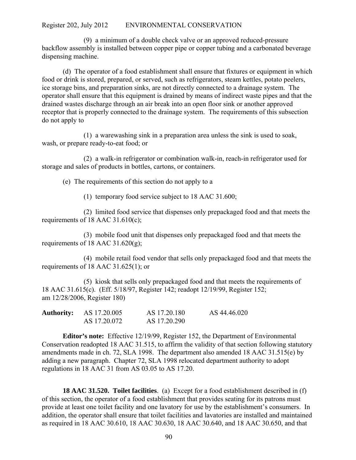(9) a minimum of a double check valve or an approved reduced-pressure backflow assembly is installed between copper pipe or copper tubing and a carbonated beverage dispensing machine.

(d) The operator of a food establishment shall ensure that fixtures or equipment in which food or drink is stored, prepared, or served, such as refrigerators, steam kettles, potato peelers, ice storage bins, and preparation sinks, are not directly connected to a drainage system. The operator shall ensure that this equipment is drained by means of indirect waste pipes and that the drained wastes discharge through an air break into an open floor sink or another approved receptor that is properly connected to the drainage system. The requirements of this subsection do not apply to

(1) a warewashing sink in a preparation area unless the sink is used to soak, wash, or prepare ready-to-eat food; or

(2) a walk-in refrigerator or combination walk-in, reach-in refrigerator used for storage and sales of products in bottles, cartons, or containers.

(e) The requirements of this section do not apply to a

(1) temporary food service subject to 18 AAC 31.600;

(2) limited food service that dispenses only prepackaged food and that meets the requirements of 18 AAC 31.610(c);

(3) mobile food unit that dispenses only prepackaged food and that meets the requirements of 18 AAC 31.620 $(g)$ ;

(4) mobile retail food vendor that sells only prepackaged food and that meets the requirements of 18 AAC 31.625(1); or

(5) kiosk that sells only prepackaged food and that meets the requirements of 18 AAC 31.615(c). (Eff. 5/18/97, Register 142; readopt 12/19/99, Register 152; am 12/28/2006, Register 180)

| <b>Authority:</b> | AS 17.20.005 | AS 17.20.180 | AS 44.46.020 |
|-------------------|--------------|--------------|--------------|
|                   | AS 17.20.072 | AS 17.20.290 |              |

**Editor's note:** Effective 12/19/99, Register 152, the Department of Environmental Conservation readopted 18 AAC 31.515, to affirm the validity of that section following statutory amendments made in ch. 72, SLA 1998. The department also amended 18 AAC 31.515(e) by adding a new paragraph. Chapter 72, SLA 1998 relocated department authority to adopt regulations in 18 AAC 31 from AS 03.05 to AS 17.20.

**18 AAC 31.520. Toilet facilities**. (a) Except for a food establishment described in (f) of this section, the operator of a food establishment that provides seating for its patrons must provide at least one toilet facility and one lavatory for use by the establishment's consumers. In addition, the operator shall ensure that toilet facilities and lavatories are installed and maintained as required in 18 AAC 30.610, 18 AAC 30.630, 18 AAC 30.640, and 18 AAC 30.650, and that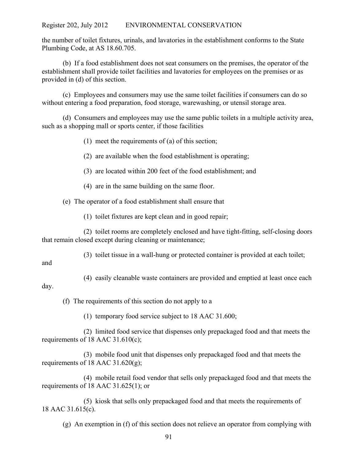the number of toilet fixtures, urinals, and lavatories in the establishment conforms to the State Plumbing Code, at AS 18.60.705.

(b) If a food establishment does not seat consumers on the premises, the operator of the establishment shall provide toilet facilities and lavatories for employees on the premises or as provided in (d) of this section.

(c) Employees and consumers may use the same toilet facilities if consumers can do so without entering a food preparation, food storage, warewashing, or utensil storage area.

(d) Consumers and employees may use the same public toilets in a multiple activity area, such as a shopping mall or sports center, if those facilities

(1) meet the requirements of (a) of this section;

(2) are available when the food establishment is operating;

(3) are located within 200 feet of the food establishment; and

(4) are in the same building on the same floor.

(e) The operator of a food establishment shall ensure that

(1) toilet fixtures are kept clean and in good repair;

(2) toilet rooms are completely enclosed and have tight-fitting, self-closing doors that remain closed except during cleaning or maintenance;

(3) toilet tissue in a wall-hung or protected container is provided at each toilet;

and

(4) easily cleanable waste containers are provided and emptied at least once each day.

(f) The requirements of this section do not apply to a

(1) temporary food service subject to 18 AAC 31.600;

(2) limited food service that dispenses only prepackaged food and that meets the requirements of 18 AAC 31.610(c);

(3) mobile food unit that dispenses only prepackaged food and that meets the requirements of 18 AAC  $31.620(g)$ ;

(4) mobile retail food vendor that sells only prepackaged food and that meets the requirements of 18 AAC 31.625(1); or

(5) kiosk that sells only prepackaged food and that meets the requirements of 18 AAC 31.615(c).

(g) An exemption in (f) of this section does not relieve an operator from complying with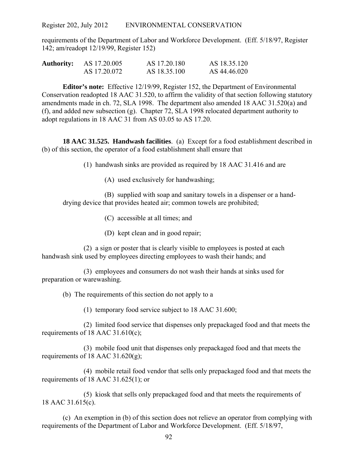requirements of the Department of Labor and Workforce Development. (Eff. 5/18/97, Register 142; am/readopt 12/19/99, Register 152)

| <b>Authority:</b> | AS 17.20.005 | AS 17.20.180 | AS 18.35.120 |
|-------------------|--------------|--------------|--------------|
|                   | AS 17.20.072 | AS 18.35.100 | AS 44.46.020 |

**Editor's note:** Effective 12/19/99, Register 152, the Department of Environmental Conservation readopted 18 AAC 31.520, to affirm the validity of that section following statutory amendments made in ch. 72, SLA 1998. The department also amended 18 AAC 31.520(a) and (f), and added new subsection (g). Chapter 72, SLA 1998 relocated department authority to adopt regulations in 18 AAC 31 from AS 03.05 to AS 17.20.

**18 AAC 31.525. Handwash facilities**. (a) Except for a food establishment described in (b) of this section, the operator of a food establishment shall ensure that

(1) handwash sinks are provided as required by 18 AAC 31.416 and are

(A) used exclusively for handwashing;

(B) supplied with soap and sanitary towels in a dispenser or a handdrying device that provides heated air; common towels are prohibited;

(C) accessible at all times; and

(D) kept clean and in good repair;

(2) a sign or poster that is clearly visible to employees is posted at each handwash sink used by employees directing employees to wash their hands; and

(3) employees and consumers do not wash their hands at sinks used for preparation or warewashing.

(b) The requirements of this section do not apply to a

(1) temporary food service subject to 18 AAC 31.600;

(2) limited food service that dispenses only prepackaged food and that meets the requirements of 18 AAC 31.610(c);

(3) mobile food unit that dispenses only prepackaged food and that meets the requirements of 18 AAC 31.620 $(g)$ ;

(4) mobile retail food vendor that sells only prepackaged food and that meets the requirements of 18 AAC 31.625(1); or

(5) kiosk that sells only prepackaged food and that meets the requirements of 18 AAC 31.615(c).

(c) An exemption in (b) of this section does not relieve an operator from complying with requirements of the Department of Labor and Workforce Development. (Eff. 5/18/97,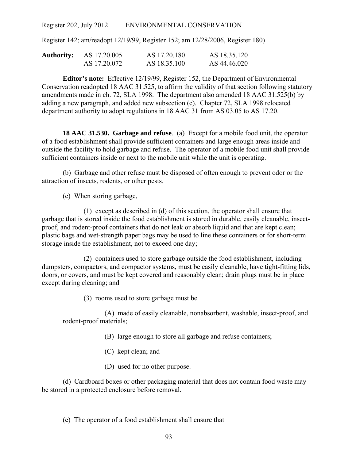Register 142; am/readopt 12/19/99, Register 152; am 12/28/2006, Register 180)

| Authority: | AS 17.20.005 | AS 17.20.180 | AS 18.35.120 |
|------------|--------------|--------------|--------------|
|            | AS 17.20.072 | AS 18.35.100 | AS 44.46.020 |

**Editor's note:** Effective 12/19/99, Register 152, the Department of Environmental Conservation readopted 18 AAC 31.525, to affirm the validity of that section following statutory amendments made in ch. 72, SLA 1998. The department also amended 18 AAC 31.525(b) by adding a new paragraph, and added new subsection (c). Chapter 72, SLA 1998 relocated department authority to adopt regulations in 18 AAC 31 from AS 03.05 to AS 17.20.

**18 AAC 31.530. Garbage and refuse**. (a) Except for a mobile food unit, the operator of a food establishment shall provide sufficient containers and large enough areas inside and outside the facility to hold garbage and refuse. The operator of a mobile food unit shall provide sufficient containers inside or next to the mobile unit while the unit is operating.

(b) Garbage and other refuse must be disposed of often enough to prevent odor or the attraction of insects, rodents, or other pests.

(c) When storing garbage,

(1) except as described in (d) of this section, the operator shall ensure that garbage that is stored inside the food establishment is stored in durable, easily cleanable, insectproof, and rodent-proof containers that do not leak or absorb liquid and that are kept clean; plastic bags and wet-strength paper bags may be used to line these containers or for short-term storage inside the establishment, not to exceed one day;

(2) containers used to store garbage outside the food establishment, including dumpsters, compactors, and compactor systems, must be easily cleanable, have tight-fitting lids, doors, or covers, and must be kept covered and reasonably clean; drain plugs must be in place except during cleaning; and

(3) rooms used to store garbage must be

(A) made of easily cleanable, nonabsorbent, washable, insect-proof, and rodent-proof materials;

- (B) large enough to store all garbage and refuse containers;
- (C) kept clean; and
- (D) used for no other purpose.

(d) Cardboard boxes or other packaging material that does not contain food waste may be stored in a protected enclosure before removal.

### (e) The operator of a food establishment shall ensure that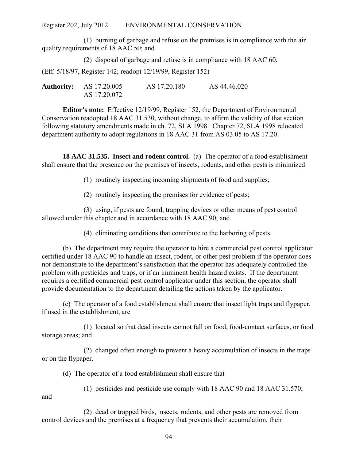(1) burning of garbage and refuse on the premises is in compliance with the air quality requirements of 18 AAC 50; and

(2) disposal of garbage and refuse is in compliance with 18 AAC 60. (Eff. 5/18/97, Register 142; readopt 12/19/99, Register 152)

**Authority:** AS 17.20.005 AS 17.20.180 AS 44.46.020 AS 17.20.072

**Editor's note:** Effective 12/19/99, Register 152, the Department of Environmental Conservation readopted 18 AAC 31.530, without change, to affirm the validity of that section following statutory amendments made in ch. 72, SLA 1998. Chapter 72, SLA 1998 relocated department authority to adopt regulations in 18 AAC 31 from AS 03.05 to AS 17.20.

**18 AAC 31.535. Insect and rodent control.** (a) The operator of a food establishment shall ensure that the presence on the premises of insects, rodents, and other pests is minimized

(1) routinely inspecting incoming shipments of food and supplies;

(2) routinely inspecting the premises for evidence of pests;

(3) using, if pests are found, trapping devices or other means of pest control allowed under this chapter and in accordance with 18 AAC 90; and

(4) eliminating conditions that contribute to the harboring of pests.

(b) The department may require the operator to hire a commercial pest control applicator certified under 18 AAC 90 to handle an insect, rodent, or other pest problem if the operator does not demonstrate to the department's satisfaction that the operator has adequately controlled the problem with pesticides and traps, or if an imminent health hazard exists. If the department requires a certified commercial pest control applicator under this section, the operator shall provide documentation to the department detailing the actions taken by the applicator.

(c) The operator of a food establishment shall ensure that insect light traps and flypaper, if used in the establishment, are

(1) located so that dead insects cannot fall on food, food-contact surfaces, or food storage areas; and

(2) changed often enough to prevent a heavy accumulation of insects in the traps or on the flypaper.

(d) The operator of a food establishment shall ensure that

(1) pesticides and pesticide use comply with 18 AAC 90 and 18 AAC 31.570;

and

(2) dead or trapped birds, insects, rodents, and other pests are removed from control devices and the premises at a frequency that prevents their accumulation, their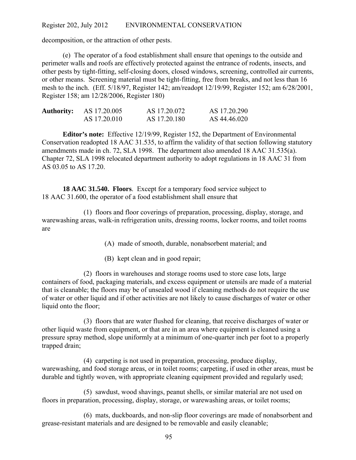decomposition, or the attraction of other pests.

(e) The operator of a food establishment shall ensure that openings to the outside and perimeter walls and roofs are effectively protected against the entrance of rodents, insects, and other pests by tight-fitting, self-closing doors, closed windows, screening, controlled air currents, or other means. Screening material must be tight-fitting, free from breaks, and not less than 16 mesh to the inch. (Eff. 5/18/97, Register 142; am/readopt 12/19/99, Register 152; am 6/28/2001, Register 158; am 12/28/2006, Register 180)

| <b>Authority:</b> | AS 17.20.005 | AS 17.20.072 | AS 17.20.290 |
|-------------------|--------------|--------------|--------------|
|                   | AS 17.20.010 | AS 17.20.180 | AS 44.46.020 |

**Editor's note:** Effective 12/19/99, Register 152, the Department of Environmental Conservation readopted 18 AAC 31.535, to affirm the validity of that section following statutory amendments made in ch. 72, SLA 1998. The department also amended 18 AAC 31.535(a). Chapter 72, SLA 1998 relocated department authority to adopt regulations in 18 AAC 31 from AS 03.05 to AS 17.20.

**18 AAC 31.540. Floors**. Except for a temporary food service subject to 18 AAC 31.600, the operator of a food establishment shall ensure that

(1) floors and floor coverings of preparation, processing, display, storage, and warewashing areas, walk-in refrigeration units, dressing rooms, locker rooms, and toilet rooms are

(A) made of smooth, durable, nonabsorbent material; and

(B) kept clean and in good repair;

(2) floors in warehouses and storage rooms used to store case lots, large containers of food, packaging materials, and excess equipment or utensils are made of a material that is cleanable; the floors may be of unsealed wood if cleaning methods do not require the use of water or other liquid and if other activities are not likely to cause discharges of water or other liquid onto the floor;

(3) floors that are water flushed for cleaning, that receive discharges of water or other liquid waste from equipment, or that are in an area where equipment is cleaned using a pressure spray method, slope uniformly at a minimum of one-quarter inch per foot to a properly trapped drain;

(4) carpeting is not used in preparation, processing, produce display, warewashing, and food storage areas, or in toilet rooms; carpeting, if used in other areas, must be durable and tightly woven, with appropriate cleaning equipment provided and regularly used;

(5) sawdust, wood shavings, peanut shells, or similar material are not used on floors in preparation, processing, display, storage, or warewashing areas, or toilet rooms;

(6) mats, duckboards, and non-slip floor coverings are made of nonabsorbent and grease-resistant materials and are designed to be removable and easily cleanable;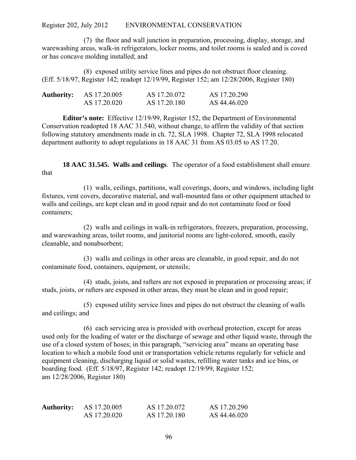(7) the floor and wall junction in preparation, processing, display, storage, and warewashing areas, walk-in refrigerators, locker rooms, and toilet rooms is sealed and is coved or has concave molding installed; and

(8) exposed utility service lines and pipes do not obstruct floor cleaning. (Eff. 5/18/97, Register 142; readopt 12/19/99, Register 152; am 12/28/2006, Register 180)

| <b>Authority:</b> | AS 17.20.005 | AS 17.20.072 | AS 17.20.290 |
|-------------------|--------------|--------------|--------------|
|                   | AS 17.20.020 | AS 17.20.180 | AS 44.46.020 |

**Editor's note:** Effective 12/19/99, Register 152, the Department of Environmental Conservation readopted 18 AAC 31.540, without change, to affirm the validity of that section following statutory amendments made in ch. 72, SLA 1998. Chapter 72, SLA 1998 relocated department authority to adopt regulations in 18 AAC 31 from AS 03.05 to AS 17.20.

**18 AAC 31.545. Walls and ceilings**. The operator of a food establishment shall ensure that

(1) walls, ceilings, partitions, wall coverings, doors, and windows, including light fixtures, vent covers, decorative material, and wall-mounted fans or other equipment attached to walls and ceilings, are kept clean and in good repair and do not contaminate food or food containers;

(2) walls and ceilings in walk-in refrigerators, freezers, preparation, processing, and warewashing areas, toilet rooms, and janitorial rooms are light-colored, smooth, easily cleanable, and nonabsorbent;

(3) walls and ceilings in other areas are cleanable, in good repair, and do not contaminate food, containers, equipment, or utensils;

(4) studs, joists, and rafters are not exposed in preparation or processing areas; if studs, joists, or rafters are exposed in other areas, they must be clean and in good repair;

(5) exposed utility service lines and pipes do not obstruct the cleaning of walls and ceilings; and

(6) each servicing area is provided with overhead protection, except for areas used only for the loading of water or the discharge of sewage and other liquid waste, through the use of a closed system of hoses; in this paragraph, "servicing area" means an operating base location to which a mobile food unit or transportation vehicle returns regularly for vehicle and equipment cleaning, discharging liquid or solid wastes, refilling water tanks and ice bins, or boarding food. (Eff. 5/18/97, Register 142; readopt 12/19/99, Register 152; am 12/28/2006, Register 180)

| <b>Authority:</b> | AS 17.20.005 | AS 17.20.072 | AS 17.20.290 |
|-------------------|--------------|--------------|--------------|
|                   | AS 17.20.020 | AS 17.20.180 | AS 44.46.020 |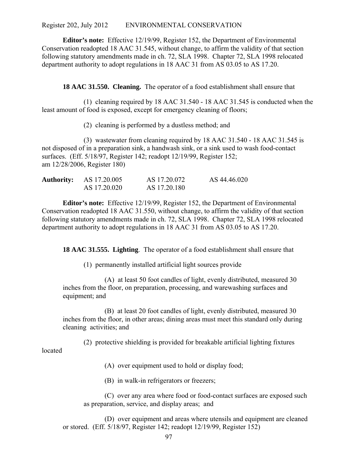**Editor's note:** Effective 12/19/99, Register 152, the Department of Environmental Conservation readopted 18 AAC 31.545, without change, to affirm the validity of that section following statutory amendments made in ch. 72, SLA 1998. Chapter 72, SLA 1998 relocated department authority to adopt regulations in 18 AAC 31 from AS 03.05 to AS 17.20.

**18 AAC 31.550. Cleaning.** The operator of a food establishment shall ensure that

(1) cleaning required by 18 AAC 31.540 - 18 AAC 31.545 is conducted when the least amount of food is exposed, except for emergency cleaning of floors;

(2) cleaning is performed by a dustless method; and

(3) wastewater from cleaning required by 18 AAC 31.540 - 18 AAC 31.545 is not disposed of in a preparation sink, a handwash sink, or a sink used to wash food-contact surfaces. (Eff. 5/18/97, Register 142; readopt 12/19/99, Register 152; am 12/28/2006, Register 180)

| <b>Authority:</b> AS 17.20.005 | AS 17.20.072 | AS 44.46.020 |
|--------------------------------|--------------|--------------|
| AS 17.20.020                   | AS 17.20.180 |              |

**Editor's note:** Effective 12/19/99, Register 152, the Department of Environmental Conservation readopted 18 AAC 31.550, without change, to affirm the validity of that section following statutory amendments made in ch. 72, SLA 1998. Chapter 72, SLA 1998 relocated department authority to adopt regulations in 18 AAC 31 from AS 03.05 to AS 17.20.

**18 AAC 31.555. Lighting**. The operator of a food establishment shall ensure that

(1) permanently installed artificial light sources provide

(A) at least 50 foot candles of light, evenly distributed, measured 30 inches from the floor, on preparation, processing, and warewashing surfaces and equipment; and

(B) at least 20 foot candles of light, evenly distributed, measured 30 inches from the floor, in other areas; dining areas must meet this standard only during cleaning activities; and

(2) protective shielding is provided for breakable artificial lighting fixtures

located

(A) over equipment used to hold or display food;

(B) in walk-in refrigerators or freezers;

(C) over any area where food or food-contact surfaces are exposed such as preparation, service, and display areas; and

(D) over equipment and areas where utensils and equipment are cleaned or stored. (Eff. 5/18/97, Register 142; readopt 12/19/99, Register 152)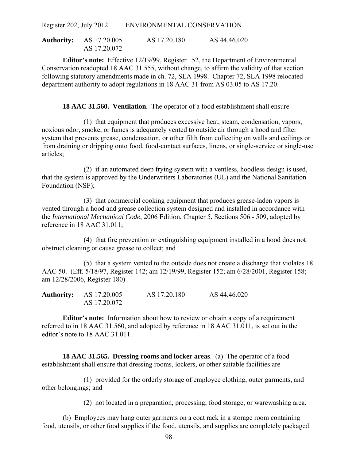| <b>Authority:</b> AS 17.20.005 | AS 17.20.180 | AS 44.46.020 |
|--------------------------------|--------------|--------------|
| AS 17.20.072                   |              |              |

**Editor's note:** Effective 12/19/99, Register 152, the Department of Environmental Conservation readopted 18 AAC 31.555, without change, to affirm the validity of that section following statutory amendments made in ch. 72, SLA 1998. Chapter 72, SLA 1998 relocated department authority to adopt regulations in 18 AAC 31 from AS 03.05 to AS 17.20.

**18 AAC 31.560. Ventilation.** The operator of a food establishment shall ensure

(1) that equipment that produces excessive heat, steam, condensation, vapors, noxious odor, smoke, or fumes is adequately vented to outside air through a hood and filter system that prevents grease, condensation, or other filth from collecting on walls and ceilings or from draining or dripping onto food, food-contact surfaces, linens, or single-service or single-use articles;

(2) if an automated deep frying system with a ventless, hoodless design is used, that the system is approved by the Underwriters Laboratories (UL) and the National Sanitation Foundation (NSF);

(3) that commercial cooking equipment that produces grease-laden vapors is vented through a hood and grease collection system designed and installed in accordance with the *International Mechanical Code*, 2006 Edition, Chapter 5, Sections 506 - 509, adopted by reference in 18 AAC 31.011;

(4) that fire prevention or extinguishing equipment installed in a hood does not obstruct cleaning or cause grease to collect; and

(5) that a system vented to the outside does not create a discharge that violates 18 AAC 50. (Eff. 5/18/97, Register 142; am 12/19/99, Register 152; am 6/28/2001, Register 158; am 12/28/2006, Register 180)

| <b>Authority:</b> AS 17.20.005 | AS 17.20.180 | AS 44.46.020 |
|--------------------------------|--------------|--------------|
| AS 17.20.072                   |              |              |

**Editor's note:** Information about how to review or obtain a copy of a requirement referred to in 18 AAC 31.560, and adopted by reference in 18 AAC 31.011, is set out in the editor's note to 18 AAC 31.011.

**18 AAC 31.565. Dressing rooms and locker areas**. (a) The operator of a food establishment shall ensure that dressing rooms, lockers, or other suitable facilities are

(1) provided for the orderly storage of employee clothing, outer garments, and other belongings; and

(2) not located in a preparation, processing, food storage, or warewashing area.

(b) Employees may hang outer garments on a coat rack in a storage room containing food, utensils, or other food supplies if the food, utensils, and supplies are completely packaged.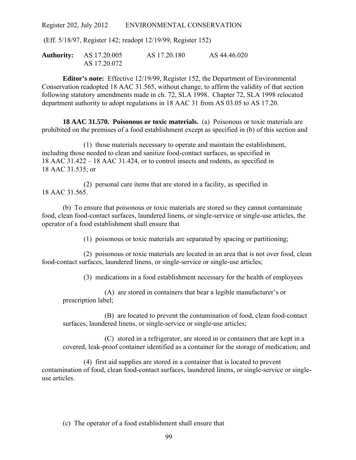(Eff. 5/18/97, Register 142; readopt 12/19/99, Register 152)

**Authority:** AS 17.20.005 AS 17.20.180 AS 44.46.020 AS 17.20.072

**Editor's note:** Effective 12/19/99, Register 152, the Department of Environmental Conservation readopted 18 AAC 31.565, without change, to affirm the validity of that section following statutory amendments made in ch. 72, SLA 1998. Chapter 72, SLA 1998 relocated department authority to adopt regulations in 18 AAC 31 from AS 03.05 to AS 17.20.

**18 AAC 31.570. Poisonous or toxic materials.** (a) Poisonous or toxic materials are prohibited on the premises of a food establishment except as specified in (b) of this section and

(1) those materials necessary to operate and maintain the establishment, including those needed to clean and sanitize food-contact surfaces, as specified in 18 AAC 31.422 – 18 AAC 31.424, or to control insects and rodents, as specified in 18 AAC 31.535; or

(2) personal care items that are stored in a facility, as specified in 18 AAC 31.565.

(b) To ensure that poisonous or toxic materials are stored so they cannot contaminate food, clean food-contact surfaces, laundered linens, or single-service or single-use articles, the operator of a food establishment shall ensure that

(1) poisonous or toxic materials are separated by spacing or partitioning;

(2) poisonous or toxic materials are located in an area that is not over food, clean food-contact surfaces, laundered linens, or single-service or single-use articles;

(3) medications in a food establishment necessary for the health of employees

(A) are stored in containers that bear a legible manufacturer's or prescription label;

(B) are located to prevent the contamination of food, clean food-contact surfaces, laundered linens, or single-service or single-use articles;

(C) stored in a refrigerator, are stored in or containers that are kept in a covered, leak-proof container identified as a container for the storage of medication; and

(4) first aid supplies are stored in a container that is located to prevent contamination of food, clean food-contact surfaces, laundered linens, or single-service or singleuse articles.

(c) The operator of a food establishment shall ensure that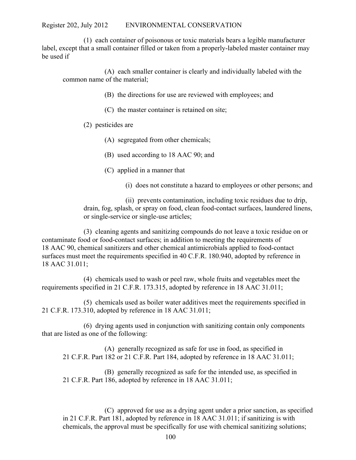(1) each container of poisonous or toxic materials bears a legible manufacturer label, except that a small container filled or taken from a properly-labeled master container may be used if

(A) each smaller container is clearly and individually labeled with the common name of the material;

- (B) the directions for use are reviewed with employees; and
- (C) the master container is retained on site;
- (2) pesticides are
	- (A) segregated from other chemicals;
	- (B) used according to 18 AAC 90; and
	- (C) applied in a manner that
		- (i) does not constitute a hazard to employees or other persons; and

(ii) prevents contamination, including toxic residues due to drip, drain, fog, splash, or spray on food, clean food-contact surfaces, laundered linens, or single-service or single-use articles;

(3) cleaning agents and sanitizing compounds do not leave a toxic residue on or contaminate food or food-contact surfaces; in addition to meeting the requirements of 18 AAC 90, chemical sanitizers and other chemical antimicrobials applied to food-contact surfaces must meet the requirements specified in 40 C.F.R. 180.940, adopted by reference in 18 AAC 31.011;

(4) chemicals used to wash or peel raw, whole fruits and vegetables meet the requirements specified in 21 C.F.R. 173.315, adopted by reference in 18 AAC 31.011;

(5) chemicals used as boiler water additives meet the requirements specified in 21 C.F.R. 173.310, adopted by reference in 18 AAC 31.011;

(6) drying agents used in conjunction with sanitizing contain only components that are listed as one of the following:

(A) generally recognized as safe for use in food, as specified in 21 C.F.R. Part 182 or 21 C.F.R. Part 184, adopted by reference in 18 AAC 31.011;

(B) generally recognized as safe for the intended use, as specified in 21 C.F.R. Part 186, adopted by reference in 18 AAC 31.011;

(C) approved for use as a drying agent under a prior sanction, as specified in 21 C.F.R. Part 181, adopted by reference in 18 AAC 31.011; if sanitizing is with chemicals, the approval must be specifically for use with chemical sanitizing solutions;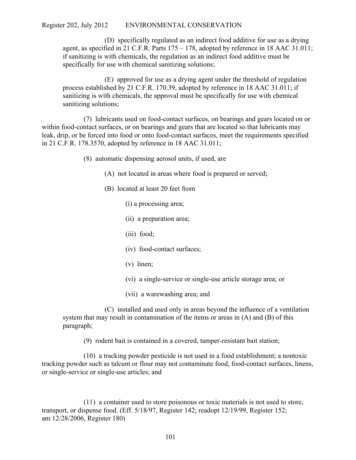(D) specifically regulated as an indirect food additive for use as a drying agent, as specified in 21 C.F.R. Parts  $175 - 178$ , adopted by reference in 18 AAC 31.011; if sanitizing is with chemicals, the regulation as an indirect food additive must be specifically for use with chemical sanitizing solutions;

(E) approved for use as a drying agent under the threshold of regulation process established by 21 C.F.R. 170.39, adopted by reference in 18 AAC 31.011; if sanitizing is with chemicals, the approval must be specifically for use with chemical sanitizing solutions;

(7) lubricants used on food-contact surfaces, on bearings and gears located on or within food-contact surfaces, or on bearings and gears that are located so that lubricants may leak, drip, or be forced into food or onto food-contact surfaces, meet the requirements specified in 21 C.F.R. 178.3570, adopted by reference in 18 AAC 31.011;

(8) automatic dispensing aerosol units, if used, are

- (A) not located in areas where food is prepared or served;
- (B) located at least 20 feet from
	- (i) a processing area;
	- (ii) a preparation area;
	- (iii) food;
	- (iv) food-contact surfaces;
	- (v) linen;
	- (vi) a single-service or single-use article storage area; or
	- (vii) a warewashing area; and

(C) installed and used only in areas beyond the influence of a ventilation system that may result in contamination of the items or areas in (A) and (B) of this paragraph;

(9) rodent bait is contained in a covered, tamper-resistant bait station;

(10) a tracking powder pesticide is not used in a food establishment; a nontoxic tracking powder such as talcum or flour may not contaminate food, food-contact surfaces, linens, or single-service or single-use articles; and

(11) a container used to store poisonous or toxic materials is not used to store, transport, or dispense food. (Eff. 5/18/97, Register 142; readopt 12/19/99, Register 152; am 12/28/2006, Register 180)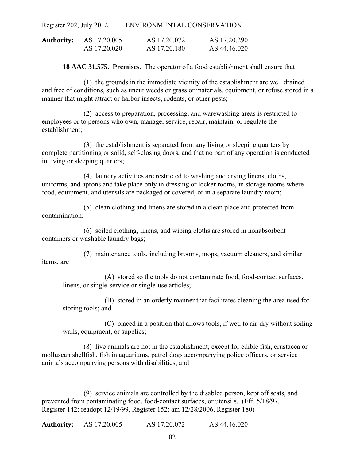| <b>Authority:</b> | AS 17.20.005 | AS 17.20.072 | AS 17.20.290 |
|-------------------|--------------|--------------|--------------|
|                   | AS 17.20.020 | AS 17.20.180 | AS 44.46.020 |

**18 AAC 31.575. Premises**. The operator of a food establishment shall ensure that

(1) the grounds in the immediate vicinity of the establishment are well drained and free of conditions, such as uncut weeds or grass or materials, equipment, or refuse stored in a manner that might attract or harbor insects, rodents, or other pests;

(2) access to preparation, processing, and warewashing areas is restricted to employees or to persons who own, manage, service, repair, maintain, or regulate the establishment;

(3) the establishment is separated from any living or sleeping quarters by complete partitioning or solid, self-closing doors, and that no part of any operation is conducted in living or sleeping quarters;

(4) laundry activities are restricted to washing and drying linens, cloths, uniforms, and aprons and take place only in dressing or locker rooms, in storage rooms where food, equipment, and utensils are packaged or covered, or in a separate laundry room;

(5) clean clothing and linens are stored in a clean place and protected from contamination;

(6) soiled clothing, linens, and wiping cloths are stored in nonabsorbent containers or washable laundry bags;

(7) maintenance tools, including brooms, mops, vacuum cleaners, and similar items, are

(A) stored so the tools do not contaminate food, food-contact surfaces, linens, or single-service or single-use articles;

(B) stored in an orderly manner that facilitates cleaning the area used for storing tools; and

(C) placed in a position that allows tools, if wet, to air-dry without soiling walls, equipment, or supplies;

(8) live animals are not in the establishment, except for edible fish, crustacea or molluscan shellfish, fish in aquariums, patrol dogs accompanying police officers, or service animals accompanying persons with disabilities; and

(9) service animals are controlled by the disabled person, kept off seats, and prevented from contaminating food, food-contact surfaces, or utensils. (Eff. 5/18/97, Register 142; readopt 12/19/99, Register 152; am 12/28/2006, Register 180)

**Authority:** AS 17.20.005 AS 17.20.072 AS 44.46.020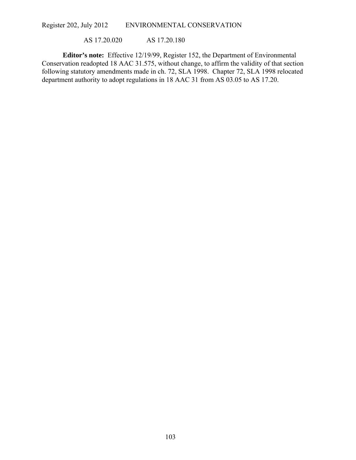AS 17.20.020 AS 17.20.180

**Editor's note:** Effective 12/19/99, Register 152, the Department of Environmental Conservation readopted 18 AAC 31.575, without change, to affirm the validity of that section following statutory amendments made in ch. 72, SLA 1998. Chapter 72, SLA 1998 relocated department authority to adopt regulations in 18 AAC 31 from AS 03.05 to AS 17.20.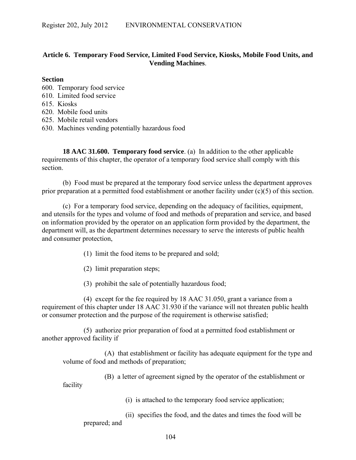# **Article 6. Temporary Food Service, Limited Food Service, Kiosks, Mobile Food Units, and Vending Machines**.

# **Section**

600. Temporary food service

- 610. Limited food service
- 615. Kiosks
- 620. Mobile food units
- 625. Mobile retail vendors
- 630. Machines vending potentially hazardous food

**18 AAC 31.600. Temporary food service**. (a) In addition to the other applicable requirements of this chapter, the operator of a temporary food service shall comply with this section.

(b) Food must be prepared at the temporary food service unless the department approves prior preparation at a permitted food establishment or another facility under (c)(5) of this section.

(c) For a temporary food service, depending on the adequacy of facilities, equipment, and utensils for the types and volume of food and methods of preparation and service, and based on information provided by the operator on an application form provided by the department, the department will, as the department determines necessary to serve the interests of public health and consumer protection,

(1) limit the food items to be prepared and sold;

(2) limit preparation steps;

(3) prohibit the sale of potentially hazardous food;

(4) except for the fee required by 18 AAC 31.050, grant a variance from a requirement of this chapter under 18 AAC 31.930 if the variance will not threaten public health or consumer protection and the purpose of the requirement is otherwise satisfied;

(5) authorize prior preparation of food at a permitted food establishment or another approved facility if

(A) that establishment or facility has adequate equipment for the type and volume of food and methods of preparation;

(B) a letter of agreement signed by the operator of the establishment or

facility

(i) is attached to the temporary food service application;

(ii) specifies the food, and the dates and times the food will be prepared; and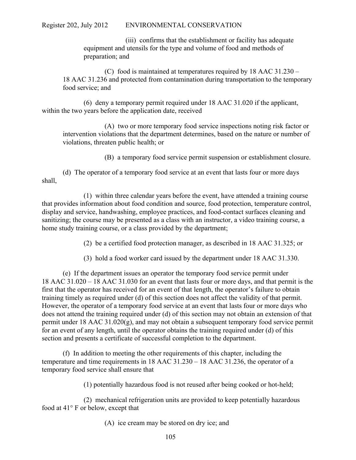(iii) confirms that the establishment or facility has adequate equipment and utensils for the type and volume of food and methods of preparation; and

(C) food is maintained at temperatures required by 18 AAC 31.230 – 18 AAC 31.236 and protected from contamination during transportation to the temporary food service; and

(6) deny a temporary permit required under 18 AAC 31.020 if the applicant, within the two years before the application date, received

(A) two or more temporary food service inspections noting risk factor or intervention violations that the department determines, based on the nature or number of violations, threaten public health; or

(B) a temporary food service permit suspension or establishment closure.

(d) The operator of a temporary food service at an event that lasts four or more days shall,

(1) within three calendar years before the event, have attended a training course that provides information about food condition and source, food protection, temperature control, display and service, handwashing, employee practices, and food-contact surfaces cleaning and sanitizing; the course may be presented as a class with an instructor, a video training course, a home study training course, or a class provided by the department;

(2) be a certified food protection manager, as described in 18 AAC 31.325; or

(3) hold a food worker card issued by the department under 18 AAC 31.330.

(e) If the department issues an operator the temporary food service permit under 18 AAC 31.020 – 18 AAC 31.030 for an event that lasts four or more days, and that permit is the first that the operator has received for an event of that length, the operator's failure to obtain training timely as required under (d) of this section does not affect the validity of that permit. However, the operator of a temporary food service at an event that lasts four or more days who does not attend the training required under (d) of this section may not obtain an extension of that permit under 18 AAC 31.020(g), and may not obtain a subsequent temporary food service permit for an event of any length, until the operator obtains the training required under (d) of this section and presents a certificate of successful completion to the department.

(f) In addition to meeting the other requirements of this chapter, including the temperature and time requirements in 18 AAC 31.230 – 18 AAC 31.236, the operator of a temporary food service shall ensure that

(1) potentially hazardous food is not reused after being cooked or hot-held;

(2) mechanical refrigeration units are provided to keep potentially hazardous food at 41° F or below, except that

(A) ice cream may be stored on dry ice; and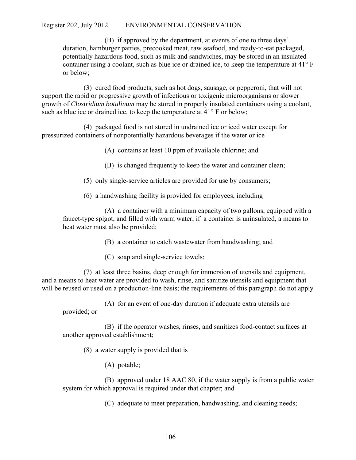(B) if approved by the department, at events of one to three days' duration, hamburger patties, precooked meat, raw seafood, and ready-to-eat packaged, potentially hazardous food, such as milk and sandwiches, may be stored in an insulated container using a coolant, such as blue ice or drained ice, to keep the temperature at 41° F or below;

(3) cured food products, such as hot dogs, sausage, or pepperoni, that will not support the rapid or progressive growth of infectious or toxigenic microorganisms or slower growth of *Clostridium botulinum* may be stored in properly insulated containers using a coolant, such as blue ice or drained ice, to keep the temperature at 41° F or below;

(4) packaged food is not stored in undrained ice or iced water except for pressurized containers of nonpotentially hazardous beverages if the water or ice

(A) contains at least 10 ppm of available chlorine; and

(B) is changed frequently to keep the water and container clean;

(5) only single-service articles are provided for use by consumers;

(6) a handwashing facility is provided for employees, including

(A) a container with a minimum capacity of two gallons, equipped with a faucet-type spigot, and filled with warm water; if a container is uninsulated, a means to heat water must also be provided;

(B) a container to catch wastewater from handwashing; and

(C) soap and single-service towels;

(7) at least three basins, deep enough for immersion of utensils and equipment, and a means to heat water are provided to wash, rinse, and sanitize utensils and equipment that will be reused or used on a production-line basis; the requirements of this paragraph do not apply

(A) for an event of one-day duration if adequate extra utensils are

provided; or

(B) if the operator washes, rinses, and sanitizes food-contact surfaces at another approved establishment;

(8) a water supply is provided that is

(A) potable;

(B) approved under 18 AAC 80, if the water supply is from a public water system for which approval is required under that chapter; and

(C) adequate to meet preparation, handwashing, and cleaning needs;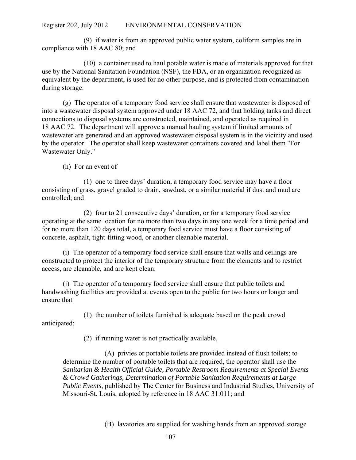(9) if water is from an approved public water system, coliform samples are in compliance with 18 AAC 80; and

(10) a container used to haul potable water is made of materials approved for that use by the National Sanitation Foundation (NSF), the FDA, or an organization recognized as equivalent by the department, is used for no other purpose, and is protected from contamination during storage.

(g) The operator of a temporary food service shall ensure that wastewater is disposed of into a wastewater disposal system approved under 18 AAC 72, and that holding tanks and direct connections to disposal systems are constructed, maintained, and operated as required in 18 AAC 72. The department will approve a manual hauling system if limited amounts of wastewater are generated and an approved wastewater disposal system is in the vicinity and used by the operator. The operator shall keep wastewater containers covered and label them "For Wastewater Only."

(h) For an event of

(1) one to three days' duration, a temporary food service may have a floor consisting of grass, gravel graded to drain, sawdust, or a similar material if dust and mud are controlled; and

(2) four to 21 consecutive days' duration, or for a temporary food service operating at the same location for no more than two days in any one week for a time period and for no more than 120 days total, a temporary food service must have a floor consisting of concrete, asphalt, tight-fitting wood, or another cleanable material.

(i) The operator of a temporary food service shall ensure that walls and ceilings are constructed to protect the interior of the temporary structure from the elements and to restrict access, are cleanable, and are kept clean.

(j) The operator of a temporary food service shall ensure that public toilets and handwashing facilities are provided at events open to the public for two hours or longer and ensure that

(1) the number of toilets furnished is adequate based on the peak crowd anticipated;

(2) if running water is not practically available,

(A) privies or portable toilets are provided instead of flush toilets; to determine the number of portable toilets that are required, the operator shall use the *Sanitarian & Health Official Guide, Portable Restroom Requirements at Special Events & Crowd Gatherings, Determination of Portable Sanitation Requirements at Large Public Events*, published by The Center for Business and Industrial Studies, University of Missouri-St. Louis, adopted by reference in 18 AAC 31.011; and

(B) lavatories are supplied for washing hands from an approved storage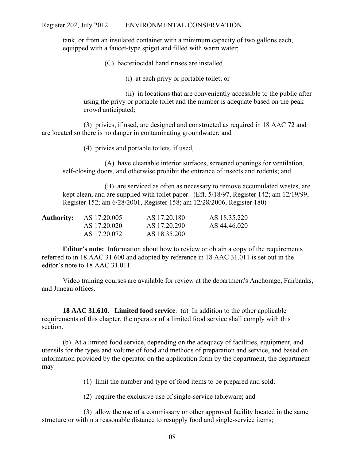tank, or from an insulated container with a minimum capacity of two gallons each, equipped with a faucet-type spigot and filled with warm water;

(C) bacteriocidal hand rinses are installed

(i) at each privy or portable toilet; or

(ii) in locations that are conveniently accessible to the public after using the privy or portable toilet and the number is adequate based on the peak crowd anticipated;

(3) privies, if used, are designed and constructed as required in 18 AAC 72 and are located so there is no danger in contaminating groundwater; and

(4) privies and portable toilets, if used,

(A) have cleanable interior surfaces, screened openings for ventilation, self-closing doors, and otherwise prohibit the entrance of insects and rodents; and

(B) are serviced as often as necessary to remove accumulated wastes, are kept clean, and are supplied with toilet paper. (Eff. 5/18/97, Register 142; am 12/19/99, Register 152; am 6/28/2001, Register 158; am 12/28/2006, Register 180)

| <b>Authority:</b> AS 17.20.005 | AS 17.20.180 | AS 18.35.220 |
|--------------------------------|--------------|--------------|
| AS 17.20.020                   | AS 17.20.290 | AS 44.46.020 |
| AS 17.20.072                   | AS 18.35.200 |              |

**Editor's note:** Information about how to review or obtain a copy of the requirements referred to in 18 AAC 31.600 and adopted by reference in 18 AAC 31.011 is set out in the editor's note to 18 AAC 31.011.

Video training courses are available for review at the department's Anchorage, Fairbanks, and Juneau offices.

**18 AAC 31.610. Limited food service**. (a) In addition to the other applicable requirements of this chapter, the operator of a limited food service shall comply with this section.

(b) At a limited food service, depending on the adequacy of facilities, equipment, and utensils for the types and volume of food and methods of preparation and service, and based on information provided by the operator on the application form by the department, the department may

(1) limit the number and type of food items to be prepared and sold;

(2) require the exclusive use of single-service tableware; and

(3) allow the use of a commissary or other approved facility located in the same structure or within a reasonable distance to resupply food and single-service items;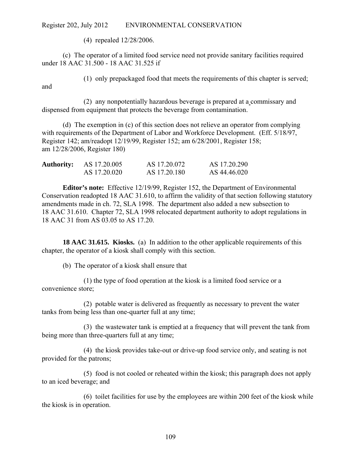(4) repealed 12/28/2006.

(c) The operator of a limited food service need not provide sanitary facilities required under 18 AAC 31.500 - 18 AAC 31.525 if

and

(1) only prepackaged food that meets the requirements of this chapter is served;

(2) any nonpotentially hazardous beverage is prepared at a commissary and dispensed from equipment that protects the beverage from contamination.

(d) The exemption in (c) of this section does not relieve an operator from complying with requirements of the Department of Labor and Workforce Development. (Eff. 5/18/97, Register 142; am/readopt 12/19/99, Register 152; am 6/28/2001, Register 158; am 12/28/2006, Register 180)

| <b>Authority:</b> | AS 17.20.005 | AS 17.20.072 | AS 17.20.290 |
|-------------------|--------------|--------------|--------------|
|                   | AS 17.20.020 | AS 17.20.180 | AS 44.46.020 |

**Editor's note:** Effective 12/19/99, Register 152, the Department of Environmental Conservation readopted 18 AAC 31.610, to affirm the validity of that section following statutory amendments made in ch. 72, SLA 1998. The department also added a new subsection to 18 AAC 31.610. Chapter 72, SLA 1998 relocated department authority to adopt regulations in 18 AAC 31 from AS 03.05 to AS 17.20.

**18 AAC 31.615. Kiosks.** (a) In addition to the other applicable requirements of this chapter, the operator of a kiosk shall comply with this section.

(b) The operator of a kiosk shall ensure that

(1) the type of food operation at the kiosk is a limited food service or a convenience store;

(2) potable water is delivered as frequently as necessary to prevent the water tanks from being less than one-quarter full at any time;

(3) the wastewater tank is emptied at a frequency that will prevent the tank from being more than three-quarters full at any time;

(4) the kiosk provides take-out or drive-up food service only, and seating is not provided for the patrons;

(5) food is not cooled or reheated within the kiosk; this paragraph does not apply to an iced beverage; and

(6) toilet facilities for use by the employees are within 200 feet of the kiosk while the kiosk is in operation.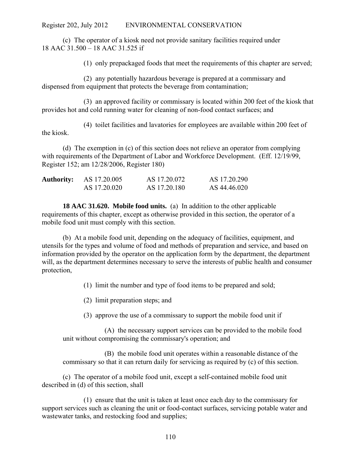(c) The operator of a kiosk need not provide sanitary facilities required under 18 AAC 31.500 – 18 AAC 31.525 if

(1) only prepackaged foods that meet the requirements of this chapter are served;

(2) any potentially hazardous beverage is prepared at a commissary and dispensed from equipment that protects the beverage from contamination;

(3) an approved facility or commissary is located within 200 feet of the kiosk that provides hot and cold running water for cleaning of non-food contact surfaces; and

(4) toilet facilities and lavatories for employees are available within 200 feet of the kiosk.

(d) The exemption in (c) of this section does not relieve an operator from complying with requirements of the Department of Labor and Workforce Development. (Eff. 12/19/99, Register 152; am 12/28/2006, Register 180)

| <b>Authority:</b> | AS 17.20.005 | AS 17.20.072 | AS 17.20.290 |
|-------------------|--------------|--------------|--------------|
|                   | AS 17.20.020 | AS 17.20.180 | AS 44.46.020 |

**18 AAC 31.620. Mobile food units.** (a) In addition to the other applicable requirements of this chapter, except as otherwise provided in this section, the operator of a mobile food unit must comply with this section.

(b) At a mobile food unit, depending on the adequacy of facilities, equipment, and utensils for the types and volume of food and methods of preparation and service, and based on information provided by the operator on the application form by the department, the department will, as the department determines necessary to serve the interests of public health and consumer protection,

(1) limit the number and type of food items to be prepared and sold;

(2) limit preparation steps; and

(3) approve the use of a commissary to support the mobile food unit if

(A) the necessary support services can be provided to the mobile food unit without compromising the commissary's operation; and

(B) the mobile food unit operates within a reasonable distance of the commissary so that it can return daily for servicing as required by (c) of this section.

(c) The operator of a mobile food unit, except a self-contained mobile food unit described in (d) of this section, shall

(1) ensure that the unit is taken at least once each day to the commissary for support services such as cleaning the unit or food-contact surfaces, servicing potable water and wastewater tanks, and restocking food and supplies;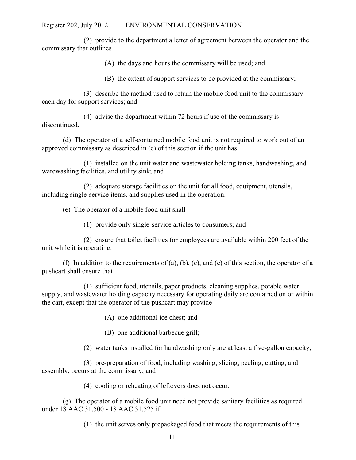(2) provide to the department a letter of agreement between the operator and the commissary that outlines

(A) the days and hours the commissary will be used; and

(B) the extent of support services to be provided at the commissary;

(3) describe the method used to return the mobile food unit to the commissary each day for support services; and

(4) advise the department within 72 hours if use of the commissary is discontinued.

(d) The operator of a self-contained mobile food unit is not required to work out of an approved commissary as described in (c) of this section if the unit has

(1) installed on the unit water and wastewater holding tanks, handwashing, and warewashing facilities, and utility sink; and

(2) adequate storage facilities on the unit for all food, equipment, utensils, including single-service items, and supplies used in the operation.

(e) The operator of a mobile food unit shall

(1) provide only single-service articles to consumers; and

(2) ensure that toilet facilities for employees are available within 200 feet of the unit while it is operating.

(f) In addition to the requirements of (a), (b), (c), and (e) of this section, the operator of a pushcart shall ensure that

(1) sufficient food, utensils, paper products, cleaning supplies, potable water supply, and wastewater holding capacity necessary for operating daily are contained on or within the cart, except that the operator of the pushcart may provide

(A) one additional ice chest; and

(B) one additional barbecue grill;

(2) water tanks installed for handwashing only are at least a five-gallon capacity;

(3) pre-preparation of food, including washing, slicing, peeling, cutting, and assembly, occurs at the commissary; and

(4) cooling or reheating of leftovers does not occur.

(g) The operator of a mobile food unit need not provide sanitary facilities as required under 18 AAC 31.500 - 18 AAC 31.525 if

(1) the unit serves only prepackaged food that meets the requirements of this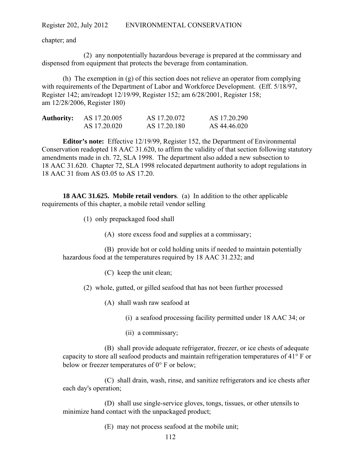chapter; and

(2) any nonpotentially hazardous beverage is prepared at the commissary and dispensed from equipment that protects the beverage from contamination.

(h) The exemption in (g) of this section does not relieve an operator from complying with requirements of the Department of Labor and Workforce Development. (Eff. 5/18/97, Register 142; am/readopt 12/19/99, Register 152; am 6/28/2001, Register 158; am 12/28/2006, Register 180)

| <b>Authority:</b> | AS 17.20.005 | AS 17.20.072 | AS 17.20.290 |
|-------------------|--------------|--------------|--------------|
|                   | AS 17.20.020 | AS 17.20.180 | AS 44.46.020 |

**Editor's note:** Effective 12/19/99, Register 152, the Department of Environmental Conservation readopted 18 AAC 31.620, to affirm the validity of that section following statutory amendments made in ch. 72, SLA 1998. The department also added a new subsection to 18 AAC 31.620. Chapter 72, SLA 1998 relocated department authority to adopt regulations in 18 AAC 31 from AS 03.05 to AS 17.20.

**18 AAC 31.625. Mobile retail vendors**. (a) In addition to the other applicable requirements of this chapter, a mobile retail vendor selling

(1) only prepackaged food shall

(A) store excess food and supplies at a commissary;

(B) provide hot or cold holding units if needed to maintain potentially hazardous food at the temperatures required by 18 AAC 31.232; and

(C) keep the unit clean;

(2) whole, gutted, or gilled seafood that has not been further processed

(A) shall wash raw seafood at

(i) a seafood processing facility permitted under 18 AAC 34; or

(ii) a commissary;

(B) shall provide adequate refrigerator, freezer, or ice chests of adequate capacity to store all seafood products and maintain refrigeration temperatures of  $41^{\circ}$  F or below or freezer temperatures of  $0^{\circ}$  F or below:

(C) shall drain, wash, rinse, and sanitize refrigerators and ice chests after each day's operation;

(D) shall use single-service gloves, tongs, tissues, or other utensils to minimize hand contact with the unpackaged product;

(E) may not process seafood at the mobile unit;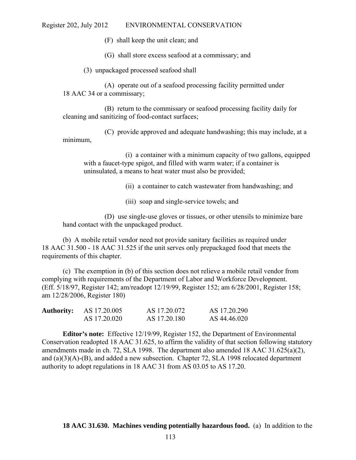(F) shall keep the unit clean; and

(G) shall store excess seafood at a commissary; and

(3) unpackaged processed seafood shall

(A) operate out of a seafood processing facility permitted under 18 AAC 34 or a commissary;

(B) return to the commissary or seafood processing facility daily for cleaning and sanitizing of food-contact surfaces;

(C) provide approved and adequate handwashing; this may include, at a minimum,

(i) a container with a minimum capacity of two gallons, equipped with a faucet-type spigot, and filled with warm water; if a container is uninsulated, a means to heat water must also be provided;

(ii) a container to catch wastewater from handwashing; and

(iii) soap and single-service towels; and

(D) use single-use gloves or tissues, or other utensils to minimize bare hand contact with the unpackaged product.

(b) A mobile retail vendor need not provide sanitary facilities as required under 18 AAC 31.500 - 18 AAC 31.525 if the unit serves only prepackaged food that meets the requirements of this chapter.

(c) The exemption in (b) of this section does not relieve a mobile retail vendor from complying with requirements of the Department of Labor and Workforce Development. (Eff. 5/18/97, Register 142; am/readopt 12/19/99, Register 152; am 6/28/2001, Register 158; am 12/28/2006, Register 180)

| <b>Authority:</b> | AS 17.20.005 | AS 17.20.072 | AS 17.20.290 |
|-------------------|--------------|--------------|--------------|
|                   | AS 17.20.020 | AS 17.20.180 | AS 44.46.020 |

**Editor's note:** Effective 12/19/99, Register 152, the Department of Environmental Conservation readopted 18 AAC 31.625, to affirm the validity of that section following statutory amendments made in ch. 72, SLA 1998. The department also amended 18 AAC 31.625(a)(2), and (a)(3)(A)-(B), and added a new subsection. Chapter 72, SLA 1998 relocated department authority to adopt regulations in 18 AAC 31 from AS 03.05 to AS 17.20.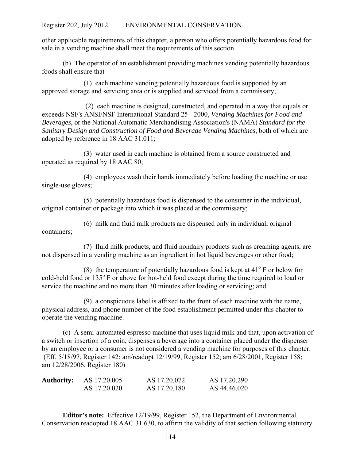other applicable requirements of this chapter, a person who offers potentially hazardous food for sale in a vending machine shall meet the requirements of this section.

(b) The operator of an establishment providing machines vending potentially hazardous foods shall ensure that

(1) each machine vending potentially hazardous food is supported by an approved storage and servicing area or is supplied and serviced from a commissary;

 (2) each machine is designed, constructed, and operated in a way that equals or exceeds NSF's ANSI/NSF International Standard 25 - 2000, *Vending Machines for Food and Beverages*, or the National Automatic Merchandising Association's (NAMA) *Standard for the Sanitary Design and Construction of Food and Beverage Vending Machines*, both of which are adopted by reference in 18 AAC 31.011;

(3) water used in each machine is obtained from a source constructed and operated as required by 18 AAC 80;

(4) employees wash their hands immediately before loading the machine or use single-use gloves;

(5) potentially hazardous food is dispensed to the consumer in the individual, original container or package into which it was placed at the commissary;

(6) milk and fluid milk products are dispensed only in individual, original containers;

(7) fluid milk products, and fluid nondairy products such as creaming agents, are not dispensed in a vending machine as an ingredient in hot liquid beverages or other food;

(8) the temperature of potentially hazardous food is kept at  $41^{\circ}$  F or below for cold-held food or 135° F or above for hot-held food except during the time required to load or service the machine and no more than 30 minutes after loading or servicing; and

(9) a conspicuous label is affixed to the front of each machine with the name, physical address, and phone number of the food establishment permitted under this chapter to operate the vending machine.

(c) A semi-automated espresso machine that uses liquid milk and that, upon activation of a switch or insertion of a coin, dispenses a beverage into a container placed under the dispenser by an employee or a consumer is not considered a vending machine for purposes of this chapter. (Eff. 5/18/97, Register 142; am/readopt 12/19/99, Register 152; am 6/28/2001, Register 158; am 12/28/2006, Register 180)

| <b>Authority:</b> | AS 17.20.005 | AS 17.20.072 | AS 17.20.290 |
|-------------------|--------------|--------------|--------------|
|                   | AS 17.20.020 | AS 17.20.180 | AS 44.46.020 |

**Editor's note:** Effective 12/19/99, Register 152, the Department of Environmental Conservation readopted 18 AAC 31.630, to affirm the validity of that section following statutory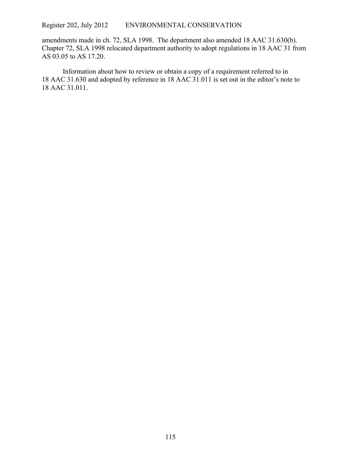amendments made in ch. 72, SLA 1998. The department also amended 18 AAC 31.630(b). Chapter 72, SLA 1998 relocated department authority to adopt regulations in 18 AAC 31 from AS 03.05 to AS 17.20.

Information about how to review or obtain a copy of a requirement referred to in 18 AAC 31.630 and adopted by reference in 18 AAC 31.011 is set out in the editor's note to 18 AAC 31.011.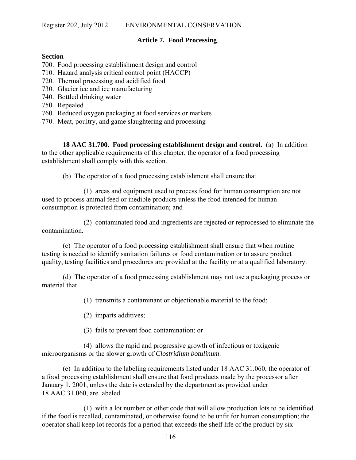## **Article 7. Food Processing**.

## **Section**

700. Food processing establishment design and control

- 710. Hazard analysis critical control point (HACCP)
- 720. Thermal processing and acidified food
- 730. Glacier ice and ice manufacturing
- 740. Bottled drinking water
- 750. Repealed
- 760. Reduced oxygen packaging at food services or markets
- 770. Meat, poultry, and game slaughtering and processing

**18 AAC 31.700. Food processing establishment design and control.** (a) In addition to the other applicable requirements of this chapter, the operator of a food processing establishment shall comply with this section.

(b) The operator of a food processing establishment shall ensure that

(1) areas and equipment used to process food for human consumption are not used to process animal feed or inedible products unless the food intended for human consumption is protected from contamination; and

(2) contaminated food and ingredients are rejected or reprocessed to eliminate the contamination.

(c) The operator of a food processing establishment shall ensure that when routine testing is needed to identify sanitation failures or food contamination or to assure product quality, testing facilities and procedures are provided at the facility or at a qualified laboratory.

(d) The operator of a food processing establishment may not use a packaging process or material that

(1) transmits a contaminant or objectionable material to the food;

(2) imparts additives;

(3) fails to prevent food contamination; or

(4) allows the rapid and progressive growth of infectious or toxigenic microorganisms or the slower growth of *Clostridium botulinum*.

(e) In addition to the labeling requirements listed under 18 AAC 31.060, the operator of a food processing establishment shall ensure that food products made by the processor after January 1, 2001, unless the date is extended by the department as provided under 18 AAC 31.060, are labeled

(1) with a lot number or other code that will allow production lots to be identified if the food is recalled, contaminated, or otherwise found to be unfit for human consumption; the operator shall keep lot records for a period that exceeds the shelf life of the product by six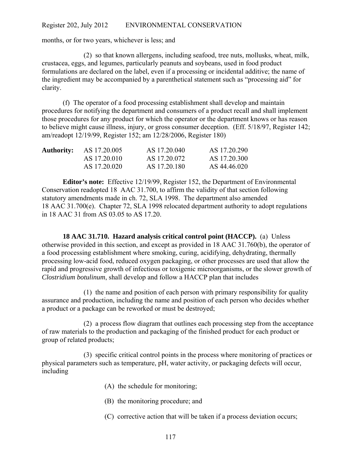months, or for two years, whichever is less; and

(2) so that known allergens, including seafood, tree nuts, mollusks, wheat, milk, crustacea, eggs, and legumes, particularly peanuts and soybeans, used in food product formulations are declared on the label, even if a processing or incidental additive; the name of the ingredient may be accompanied by a parenthetical statement such as "processing aid" for clarity.

(f) The operator of a food processing establishment shall develop and maintain procedures for notifying the department and consumers of a product recall and shall implement those procedures for any product for which the operator or the department knows or has reason to believe might cause illness, injury, or gross consumer deception. (Eff. 5/18/97, Register 142; am/readopt 12/19/99, Register 152; am 12/28/2006, Register 180)

| <b>Authority:</b> | AS 17.20.005 | AS 17.20.040 | AS 17.20.290 |
|-------------------|--------------|--------------|--------------|
|                   | AS 17 20 010 | AS 17.20.072 | AS 17.20.300 |
|                   | AS 17.20.020 | AS 17.20.180 | AS 44.46.020 |

**Editor's note:** Effective 12/19/99, Register 152, the Department of Environmental Conservation readopted 18 AAC 31.700, to affirm the validity of that section following statutory amendments made in ch. 72, SLA 1998. The department also amended 18 AAC 31.700(e). Chapter 72, SLA 1998 relocated department authority to adopt regulations in 18 AAC 31 from AS 03.05 to AS 17.20.

**18 AAC 31.710. Hazard analysis critical control point (HACCP).** (a) Unless otherwise provided in this section, and except as provided in 18 AAC 31.760(b), the operator of a food processing establishment where smoking, curing, acidifying, dehydrating, thermally processing low-acid food, reduced oxygen packaging, or other processes are used that allow the rapid and progressive growth of infectious or toxigenic microorganisms, or the slower growth of *Clostridium botulinum*, shall develop and follow a HACCP plan that includes

(1) the name and position of each person with primary responsibility for quality assurance and production, including the name and position of each person who decides whether a product or a package can be reworked or must be destroyed;

(2) a process flow diagram that outlines each processing step from the acceptance of raw materials to the production and packaging of the finished product for each product or group of related products;

(3) specific critical control points in the process where monitoring of practices or physical parameters such as temperature, pH, water activity, or packaging defects will occur, including

- (A) the schedule for monitoring;
- (B) the monitoring procedure; and
- (C) corrective action that will be taken if a process deviation occurs;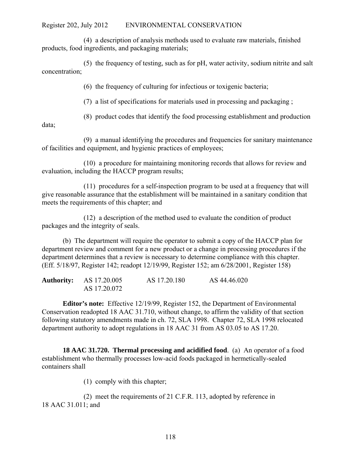(4) a description of analysis methods used to evaluate raw materials, finished products, food ingredients, and packaging materials;

(5) the frequency of testing, such as for pH, water activity, sodium nitrite and salt concentration;

(6) the frequency of culturing for infectious or toxigenic bacteria;

(7) a list of specifications for materials used in processing and packaging ;

(8) product codes that identify the food processing establishment and production

data;

(9) a manual identifying the procedures and frequencies for sanitary maintenance of facilities and equipment, and hygienic practices of employees;

(10) a procedure for maintaining monitoring records that allows for review and evaluation, including the HACCP program results;

(11) procedures for a self-inspection program to be used at a frequency that will give reasonable assurance that the establishment will be maintained in a sanitary condition that meets the requirements of this chapter; and

(12) a description of the method used to evaluate the condition of product packages and the integrity of seals.

(b) The department will require the operator to submit a copy of the HACCP plan for department review and comment for a new product or a change in processing procedures if the department determines that a review is necessary to determine compliance with this chapter. (Eff. 5/18/97, Register 142; readopt 12/19/99, Register 152; am 6/28/2001, Register 158)

| <b>Authority:</b> AS 17.20.005 | AS 17.20.180 | AS 44.46.020 |
|--------------------------------|--------------|--------------|
| AS 17.20.072                   |              |              |

**Editor's note:** Effective 12/19/99, Register 152, the Department of Environmental Conservation readopted 18 AAC 31.710, without change, to affirm the validity of that section following statutory amendments made in ch. 72, SLA 1998. Chapter 72, SLA 1998 relocated department authority to adopt regulations in 18 AAC 31 from AS 03.05 to AS 17.20.

**18 AAC 31.720. Thermal processing and acidified food**. (a) An operator of a food establishment who thermally processes low-acid foods packaged in hermetically-sealed containers shall

(1) comply with this chapter;

(2) meet the requirements of 21 C.F.R. 113, adopted by reference in 18 AAC 31.011; and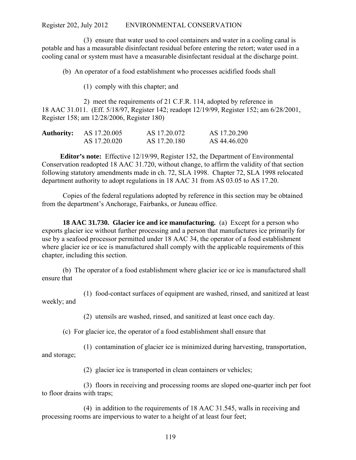(3) ensure that water used to cool containers and water in a cooling canal is potable and has a measurable disinfectant residual before entering the retort; water used in a cooling canal or system must have a measurable disinfectant residual at the discharge point.

(b) An operator of a food establishment who processes acidified foods shall

(1) comply with this chapter; and

2) meet the requirements of 21 C.F.R. 114, adopted by reference in 18 AAC 31.011. (Eff. 5/18/97, Register 142; readopt 12/19/99, Register 152; am 6/28/2001, Register 158; am 12/28/2006, Register 180)

| <b>Authority:</b> | AS 17.20.005 | AS 17.20.072 | AS 17.20.290 |
|-------------------|--------------|--------------|--------------|
|                   | AS 17.20.020 | AS 17.20.180 | AS 44.46.020 |

**Editor's note:** Effective 12/19/99, Register 152, the Department of Environmental Conservation readopted 18 AAC 31.720, without change, to affirm the validity of that section following statutory amendments made in ch. 72, SLA 1998. Chapter 72, SLA 1998 relocated department authority to adopt regulations in 18 AAC 31 from AS 03.05 to AS 17.20.

Copies of the federal regulations adopted by reference in this section may be obtained from the department's Anchorage, Fairbanks, or Juneau office.

**18 AAC 31.730. Glacier ice and ice manufacturing.** (a) Except for a person who exports glacier ice without further processing and a person that manufactures ice primarily for use by a seafood processor permitted under 18 AAC 34, the operator of a food establishment where glacier ice or ice is manufactured shall comply with the applicable requirements of this chapter, including this section.

(b) The operator of a food establishment where glacier ice or ice is manufactured shall ensure that

(1) food-contact surfaces of equipment are washed, rinsed, and sanitized at least weekly; and

(2) utensils are washed, rinsed, and sanitized at least once each day.

(c) For glacier ice, the operator of a food establishment shall ensure that

(1) contamination of glacier ice is minimized during harvesting, transportation, and storage;

(2) glacier ice is transported in clean containers or vehicles;

(3) floors in receiving and processing rooms are sloped one-quarter inch per foot to floor drains with traps;

(4) in addition to the requirements of 18 AAC 31.545, walls in receiving and processing rooms are impervious to water to a height of at least four feet;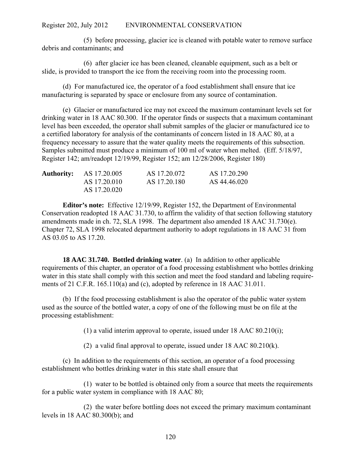(5) before processing, glacier ice is cleaned with potable water to remove surface debris and contaminants; and

(6) after glacier ice has been cleaned, cleanable equipment, such as a belt or slide, is provided to transport the ice from the receiving room into the processing room.

(d) For manufactured ice, the operator of a food establishment shall ensure that ice manufacturing is separated by space or enclosure from any source of contamination.

(e) Glacier or manufactured ice may not exceed the maximum contaminant levels set for drinking water in 18 AAC 80.300. If the operator finds or suspects that a maximum contaminant level has been exceeded, the operator shall submit samples of the glacier or manufactured ice to a certified laboratory for analysis of the contaminants of concern listed in 18 AAC 80, at a frequency necessary to assure that the water quality meets the requirements of this subsection. Samples submitted must produce a minimum of 100 ml of water when melted. (Eff. 5/18/97, Register 142; am/readopt 12/19/99, Register 152; am 12/28/2006, Register 180)

|  | <b>Authority:</b> AS 17.20.005 | AS 17.20.072 | AS 17.20.290 |
|--|--------------------------------|--------------|--------------|
|  | AS 17.20.010                   | AS 17.20.180 | AS 44.46.020 |
|  | AS 17.20.020                   |              |              |

**Editor's note:** Effective 12/19/99, Register 152, the Department of Environmental Conservation readopted 18 AAC 31.730, to affirm the validity of that section following statutory amendments made in ch. 72, SLA 1998. The department also amended 18 AAC 31.730(e). Chapter 72, SLA 1998 relocated department authority to adopt regulations in 18 AAC 31 from AS 03.05 to AS 17.20.

**18 AAC 31.740. Bottled drinking water**. (a) In addition to other applicable requirements of this chapter, an operator of a food processing establishment who bottles drinking water in this state shall comply with this section and meet the food standard and labeling requirements of 21 C.F.R. 165.110(a) and (c), adopted by reference in 18 AAC 31.011.

(b) If the food processing establishment is also the operator of the public water system used as the source of the bottled water, a copy of one of the following must be on file at the processing establishment:

(1) a valid interim approval to operate, issued under 18 AAC 80.210(i);

(2) a valid final approval to operate, issued under 18 AAC 80.210(k).

(c) In addition to the requirements of this section, an operator of a food processing establishment who bottles drinking water in this state shall ensure that

(1) water to be bottled is obtained only from a source that meets the requirements for a public water system in compliance with 18 AAC 80;

(2) the water before bottling does not exceed the primary maximum contaminant levels in 18 AAC 80.300(b); and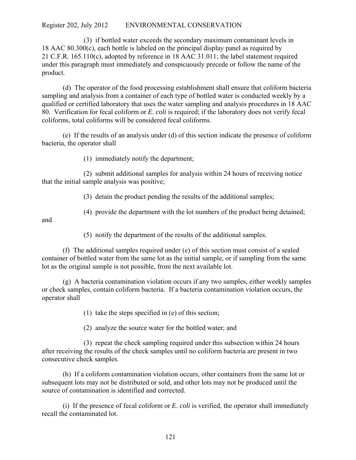(3) if bottled water exceeds the secondary maximum contaminant levels in 18 AAC 80.300(c), each bottle is labeled on the principal display panel as required by 21 C.F.R. 165.110(c), adopted by reference in 18 AAC 31.011; the label statement required under this paragraph must immediately and conspicuously precede or follow the name of the product.

(d) The operator of the food processing establishment shall ensure that coliform bacteria sampling and analysis from a container of each type of bottled water is conducted weekly by a qualified or certified laboratory that uses the water sampling and analysis procedures in 18 AAC 80. Verification for fecal coliform or *E. coli* is required; if the laboratory does not verify fecal coliforms, total coliforms will be considered fecal coliforms.

(e) If the results of an analysis under (d) of this section indicate the presence of coliform bacteria, the operator shall

(1) immediately notify the department;

(2) submit additional samples for analysis within 24 hours of receiving notice that the initial sample analysis was positive;

(3) detain the product pending the results of the additional samples;

(4) provide the department with the lot numbers of the product being detained;

and

(5) notify the department of the results of the additional samples.

(f) The additional samples required under (e) of this section must consist of a sealed container of bottled water from the same lot as the initial sample, or if sampling from the same lot as the original sample is not possible, from the next available lot.

(g) A bacteria contamination violation occurs if any two samples, either weekly samples or check samples, contain coliform bacteria. If a bacteria contamination violation occurs, the operator shall

(1) take the steps specified in (e) of this section;

(2) analyze the source water for the bottled water; and

(3) repeat the check sampling required under this subsection within 24 hours after receiving the results of the check samples until no coliform bacteria are present in two consecutive check samples.

(h) If a coliform contamination violation occurs, other containers from the same lot or subsequent lots may not be distributed or sold, and other lots may not be produced until the source of contamination is identified and corrected.

(i) If the presence of fecal coliform or *E. coli* is verified, the operator shall immediately recall the contaminated lot.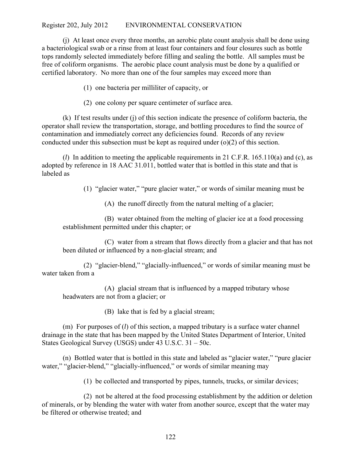(j) At least once every three months, an aerobic plate count analysis shall be done using a bacteriological swab or a rinse from at least four containers and four closures such as bottle tops randomly selected immediately before filling and sealing the bottle. All samples must be free of coliform organisms. The aerobic place count analysis must be done by a qualified or certified laboratory. No more than one of the four samples may exceed more than

(1) one bacteria per milliliter of capacity, or

(2) one colony per square centimeter of surface area.

(k) If test results under (j) of this section indicate the presence of coliform bacteria, the operator shall review the transportation, storage, and bottling procedures to find the source of contamination and immediately correct any deficiencies found. Records of any review conducted under this subsection must be kept as required under (o)(2) of this section.

(*l*) In addition to meeting the applicable requirements in 21 C.F.R. 165.110(a) and (c), as adopted by reference in 18 AAC 31.011, bottled water that is bottled in this state and that is labeled as

(1) "glacier water," "pure glacier water," or words of similar meaning must be

(A) the runoff directly from the natural melting of a glacier;

(B) water obtained from the melting of glacier ice at a food processing establishment permitted under this chapter; or

(C) water from a stream that flows directly from a glacier and that has not been diluted or influenced by a non-glacial stream; and

(2) "glacier-blend," "glacially-influenced," or words of similar meaning must be water taken from a

(A) glacial stream that is influenced by a mapped tributary whose headwaters are not from a glacier; or

(B) lake that is fed by a glacial stream;

(m) For purposes of (*l*) of this section, a mapped tributary is a surface water channel drainage in the state that has been mapped by the United States Department of Interior, United States Geological Survey (USGS) under 43 U.S.C. 31 – 50c.

(n) Bottled water that is bottled in this state and labeled as "glacier water," "pure glacier water," "glacier-blend," "glacially-influenced," or words of similar meaning may

(1) be collected and transported by pipes, tunnels, trucks, or similar devices;

(2) not be altered at the food processing establishment by the addition or deletion of minerals, or by blending the water with water from another source, except that the water may be filtered or otherwise treated; and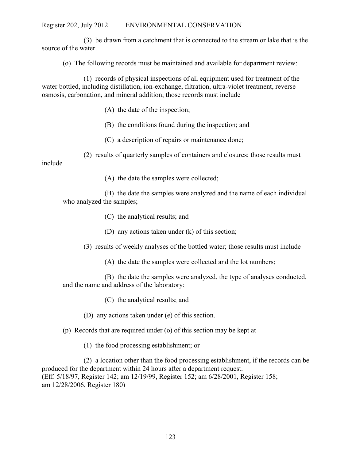(3) be drawn from a catchment that is connected to the stream or lake that is the source of the water.

(o) The following records must be maintained and available for department review:

(1) records of physical inspections of all equipment used for treatment of the water bottled, including distillation, ion-exchange, filtration, ultra-violet treatment, reverse osmosis, carbonation, and mineral addition; those records must include

- (A) the date of the inspection;
- (B) the conditions found during the inspection; and
- (C) a description of repairs or maintenance done;
- (2) results of quarterly samples of containers and closures; those results must

include

(A) the date the samples were collected;

(B) the date the samples were analyzed and the name of each individual who analyzed the samples;

- (C) the analytical results; and
- (D) any actions taken under (k) of this section;
- (3) results of weekly analyses of the bottled water; those results must include
	- (A) the date the samples were collected and the lot numbers;
- (B) the date the samples were analyzed, the type of analyses conducted, and the name and address of the laboratory;
	- (C) the analytical results; and
	- (D) any actions taken under (e) of this section.
- (p) Records that are required under (o) of this section may be kept at
	- (1) the food processing establishment; or

(2) a location other than the food processing establishment, if the records can be produced for the department within 24 hours after a department request. (Eff. 5/18/97, Register 142; am 12/19/99, Register 152; am 6/28/2001, Register 158; am 12/28/2006, Register 180)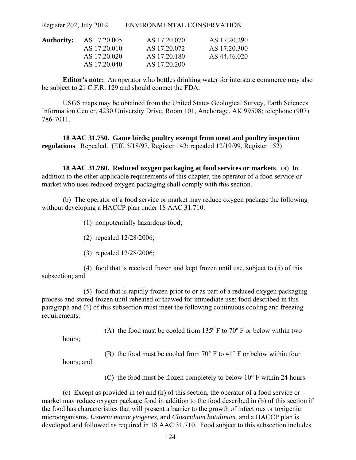| Authority: | AS 17.20.005 | AS 17.20.070 | AS 17.20.290 |
|------------|--------------|--------------|--------------|
|            | AS 17.20.010 | AS 17.20.072 | AS 17.20.300 |
|            | AS 17.20.020 | AS 17.20.180 | AS 44.46.020 |
|            | AS 17.20.040 | AS 17.20.200 |              |

**Editor's note:** An operator who bottles drinking water for interstate commerce may also be subject to 21 C.F.R. 129 and should contact the FDA.

USGS maps may be obtained from the United States Geological Survey, Earth Sciences Information Center, 4230 University Drive, Room 101, Anchorage, AK 99508; telephone (907) 786-7011.

**18 AAC 31.750. Game birds; poultry exempt from meat and poultry inspection regulations**. Repealed. (Eff. 5/18/97, Register 142; repealed 12/19/99, Register 152)

**18 AAC 31.760. Reduced oxygen packaging at food services or markets**. (a) In addition to the other applicable requirements of this chapter, the operator of a food service or market who uses reduced oxygen packaging shall comply with this section.

(b) The operator of a food service or market may reduce oxygen package the following without developing a HACCP plan under 18 AAC 31.710:

(1) nonpotentially hazardous food;

- (2) repealed 12/28/2006;
- (3) repealed 12/28/2006;

(4) food that is received frozen and kept frozen until use, subject to (5) of this subsection; and

(5) food that is rapidly frozen prior to or as part of a reduced oxygen packaging process and stored frozen until reheated or thawed for immediate use; food described in this paragraph and (4) of this subsection must meet the following continuous cooling and freezing requirements:

(A) the food must be cooled from  $135^{\circ}$  F to  $70^{\circ}$  F or below within two

hours;

(B) the food must be cooled from 70° F to 41° F or below within four

hours; and

(C) the food must be frozen completely to below  $10^{\circ}$  F within 24 hours.

(c) Except as provided in (e) and (h) of this section, the operator of a food service or market may reduce oxygen package food in addition to the food described in (b) of this section if the food has characteristics that will present a barrier to the growth of infectious or toxigenic microorganisms, *Listeria monocytogenes,* and *Clostridium botulinum*, and a HACCP plan is developed and followed as required in 18 AAC 31.710. Food subject to this subsection includes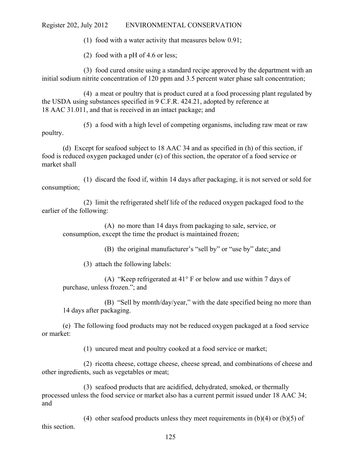(1) food with a water activity that measures below 0.91;

(2) food with a pH of 4.6 or less;

(3) food cured onsite using a standard recipe approved by the department with an initial sodium nitrite concentration of 120 ppm and 3.5 percent water phase salt concentration;

(4) a meat or poultry that is product cured at a food processing plant regulated by the USDA using substances specified in 9 C.F.R. 424.21, adopted by reference at 18 AAC 31.011, and that is received in an intact package; and

(5) a food with a high level of competing organisms, including raw meat or raw poultry.

(d) Except for seafood subject to 18 AAC 34 and as specified in (h) of this section, if food is reduced oxygen packaged under (c) of this section, the operator of a food service or market shall

(1) discard the food if, within 14 days after packaging, it is not served or sold for consumption;

(2) limit the refrigerated shelf life of the reduced oxygen packaged food to the earlier of the following:

(A) no more than 14 days from packaging to sale, service, or consumption, except the time the product is maintained frozen;

(B) the original manufacturer's "sell by" or "use by" date; and

(3) attach the following labels:

(A) "Keep refrigerated at 41° F or below and use within 7 days of purchase, unless frozen."; and

(B) "Sell by month/day/year," with the date specified being no more than 14 days after packaging.

(e) The following food products may not be reduced oxygen packaged at a food service or market:

(1) uncured meat and poultry cooked at a food service or market;

(2) ricotta cheese, cottage cheese, cheese spread, and combinations of cheese and other ingredients, such as vegetables or meat;

(3) seafood products that are acidified, dehydrated, smoked, or thermally processed unless the food service or market also has a current permit issued under 18 AAC 34; and

(4) other seafood products unless they meet requirements in  $(b)(4)$  or  $(b)(5)$  of this section.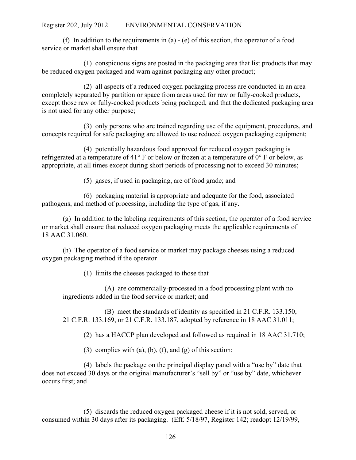(f) In addition to the requirements in (a) - (e) of this section, the operator of a food service or market shall ensure that

(1) conspicuous signs are posted in the packaging area that list products that may be reduced oxygen packaged and warn against packaging any other product;

(2) all aspects of a reduced oxygen packaging process are conducted in an area completely separated by partition or space from areas used for raw or fully-cooked products, except those raw or fully-cooked products being packaged, and that the dedicated packaging area is not used for any other purpose;

(3) only persons who are trained regarding use of the equipment, procedures, and concepts required for safe packaging are allowed to use reduced oxygen packaging equipment;

(4) potentially hazardous food approved for reduced oxygen packaging is refrigerated at a temperature of 41° F or below or frozen at a temperature of 0° F or below, as appropriate, at all times except during short periods of processing not to exceed 30 minutes;

(5) gases, if used in packaging, are of food grade; and

(6) packaging material is appropriate and adequate for the food, associated pathogens, and method of processing, including the type of gas, if any.

(g) In addition to the labeling requirements of this section, the operator of a food service or market shall ensure that reduced oxygen packaging meets the applicable requirements of 18 AAC 31.060.

(h) The operator of a food service or market may package cheeses using a reduced oxygen packaging method if the operator

(1) limits the cheeses packaged to those that

(A) are commercially-processed in a food processing plant with no ingredients added in the food service or market; and

(B) meet the standards of identity as specified in 21 C.F.R. 133.150, 21 C.F.R. 133.169, or 21 C.F.R. 133.187, adopted by reference in 18 AAC 31.011;

(2) has a HACCP plan developed and followed as required in 18 AAC 31.710;

(3) complies with (a), (b), (f), and (g) of this section;

(4) labels the package on the principal display panel with a "use by" date that does not exceed 30 days or the original manufacturer's "sell by" or "use by" date, whichever occurs first; and

(5) discards the reduced oxygen packaged cheese if it is not sold, served, or consumed within 30 days after its packaging. (Eff. 5/18/97, Register 142; readopt 12/19/99,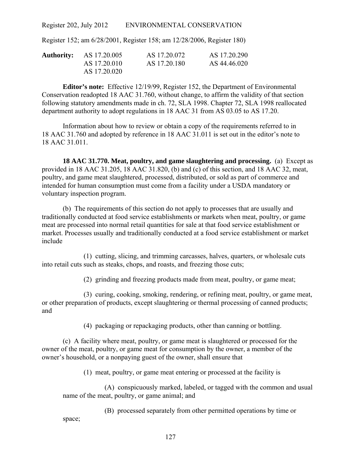Register 152; am 6/28/2001, Register 158; am 12/28/2006, Register 180)

| <b>Authority:</b> AS 17.20.005 | AS 17.20.072 | AS 17.20.290 |
|--------------------------------|--------------|--------------|
| AS 17.20.010                   | AS 17.20.180 | AS 44.46.020 |
| AS 17.20.020                   |              |              |

**Editor's note:** Effective 12/19/99, Register 152, the Department of Environmental Conservation readopted 18 AAC 31.760, without change, to affirm the validity of that section following statutory amendments made in ch. 72, SLA 1998. Chapter 72, SLA 1998 reallocated department authority to adopt regulations in 18 AAC 31 from AS 03.05 to AS 17.20.

Information about how to review or obtain a copy of the requirements referred to in 18 AAC 31.760 and adopted by reference in 18 AAC 31.011 is set out in the editor's note to 18 AAC 31.011.

**18 AAC 31.770. Meat, poultry, and game slaughtering and processing.** (a) Except as provided in 18 AAC 31.205, 18 AAC 31.820, (b) and (c) of this section, and 18 AAC 32, meat, poultry, and game meat slaughtered, processed, distributed, or sold as part of commerce and intended for human consumption must come from a facility under a USDA mandatory or voluntary inspection program.

(b) The requirements of this section do not apply to processes that are usually and traditionally conducted at food service establishments or markets when meat, poultry, or game meat are processed into normal retail quantities for sale at that food service establishment or market. Processes usually and traditionally conducted at a food service establishment or market include

(1) cutting, slicing, and trimming carcasses, halves, quarters, or wholesale cuts into retail cuts such as steaks, chops, and roasts, and freezing those cuts;

(2) grinding and freezing products made from meat, poultry, or game meat;

(3) curing, cooking, smoking, rendering, or refining meat, poultry, or game meat, or other preparation of products, except slaughtering or thermal processing of canned products; and

(4) packaging or repackaging products, other than canning or bottling.

(c) A facility where meat, poultry, or game meat is slaughtered or processed for the owner of the meat, poultry, or game meat for consumption by the owner, a member of the owner's household, or a nonpaying guest of the owner, shall ensure that

(1) meat, poultry, or game meat entering or processed at the facility is

(A) conspicuously marked, labeled, or tagged with the common and usual name of the meat, poultry, or game animal; and

(B) processed separately from other permitted operations by time or

space;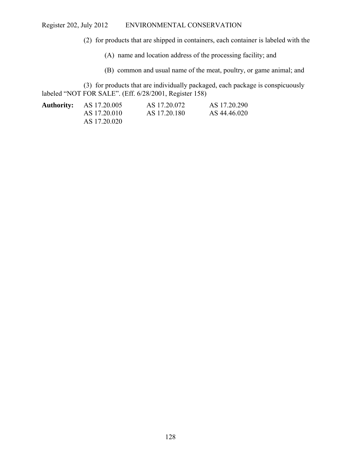(2) for products that are shipped in containers, each container is labeled with the

(A) name and location address of the processing facility; and

(B) common and usual name of the meat, poultry, or game animal; and

(3) for products that are individually packaged, each package is conspicuously labeled "NOT FOR SALE". (Eff. 6/28/2001, Register 158)

| <b>Authority:</b> AS 17.20.005 | AS 17.20.072 | AS 17.20.290 |
|--------------------------------|--------------|--------------|
| AS 17.20.010                   | AS 17.20.180 | AS 44.46.020 |
| AS 17.20.020                   |              |              |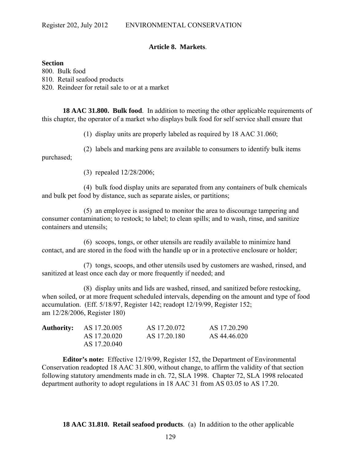### **Article 8. Markets**.

#### **Section**

800. Bulk food 810. Retail seafood products 820. Reindeer for retail sale to or at a market

**18 AAC 31.800. Bulk food**. In addition to meeting the other applicable requirements of this chapter, the operator of a market who displays bulk food for self service shall ensure that

(1) display units are properly labeled as required by 18 AAC 31.060;

(2) labels and marking pens are available to consumers to identify bulk items purchased;

(3) repealed 12/28/2006;

(4) bulk food display units are separated from any containers of bulk chemicals and bulk pet food by distance, such as separate aisles, or partitions;

(5) an employee is assigned to monitor the area to discourage tampering and consumer contamination; to restock; to label; to clean spills; and to wash, rinse, and sanitize containers and utensils;

(6) scoops, tongs, or other utensils are readily available to minimize hand contact, and are stored in the food with the handle up or in a protective enclosure or holder;

(7) tongs, scoops, and other utensils used by customers are washed, rinsed, and sanitized at least once each day or more frequently if needed; and

(8) display units and lids are washed, rinsed, and sanitized before restocking, when soiled, or at more frequent scheduled intervals, depending on the amount and type of food accumulation. (Eff. 5/18/97, Register 142; readopt 12/19/99, Register 152; am 12/28/2006, Register 180)

| <b>Authority:</b> AS 17.20.005 | AS 17.20.072 | AS 17.20.290 |
|--------------------------------|--------------|--------------|
| AS 17.20.020                   | AS 17.20.180 | AS 44.46.020 |
| AS 17.20.040                   |              |              |

**Editor's note:** Effective 12/19/99, Register 152, the Department of Environmental Conservation readopted 18 AAC 31.800, without change, to affirm the validity of that section following statutory amendments made in ch. 72, SLA 1998. Chapter 72, SLA 1998 relocated department authority to adopt regulations in 18 AAC 31 from AS 03.05 to AS 17.20.

**18 AAC 31.810. Retail seafood products**. (a) In addition to the other applicable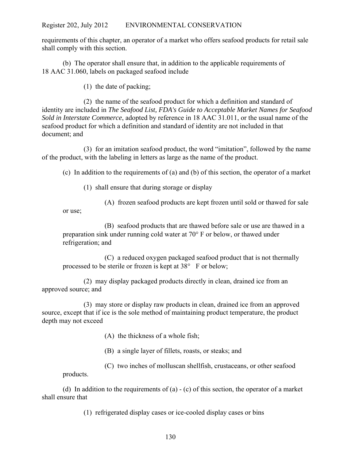requirements of this chapter, an operator of a market who offers seafood products for retail sale shall comply with this section.

(b) The operator shall ensure that, in addition to the applicable requirements of 18 AAC 31.060, labels on packaged seafood include

(1) the date of packing;

(2) the name of the seafood product for which a definition and standard of identity are included in *The Seafood List, FDA's Guide to Acceptable Market Names for Seafood Sold in Interstate Commerce*, adopted by reference in 18 AAC 31.011, or the usual name of the seafood product for which a definition and standard of identity are not included in that document; and

(3) for an imitation seafood product, the word "imitation", followed by the name of the product, with the labeling in letters as large as the name of the product.

(c) In addition to the requirements of (a) and (b) of this section, the operator of a market

(1) shall ensure that during storage or display

(A) frozen seafood products are kept frozen until sold or thawed for sale or use;

(B) seafood products that are thawed before sale or use are thawed in a preparation sink under running cold water at  $70^{\circ}$  F or below, or thawed under refrigeration; and

(C) a reduced oxygen packaged seafood product that is not thermally processed to be sterile or frozen is kept at  $38^{\circ}$  F or below;

(2) may display packaged products directly in clean, drained ice from an approved source; and

(3) may store or display raw products in clean, drained ice from an approved source, except that if ice is the sole method of maintaining product temperature, the product depth may not exceed

(A) the thickness of a whole fish;

(B) a single layer of fillets, roasts, or steaks; and

(C) two inches of molluscan shellfish, crustaceans, or other seafood products.

(d) In addition to the requirements of (a) - (c) of this section, the operator of a market shall ensure that

(1) refrigerated display cases or ice-cooled display cases or bins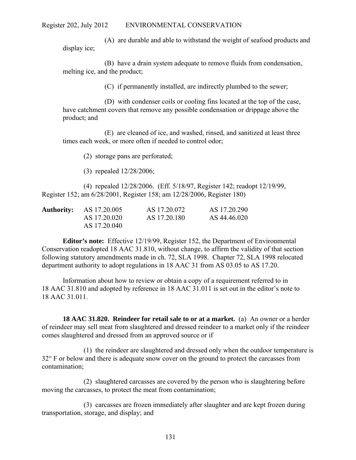(A) are durable and able to withstand the weight of seafood products and display ice;

(B) have a drain system adequate to remove fluids from condensation, melting ice, and the product;

(C) if permanently installed, are indirectly plumbed to the sewer;

(D) with condenser coils or cooling fins located at the top of the case, have catchment covers that remove any possible condensation or drippage above the product; and

(E) are cleaned of ice, and washed, rinsed, and sanitized at least three times each week, or more often if needed to control odor;

(2) storage pans are perforated;

(3) repealed 12/28/2006;

(4) repealed 12/28/2006. (Eff. 5/18/97, Register 142; readopt 12/19/99, Register 152; am 6/28/2001, Register 158; am 12/28/2006, Register 180)

| <b>Authority:</b> AS 17.20.005 | AS 17.20.072 | AS 17.20.290 |
|--------------------------------|--------------|--------------|
| AS 17.20.020                   | AS 17.20.180 | AS 44.46.020 |
| AS 17.20.040                   |              |              |

**Editor's note:** Effective 12/19/99, Register 152, the Department of Environmental Conservation readopted 18 AAC 31.810, without change, to affirm the validity of that section following statutory amendments made in ch. 72, SLA 1998. Chapter 72, SLA 1998 relocated department authority to adopt regulations in 18 AAC 31 from AS 03.05 to AS 17.20.

Information about how to review or obtain a copy of a requirement referred to in 18 AAC 31.810 and adopted by reference in 18 AAC 31.011 is set out in the editor's note to 18 AAC 31.011.

**18 AAC 31.820. Reindeer for retail sale to or at a market.** (a) An owner or a herder of reindeer may sell meat from slaughtered and dressed reindeer to a market only if the reindeer comes slaughtered and dressed from an approved source or if

(1) the reindeer are slaughtered and dressed only when the outdoor temperature is 32° F or below and there is adequate snow cover on the ground to protect the carcasses from contamination;

(2) slaughtered carcasses are covered by the person who is slaughtering before moving the carcasses, to protect the meat from contamination;

(3) carcasses are frozen immediately after slaughter and are kept frozen during transportation, storage, and display; and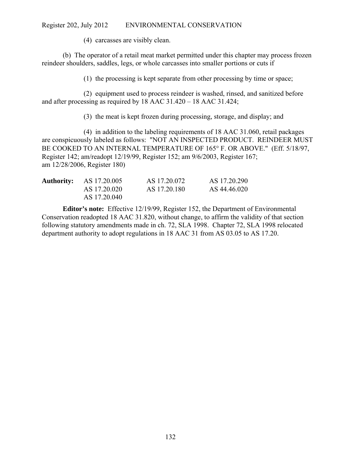(4) carcasses are visibly clean.

(b) The operator of a retail meat market permitted under this chapter may process frozen reindeer shoulders, saddles, legs, or whole carcasses into smaller portions or cuts if

(1) the processing is kept separate from other processing by time or space;

(2) equipment used to process reindeer is washed, rinsed, and sanitized before and after processing as required by 18 AAC 31.420 – 18 AAC 31.424;

(3) the meat is kept frozen during processing, storage, and display; and

(4) in addition to the labeling requirements of 18 AAC 31.060, retail packages are conspicuously labeled as follows: "NOT AN INSPECTED PRODUCT. REINDEER MUST BE COOKED TO AN INTERNAL TEMPERATURE OF 165° F. OR ABOVE." (Eff. 5/18/97, Register 142; am/readopt 12/19/99, Register 152; am 9/6/2003, Register 167; am 12/28/2006, Register 180)

| <b>Authority:</b> AS 17.20.005 | AS 17.20.072 | AS 17.20.290 |
|--------------------------------|--------------|--------------|
| AS 17.20.020                   | AS 17.20.180 | AS 44.46.020 |
| AS 17.20.040                   |              |              |

**Editor's note:** Effective 12/19/99, Register 152, the Department of Environmental Conservation readopted 18 AAC 31.820, without change, to affirm the validity of that section following statutory amendments made in ch. 72, SLA 1998. Chapter 72, SLA 1998 relocated department authority to adopt regulations in 18 AAC 31 from AS 03.05 to AS 17.20.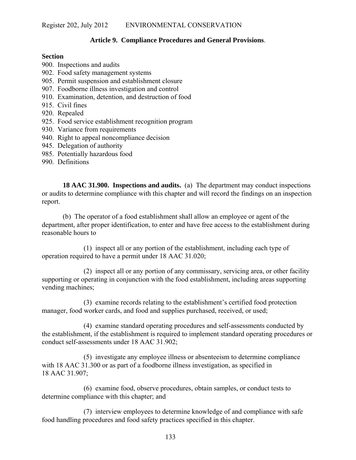### **Article 9. Compliance Procedures and General Provisions**.

#### **Section**

- 900. Inspections and audits
- 902. Food safety management systems
- 905. Permit suspension and establishment closure
- 907. Foodborne illness investigation and control
- 910. Examination, detention, and destruction of food
- 915. Civil fines
- 920. Repealed
- 925. Food service establishment recognition program
- 930. Variance from requirements
- 940. Right to appeal noncompliance decision
- 945. Delegation of authority
- 985. Potentially hazardous food
- 990. Definitions

**18 AAC 31.900. Inspections and audits.** (a) The department may conduct inspections or audits to determine compliance with this chapter and will record the findings on an inspection report.

(b) The operator of a food establishment shall allow an employee or agent of the department, after proper identification, to enter and have free access to the establishment during reasonable hours to

(1) inspect all or any portion of the establishment, including each type of operation required to have a permit under 18 AAC 31.020;

(2) inspect all or any portion of any commissary, servicing area, or other facility supporting or operating in conjunction with the food establishment, including areas supporting vending machines;

(3) examine records relating to the establishment's certified food protection manager, food worker cards, and food and supplies purchased, received, or used;

(4) examine standard operating procedures and self-assessments conducted by the establishment, if the establishment is required to implement standard operating procedures or conduct self-assessments under 18 AAC 31.902;

(5) investigate any employee illness or absenteeism to determine compliance with 18 AAC 31.300 or as part of a foodborne illness investigation, as specified in 18 AAC 31.907;

(6) examine food, observe procedures, obtain samples, or conduct tests to determine compliance with this chapter; and

(7) interview employees to determine knowledge of and compliance with safe food handling procedures and food safety practices specified in this chapter.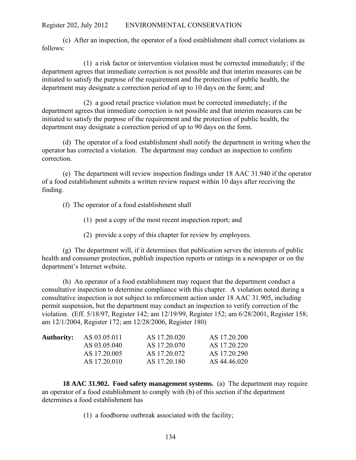(c) After an inspection, the operator of a food establishment shall correct violations as follows:

(1) a risk factor or intervention violation must be corrected immediately; if the department agrees that immediate correction is not possible and that interim measures can be initiated to satisfy the purpose of the requirement and the protection of public health, the department may designate a correction period of up to 10 days on the form; and

(2) a good retail practice violation must be corrected immediately; if the department agrees that immediate correction is not possible and that interim measures can be initiated to satisfy the purpose of the requirement and the protection of public health, the department may designate a correction period of up to 90 days on the form.

(d) The operator of a food establishment shall notify the department in writing when the operator has corrected a violation. The department may conduct an inspection to confirm correction.

(e) The department will review inspection findings under 18 AAC 31.940 if the operator of a food establishment submits a written review request within 10 days after receiving the finding.

- (f) The operator of a food establishment shall
	- (1) post a copy of the most recent inspection report; and
	- (2) provide a copy of this chapter for review by employees.

(g) The department will, if it determines that publication serves the interests of public health and consumer protection, publish inspection reports or ratings in a newspaper or on the department's Internet website.

(h) An operator of a food establishment may request that the department conduct a consultative inspection to determine compliance with this chapter. A violation noted during a consultative inspection is not subject to enforcement action under 18 AAC 31.905, including permit suspension, but the department may conduct an inspection to verify correction of the violation. (Eff. 5/18/97, Register 142; am 12/19/99, Register 152; am 6/28/2001, Register 158; am 12/1/2004, Register 172; am 12/28/2006, Register 180)

| <b>Authority:</b> | AS 03.05.011 | AS 17.20.020 | AS 17.20.200 |
|-------------------|--------------|--------------|--------------|
|                   | AS 03.05.040 | AS 17.20.070 | AS 17.20.220 |
|                   | AS 17.20.005 | AS 17.20.072 | AS 17.20.290 |
|                   | AS 17.20.010 | AS 17.20.180 | AS 44.46.020 |

**18 AAC 31.902. Food safety management systems.** (a) The department may require an operator of a food establishment to comply with (b) of this section if the department determines a food establishment has

(1) a foodborne outbreak associated with the facility;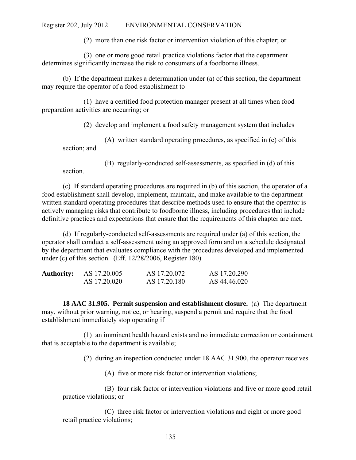(2) more than one risk factor or intervention violation of this chapter; or

(3) one or more good retail practice violations factor that the department determines significantly increase the risk to consumers of a foodborne illness.

(b) If the department makes a determination under (a) of this section, the department may require the operator of a food establishment to

(1) have a certified food protection manager present at all times when food preparation activities are occurring; or

(2) develop and implement a food safety management system that includes

(A) written standard operating procedures, as specified in (c) of this section; and

(B) regularly-conducted self-assessments, as specified in (d) of this

section.

(c) If standard operating procedures are required in (b) of this section, the operator of a food establishment shall develop, implement, maintain, and make available to the department written standard operating procedures that describe methods used to ensure that the operator is actively managing risks that contribute to foodborne illness, including procedures that include definitive practices and expectations that ensure that the requirements of this chapter are met.

(d) If regularly-conducted self-assessments are required under (a) of this section, the operator shall conduct a self-assessment using an approved form and on a schedule designated by the department that evaluates compliance with the procedures developed and implemented under (c) of this section. (Eff. 12/28/2006, Register 180)

| <b>Authority:</b> | AS 17.20.005 | AS 17.20.072 | AS 17.20.290 |
|-------------------|--------------|--------------|--------------|
|                   | AS 17.20.020 | AS 17.20.180 | AS 44.46.020 |

**18 AAC 31.905. Permit suspension and establishment closure.** (a) The department may, without prior warning, notice, or hearing, suspend a permit and require that the food establishment immediately stop operating if

(1) an imminent health hazard exists and no immediate correction or containment that is acceptable to the department is available;

(2) during an inspection conducted under 18 AAC 31.900, the operator receives

(A) five or more risk factor or intervention violations;

(B) four risk factor or intervention violations and five or more good retail practice violations; or

(C) three risk factor or intervention violations and eight or more good retail practice violations;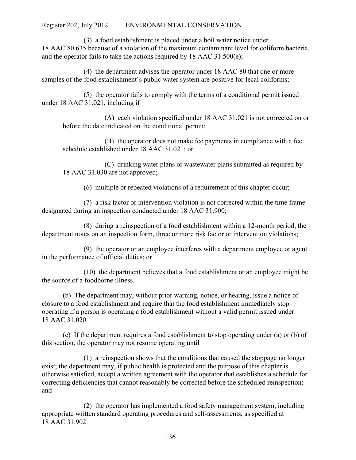(3) a food establishment is placed under a boil water notice under 18 AAC 80.635 because of a violation of the maximum contaminant level for coliform bacteria, and the operator fails to take the actions required by 18 AAC 31.500(e);

(4) the department advises the operator under 18 AAC 80 that one or more samples of the food establishment's public water system are positive for fecal coliforms;

(5) the operator fails to comply with the terms of a conditional permit issued under 18 AAC 31.021, including if

(A) each violation specified under 18 AAC 31.021 is not corrected on or before the date indicated on the conditional permit;

(B) the operator does not make fee payments in compliance with a fee schedule established under 18 AAC 31.021; or

(C) drinking water plans or wastewater plans submitted as required by 18 AAC 31.030 are not approved;

(6) multiple or repeated violations of a requirement of this chapter occur;

(7) a risk factor or intervention violation is not corrected within the time frame designated during an inspection conducted under 18 AAC 31.900;

(8) during a reinspection of a food establishment within a 12-month period, the department notes on an inspection form, three or more risk factor or intervention violations;

(9) the operator or an employee interferes with a department employee or agent in the performance of official duties; or

(10) the department believes that a food establishment or an employee might be the source of a foodborne illness.

(b) The department may, without prior warning, notice, or hearing, issue a notice of closure to a food establishment and require that the food establishment immediately stop operating if a person is operating a food establishment without a valid permit issued under 18 AAC 31.020.

(c) If the department requires a food establishment to stop operating under (a) or (b) of this section, the operator may not resume operating until

(1) a reinspection shows that the conditions that caused the stoppage no longer exist; the department may, if public health is protected and the purpose of this chapter is otherwise satisfied, accept a written agreement with the operator that establishes a schedule for correcting deficiencies that cannot reasonably be corrected before the scheduled reinspection; and

(2) the operator has implemented a food safety management system, including appropriate written standard operating procedures and self-assessments, as specified at 18 AAC 31.902.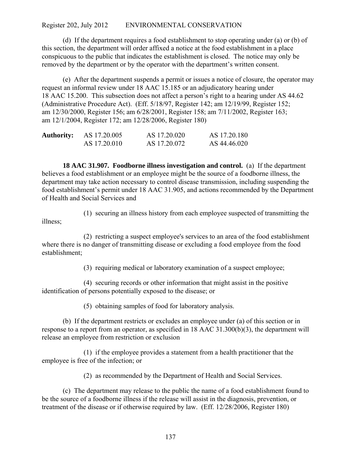(d) If the department requires a food establishment to stop operating under (a) or (b) of this section, the department will order affixed a notice at the food establishment in a place conspicuous to the public that indicates the establishment is closed. The notice may only be removed by the department or by the operator with the department's written consent.

(e) After the department suspends a permit or issues a notice of closure, the operator may request an informal review under 18 AAC 15.185 or an adjudicatory hearing under 18 AAC 15.200. This subsection does not affect a person's right to a hearing under AS 44.62 (Administrative Procedure Act). (Eff. 5/18/97, Register 142; am 12/19/99, Register 152; am 12/30/2000, Register 156; am 6/28/2001, Register 158; am 7/11/2002, Register 163; am 12/1/2004, Register 172; am 12/28/2006, Register 180)

| <b>Authority:</b> | AS 17.20.005 | AS 17.20.020 | AS 17.20.180 |
|-------------------|--------------|--------------|--------------|
|                   | AS 17.20.010 | AS 17.20.072 | AS 44.46.020 |

**18 AAC 31.907. Foodborne illness investigation and control.** (a) If the department believes a food establishment or an employee might be the source of a foodborne illness, the department may take action necessary to control disease transmission, including suspending the food establishment's permit under 18 AAC 31.905, and actions recommended by the Department of Health and Social Services and

illness;

(1) securing an illness history from each employee suspected of transmitting the

(2) restricting a suspect employee's services to an area of the food establishment where there is no danger of transmitting disease or excluding a food employee from the food establishment;

(3) requiring medical or laboratory examination of a suspect employee;

(4) securing records or other information that might assist in the positive identification of persons potentially exposed to the disease; or

(5) obtaining samples of food for laboratory analysis.

(b) If the department restricts or excludes an employee under (a) of this section or in response to a report from an operator, as specified in 18 AAC 31.300(b)(3), the department will release an employee from restriction or exclusion

(1) if the employee provides a statement from a health practitioner that the employee is free of the infection; or

(2) as recommended by the Department of Health and Social Services.

(c) The department may release to the public the name of a food establishment found to be the source of a foodborne illness if the release will assist in the diagnosis, prevention, or treatment of the disease or if otherwise required by law. (Eff. 12/28/2006, Register 180)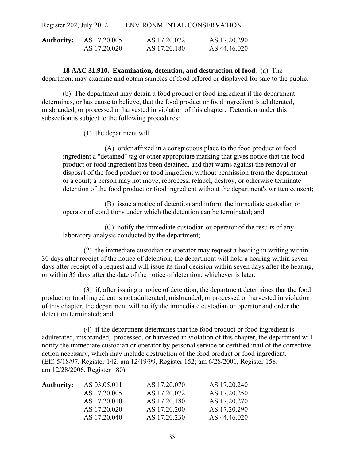| <b>Authority:</b> | AS 17.20.005 | AS 17.20.072 | AS 17.20.290 |
|-------------------|--------------|--------------|--------------|
|                   | AS 17.20.020 | AS 17.20.180 | AS 44.46.020 |

**18 AAC 31.910. Examination, detention, and destruction of food**. (a) The department may examine and obtain samples of food offered or displayed for sale to the public.

(b) The department may detain a food product or food ingredient if the department determines, or has cause to believe, that the food product or food ingredient is adulterated, misbranded, or processed or harvested in violation of this chapter. Detention under this subsection is subject to the following procedures:

(1) the department will

(A) order affixed in a conspicuous place to the food product or food ingredient a "detained" tag or other appropriate marking that gives notice that the food product or food ingredient has been detained, and that warns against the removal or disposal of the food product or food ingredient without permission from the department or a court; a person may not move, reprocess, relabel, destroy, or otherwise terminate detention of the food product or food ingredient without the department's written consent;

(B) issue a notice of detention and inform the immediate custodian or operator of conditions under which the detention can be terminated; and

(C) notify the immediate custodian or operator of the results of any laboratory analysis conducted by the department;

(2) the immediate custodian or operator may request a hearing in writing within 30 days after receipt of the notice of detention; the department will hold a hearing within seven days after receipt of a request and will issue its final decision within seven days after the hearing, or within 35 days after the date of the notice of detention, whichever is later;

(3) if, after issuing a notice of detention, the department determines that the food product or food ingredient is not adulterated, misbranded, or processed or harvested in violation of this chapter, the department will notify the immediate custodian or operator and order the detention terminated; and

(4) if the department determines that the food product or food ingredient is adulterated, misbranded, processed, or harvested in violation of this chapter, the department will notify the immediate custodian or operator by personal service or certified mail of the corrective action necessary, which may include destruction of the food product or food ingredient. (Eff. 5/18/97, Register 142; am 12/19/99, Register 152; am 6/28/2001, Register 158; am 12/28/2006, Register 180)

| <b>Authority:</b> | AS 03.05.011 | AS 17.20.070 | AS 17.20.240 |
|-------------------|--------------|--------------|--------------|
|                   | AS 17.20.005 | AS 17.20.072 | AS 17.20.250 |
|                   | AS 17.20.010 | AS 17.20.180 | AS 17.20.270 |
|                   | AS 17.20.020 | AS 17.20.200 | AS 17.20.290 |
|                   | AS 17.20.040 | AS 17.20.230 | AS 44.46.020 |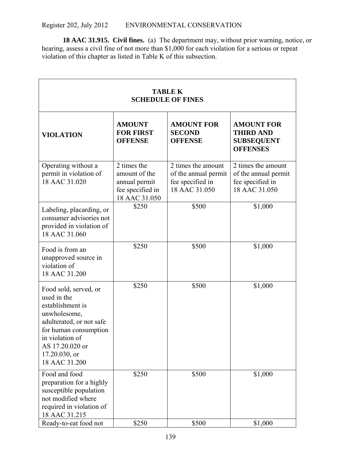**18 AAC 31.915. Civil fines.** (a) The department may, without prior warning, notice, or hearing, assess a civil fine of not more than \$1,000 for each violation for a serious or repeat violation of this chapter as listed in Table K of this subsection.

| <b>TABLE K</b><br><b>SCHEDULE OF FINES</b>                                                                                                                                                            |                                                                                    |                                                                                 |                                                                                 |  |
|-------------------------------------------------------------------------------------------------------------------------------------------------------------------------------------------------------|------------------------------------------------------------------------------------|---------------------------------------------------------------------------------|---------------------------------------------------------------------------------|--|
| <b>VIOLATION</b>                                                                                                                                                                                      | <b>AMOUNT</b><br><b>FOR FIRST</b><br><b>OFFENSE</b>                                | <b>AMOUNT FOR</b><br><b>SECOND</b><br><b>OFFENSE</b>                            | <b>AMOUNT FOR</b><br><b>THIRD AND</b><br><b>SUBSEQUENT</b><br><b>OFFENSES</b>   |  |
| Operating without a<br>permit in violation of<br>18 AAC 31.020                                                                                                                                        | 2 times the<br>amount of the<br>annual permit<br>fee specified in<br>18 AAC 31.050 | 2 times the amount<br>of the annual permit<br>fee specified in<br>18 AAC 31.050 | 2 times the amount<br>of the annual permit<br>fee specified in<br>18 AAC 31.050 |  |
| Labeling, placarding, or<br>consumer advisories not<br>provided in violation of<br>18 AAC 31.060                                                                                                      | \$250                                                                              | \$500                                                                           | \$1,000                                                                         |  |
| Food is from an<br>unapproved source in<br>violation of<br>18 AAC 31.200                                                                                                                              | \$250                                                                              | \$500                                                                           | \$1,000                                                                         |  |
| Food sold, served, or<br>used in the<br>establishment is<br>unwholesome,<br>adulterated, or not safe<br>for human consumption<br>in violation of<br>AS 17.20.020 or<br>17.20.030, or<br>18 AAC 31.200 | \$250                                                                              | \$500                                                                           | \$1,000                                                                         |  |
| Food and food<br>preparation for a highly<br>susceptible population<br>not modified where<br>required in violation of<br>18 AAC 31.215                                                                | \$250                                                                              | \$500                                                                           | \$1,000                                                                         |  |
| Ready-to-eat food not                                                                                                                                                                                 | \$250                                                                              | \$500                                                                           | \$1,000                                                                         |  |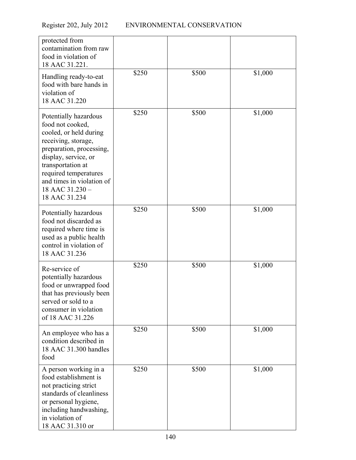| protected from<br>contamination from raw<br>food in violation of<br>18 AAC 31.221.                                                                                                                                                                            |       |       |         |
|---------------------------------------------------------------------------------------------------------------------------------------------------------------------------------------------------------------------------------------------------------------|-------|-------|---------|
| Handling ready-to-eat<br>food with bare hands in<br>violation of<br>18 AAC 31.220                                                                                                                                                                             | \$250 | \$500 | \$1,000 |
| Potentially hazardous<br>food not cooked,<br>cooled, or held during<br>receiving, storage,<br>preparation, processing,<br>display, service, or<br>transportation at<br>required temperatures<br>and times in violation of<br>18 AAC 31.230 -<br>18 AAC 31.234 | \$250 | \$500 | \$1,000 |
| Potentially hazardous<br>food not discarded as<br>required where time is<br>used as a public health<br>control in violation of<br>18 AAC 31.236                                                                                                               | \$250 | \$500 | \$1,000 |
| Re-service of<br>potentially hazardous<br>food or unwrapped food<br>that has previously been<br>served or sold to a<br>consumer in violation<br>of 18 AAC 31.226                                                                                              | \$250 | \$500 | \$1,000 |
| An employee who has a<br>condition described in<br>18 AAC 31.300 handles<br>food                                                                                                                                                                              | \$250 | \$500 | \$1,000 |
| A person working in a<br>food establishment is<br>not practicing strict<br>standards of cleanliness<br>or personal hygiene,<br>including handwashing,<br>in violation of<br>18 AAC 31.310 or                                                                  | \$250 | \$500 | \$1,000 |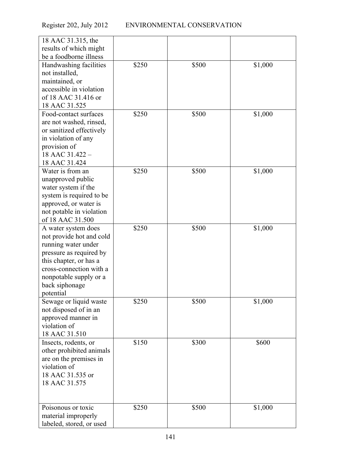| 18 AAC 31.315, the                                 |       |       |         |
|----------------------------------------------------|-------|-------|---------|
| results of which might                             |       |       |         |
| be a foodborne illness                             |       |       |         |
| Handwashing facilities                             | \$250 | \$500 | \$1,000 |
| not installed,                                     |       |       |         |
| maintained, or                                     |       |       |         |
| accessible in violation                            |       |       |         |
| of 18 AAC 31.416 or<br>18 AAC 31.525               |       |       |         |
| Food-contact surfaces                              | \$250 | \$500 | \$1,000 |
| are not washed, rinsed,                            |       |       |         |
| or sanitized effectively                           |       |       |         |
| in violation of any                                |       |       |         |
| provision of                                       |       |       |         |
| 18 AAC 31.422 -                                    |       |       |         |
| 18 AAC 31.424                                      |       |       |         |
| Water is from an                                   | \$250 | \$500 | \$1,000 |
| unapproved public                                  |       |       |         |
| water system if the                                |       |       |         |
| system is required to be                           |       |       |         |
| approved, or water is                              |       |       |         |
| not potable in violation                           |       |       |         |
| of 18 AAC 31.500                                   |       |       |         |
| A water system does                                | \$250 | \$500 | \$1,000 |
| not provide hot and cold                           |       |       |         |
| running water under                                |       |       |         |
| pressure as required by                            |       |       |         |
| this chapter, or has a                             |       |       |         |
| cross-connection with a                            |       |       |         |
| nonpotable supply or a                             |       |       |         |
| back siphonage                                     |       |       |         |
| potential                                          |       |       |         |
| Sewage or liquid waste                             | \$250 | \$500 | \$1,000 |
| not disposed of in an                              |       |       |         |
| approved manner in                                 |       |       |         |
| violation of                                       |       |       |         |
| 18 AAC 31.510                                      | \$150 |       |         |
| Insects, rodents, or                               |       | \$300 | \$600   |
| other prohibited animals<br>are on the premises in |       |       |         |
| violation of                                       |       |       |         |
| 18 AAC 31.535 or                                   |       |       |         |
| 18 AAC 31.575                                      |       |       |         |
|                                                    |       |       |         |
|                                                    |       |       |         |
| Poisonous or toxic                                 | \$250 | \$500 | \$1,000 |
| material improperly                                |       |       |         |
| labeled, stored, or used                           |       |       |         |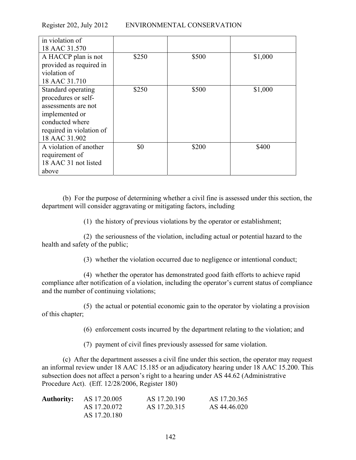| in violation of          |       |       |         |
|--------------------------|-------|-------|---------|
| 18 AAC 31.570            |       |       |         |
| A HACCP plan is not      | \$250 | \$500 | \$1,000 |
| provided as required in  |       |       |         |
| violation of             |       |       |         |
| 18 AAC 31.710            |       |       |         |
| Standard operating       | \$250 | \$500 | \$1,000 |
| procedures or self-      |       |       |         |
| assessments are not      |       |       |         |
| implemented or           |       |       |         |
| conducted where          |       |       |         |
| required in violation of |       |       |         |
| 18 AAC 31.902            |       |       |         |
| A violation of another   | \$0   | \$200 | \$400   |
| requirement of           |       |       |         |
| 18 AAC 31 not listed     |       |       |         |
| above                    |       |       |         |

(b) For the purpose of determining whether a civil fine is assessed under this section, the department will consider aggravating or mitigating factors, including

(1) the history of previous violations by the operator or establishment;

(2) the seriousness of the violation, including actual or potential hazard to the health and safety of the public;

(3) whether the violation occurred due to negligence or intentional conduct;

(4) whether the operator has demonstrated good faith efforts to achieve rapid compliance after notification of a violation, including the operator's current status of compliance and the number of continuing violations;

(5) the actual or potential economic gain to the operator by violating a provision of this chapter;

(6) enforcement costs incurred by the department relating to the violation; and

(7) payment of civil fines previously assessed for same violation.

(c) After the department assesses a civil fine under this section, the operator may request an informal review under 18 AAC 15.185 or an adjudicatory hearing under 18 AAC 15.200. This subsection does not affect a person's right to a hearing under AS 44.62 (Administrative Procedure Act). (Eff. 12/28/2006, Register 180)

| <b>Authority:</b> AS 17.20.005 | AS 17.20.190 | AS 17.20.365 |
|--------------------------------|--------------|--------------|
| AS 17.20.072                   | AS 17.20.315 | AS 44.46.020 |
| AS 17.20.180                   |              |              |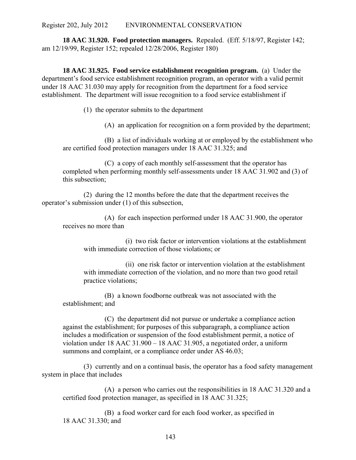**18 AAC 31.920. Food protection managers.** Repealed. (Eff. 5/18/97, Register 142; am 12/19/99, Register 152; repealed 12/28/2006, Register 180)

**18 AAC 31.925. Food service establishment recognition program.** (a) Under the department's food service establishment recognition program, an operator with a valid permit under 18 AAC 31.030 may apply for recognition from the department for a food service establishment. The department will issue recognition to a food service establishment if

(1) the operator submits to the department

(A) an application for recognition on a form provided by the department;

(B) a list of individuals working at or employed by the establishment who are certified food protection managers under 18 AAC 31.325; and

(C) a copy of each monthly self-assessment that the operator has completed when performing monthly self-assessments under 18 AAC 31.902 and (3) of this subsection;

(2) during the 12 months before the date that the department receives the operator's submission under (1) of this subsection,

(A) for each inspection performed under 18 AAC 31.900, the operator receives no more than

(i) two risk factor or intervention violations at the establishment with immediate correction of those violations; or

(ii) one risk factor or intervention violation at the establishment with immediate correction of the violation, and no more than two good retail practice violations;

(B) a known foodborne outbreak was not associated with the establishment; and

(C) the department did not pursue or undertake a compliance action against the establishment; for purposes of this subparagraph, a compliance action includes a modification or suspension of the food establishment permit, a notice of violation under 18 AAC 31.900 – 18 AAC 31.905, a negotiated order, a uniform summons and complaint, or a compliance order under AS 46.03;

(3) currently and on a continual basis, the operator has a food safety management system in place that includes

(A) a person who carries out the responsibilities in 18 AAC 31.320 and a certified food protection manager, as specified in 18 AAC 31.325;

(B) a food worker card for each food worker, as specified in 18 AAC 31.330; and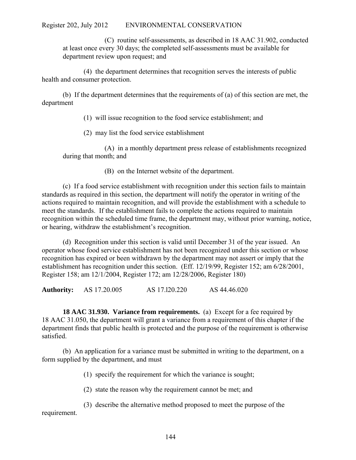(C) routine self-assessments, as described in 18 AAC 31.902, conducted at least once every 30 days; the completed self-assessments must be available for department review upon request; and

(4) the department determines that recognition serves the interests of public health and consumer protection.

(b) If the department determines that the requirements of (a) of this section are met, the department

(1) will issue recognition to the food service establishment; and

(2) may list the food service establishment

(A) in a monthly department press release of establishments recognized during that month; and

(B) on the Internet website of the department.

(c) If a food service establishment with recognition under this section fails to maintain standards as required in this section, the department will notify the operator in writing of the actions required to maintain recognition, and will provide the establishment with a schedule to meet the standards. If the establishment fails to complete the actions required to maintain recognition within the scheduled time frame, the department may, without prior warning, notice, or hearing, withdraw the establishment's recognition.

(d) Recognition under this section is valid until December 31 of the year issued. An operator whose food service establishment has not been recognized under this section or whose recognition has expired or been withdrawn by the department may not assert or imply that the establishment has recognition under this section. (Eff. 12/19/99, Register 152; am 6/28/2001, Register 158; am 12/1/2004, Register 172; am 12/28/2006, Register 180)

**Authority:** AS 17.20.005 AS 17.l20.220 AS 44.46.020

**18 AAC 31.930. Variance from requirements.** (a) Except for a fee required by 18 AAC 31.050, the department will grant a variance from a requirement of this chapter if the department finds that public health is protected and the purpose of the requirement is otherwise satisfied.

(b) An application for a variance must be submitted in writing to the department, on a form supplied by the department, and must

(1) specify the requirement for which the variance is sought;

(2) state the reason why the requirement cannot be met; and

(3) describe the alternative method proposed to meet the purpose of the requirement.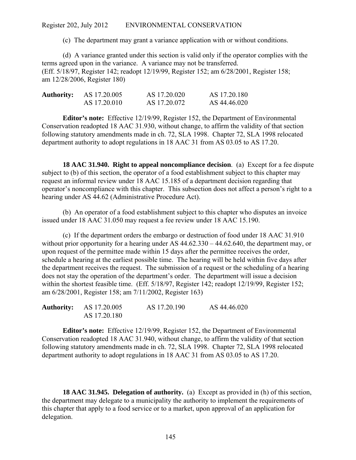(c) The department may grant a variance application with or without conditions.

(d) A variance granted under this section is valid only if the operator complies with the terms agreed upon in the variance. A variance may not be transferred. (Eff. 5/18/97, Register 142; readopt 12/19/99, Register 152; am 6/28/2001, Register 158; am 12/28/2006, Register 180)

| <b>Authority:</b> | AS 17.20.005 | AS 17.20.020 | AS 17.20.180 |
|-------------------|--------------|--------------|--------------|
|                   | AS 17.20.010 | AS 17.20.072 | AS 44.46.020 |

**Editor's note:** Effective 12/19/99, Register 152, the Department of Environmental Conservation readopted 18 AAC 31.930, without change, to affirm the validity of that section following statutory amendments made in ch. 72, SLA 1998. Chapter 72, SLA 1998 relocated department authority to adopt regulations in 18 AAC 31 from AS 03.05 to AS 17.20.

**18 AAC 31.940. Right to appeal noncompliance decision**. (a) Except for a fee dispute subject to (b) of this section, the operator of a food establishment subject to this chapter may request an informal review under 18 AAC 15.185 of a department decision regarding that operator's noncompliance with this chapter. This subsection does not affect a person's right to a hearing under AS 44.62 (Administrative Procedure Act).

(b) An operator of a food establishment subject to this chapter who disputes an invoice issued under 18 AAC 31.050 may request a fee review under 18 AAC 15.190.

(c) If the department orders the embargo or destruction of food under 18 AAC 31.910 without prior opportunity for a hearing under AS  $44.62.330 - 44.62.640$ , the department may, or upon request of the permittee made within 15 days after the permittee receives the order, schedule a hearing at the earliest possible time. The hearing will be held within five days after the department receives the request. The submission of a request or the scheduling of a hearing does not stay the operation of the department's order. The department will issue a decision within the shortest feasible time. (Eff. 5/18/97, Register 142; readopt 12/19/99, Register 152; am 6/28/2001, Register 158; am 7/11/2002, Register 163)

| <b>Authority:</b> AS 17.20.005 | AS 17.20.190 | AS 44.46.020 |
|--------------------------------|--------------|--------------|
| AS 17.20.180                   |              |              |

**Editor's note:** Effective 12/19/99, Register 152, the Department of Environmental Conservation readopted 18 AAC 31.940, without change, to affirm the validity of that section following statutory amendments made in ch. 72, SLA 1998. Chapter 72, SLA 1998 relocated department authority to adopt regulations in 18 AAC 31 from AS 03.05 to AS 17.20.

**18 AAC 31.945. Delegation of authority.** (a) Except as provided in (h) of this section, the department may delegate to a municipality the authority to implement the requirements of this chapter that apply to a food service or to a market, upon approval of an application for delegation.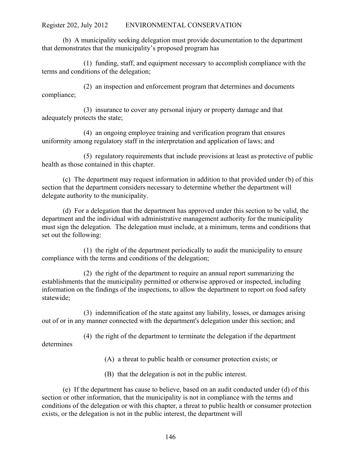(b) A municipality seeking delegation must provide documentation to the department that demonstrates that the municipality's proposed program has

(1) funding, staff, and equipment necessary to accomplish compliance with the terms and conditions of the delegation;

(2) an inspection and enforcement program that determines and documents compliance;

(3) insurance to cover any personal injury or property damage and that adequately protects the state;

(4) an ongoing employee training and verification program that ensures uniformity among regulatory staff in the interpretation and application of laws; and

(5) regulatory requirements that include provisions at least as protective of public health as those contained in this chapter.

(c) The department may request information in addition to that provided under (b) of this section that the department considers necessary to determine whether the department will delegate authority to the municipality.

(d) For a delegation that the department has approved under this section to be valid, the department and the individual with administrative management authority for the municipality must sign the delegation. The delegation must include, at a minimum, terms and conditions that set out the following:

(1) the right of the department periodically to audit the municipality to ensure compliance with the terms and conditions of the delegation;

(2) the right of the department to require an annual report summarizing the establishments that the municipality permitted or otherwise approved or inspected, including information on the findings of the inspections, to allow the department to report on food safety statewide;

(3) indemnification of the state against any liability, losses, or damages arising out of or in any manner connected with the department's delegation under this section; and

(4) the right of the department to terminate the delegation if the department determines

(A) a threat to public health or consumer protection exists; or

(B) that the delegation is not in the public interest.

(e) If the department has cause to believe, based on an audit conducted under (d) of this section or other information, that the municipality is not in compliance with the terms and conditions of the delegation or with this chapter, a threat to public health or consumer protection exists, or the delegation is not in the public interest, the department will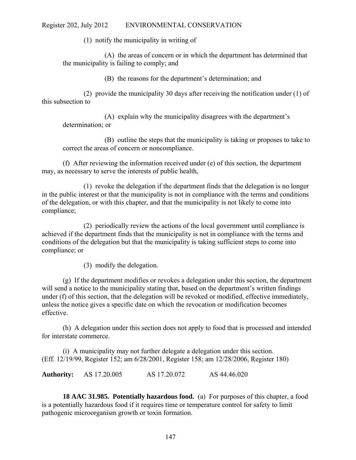(1) notify the municipality in writing of

(A) the areas of concern or in which the department has determined that the municipality is failing to comply; and

(B) the reasons for the department's determination; and

(2) provide the municipality 30 days after receiving the notification under (1) of this subsection to

(A) explain why the municipality disagrees with the department's determination; or

(B) outline the steps that the municipality is taking or proposes to take to correct the areas of concern or noncompliance.

(f) After reviewing the information received under (e) of this section, the department may, as necessary to serve the interests of public health,

(1) revoke the delegation if the department finds that the delegation is no longer in the public interest or that the municipality is not in compliance with the terms and conditions of the delegation, or with this chapter, and that the municipality is not likely to come into compliance;

(2) periodically review the actions of the local government until compliance is achieved if the department finds that the municipality is not in compliance with the terms and conditions of the delegation but that the municipality is taking sufficient steps to come into compliance; or

(3) modify the delegation.

(g) If the department modifies or revokes a delegation under this section, the department will send a notice to the municipality stating that, based on the department's written findings under (f) of this section, that the delegation will be revoked or modified, effective immediately, unless the notice gives a specific date on which the revocation or modification becomes effective.

(h) A delegation under this section does not apply to food that is processed and intended for interstate commerce.

(i) A municipality may not further delegate a delegation under this section. (Eff. 12/19/99, Register 152; am 6/28/2001, Register 158; am 12/28/2006, Register 180)

**Authority:** AS 17.20.005 AS 17.20.072 AS 44.46.020

**18 AAC 31.985. Potentially hazardous food.** (a) For purposes of this chapter, a food is a potentially hazardous food if it requires time or temperature control for safety to limit pathogenic microorganism growth or toxin formation.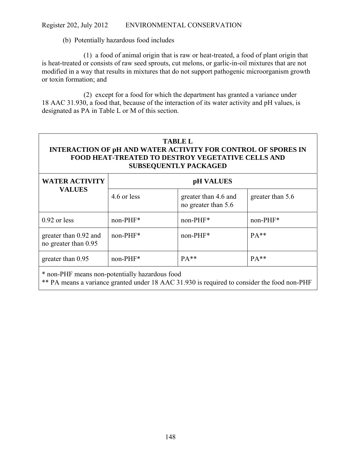(b) Potentially hazardous food includes

(1) a food of animal origin that is raw or heat-treated, a food of plant origin that is heat-treated or consists of raw seed sprouts, cut melons, or garlic-in-oil mixtures that are not modified in a way that results in mixtures that do not support pathogenic microorganism growth or toxin formation; and

(2) except for a food for which the department has granted a variance under 18 AAC 31.930, a food that, because of the interaction of its water activity and pH values, is designated as PA in Table L or M of this section.

# **TABLE L INTERACTION OF pH AND WATER ACTIVITY FOR CONTROL OF SPORES IN FOOD HEAT-TREATED TO DESTROY VEGETATIVE CELLS AND SUBSEQUENTLY PACKAGED**

| <b>WATER ACTIVITY</b>                         | pH VALUES   |                                             |                  |
|-----------------------------------------------|-------------|---------------------------------------------|------------------|
| <b>VALUES</b>                                 | 4.6 or less | greater than 4.6 and<br>no greater than 5.6 | greater than 5.6 |
| $0.92$ or less                                | non-PHF*    | $non-PHF^*$                                 | $non-PHF*$       |
| greater than 0.92 and<br>no greater than 0.95 | $non-PHF^*$ | $non-PHF*$                                  | $PA**$           |
| greater than 0.95                             | $non-PHF^*$ | $PA**$                                      | $PA**$           |

\* non-PHF means non-potentially hazardous food

\*\* PA means a variance granted under 18 AAC 31.930 is required to consider the food non-PHF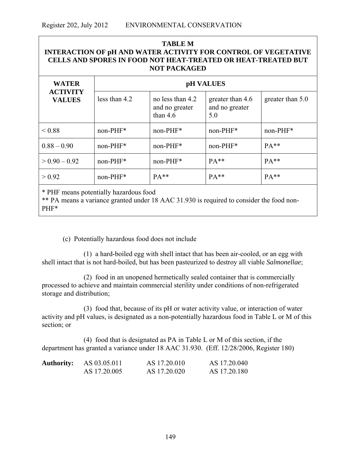| <b>TABLE M</b><br><b>INTERACTION OF pH AND WATER ACTIVITY FOR CONTROL OF VEGETATIVE</b><br><b>CELLS AND SPORES IN FOOD NOT HEAT-TREATED OR HEAT-TREATED BUT</b><br><b>NOT PACKAGED</b> |                  |                                                  |                                           |                  |
|----------------------------------------------------------------------------------------------------------------------------------------------------------------------------------------|------------------|--------------------------------------------------|-------------------------------------------|------------------|
| <b>WATER</b>                                                                                                                                                                           | <b>pH VALUES</b> |                                                  |                                           |                  |
| <b>ACTIVITY</b><br><b>VALUES</b>                                                                                                                                                       | less than 4.2    | no less than 4.2<br>and no greater<br>than $4.6$ | greater than 4.6<br>and no greater<br>5.0 | greater than 5.0 |
| ${}_{\leq 0.88}$                                                                                                                                                                       | $non-PHF*$       | $non-PHF*$                                       | non-PHF*                                  | non-PHF*         |
| $0.88 - 0.90$                                                                                                                                                                          | $non-PHF*$       | $non-PHF^*$                                      | $non-PHF^*$                               | $PA**$           |
| $> 0.90 - 0.92$                                                                                                                                                                        | $non-PHF*$       | $non-PHF*$                                       | $PA**$                                    | $PA**$           |
| > 0.92                                                                                                                                                                                 | $non-PHF*$       | $PA**$                                           | $PA**$                                    | $PA**$           |
| * PHF means potentially hazardous food                                                                                                                                                 |                  |                                                  |                                           |                  |

\*\* PA means a variance granted under 18 AAC 31.930 is required to consider the food non-PHF\*

(c) Potentially hazardous food does not include

(1) a hard-boiled egg with shell intact that has been air-cooled, or an egg with shell intact that is not hard-boiled, but has been pasteurized to destroy all viable *Salmonellae*;

(2) food in an unopened hermetically sealed container that is commercially processed to achieve and maintain commercial sterility under conditions of non-refrigerated storage and distribution;

(3) food that, because of its pH or water activity value, or interaction of water activity and pH values, is designated as a non-potentially hazardous food in Table L or M of this section; or

(4) food that is designated as PA in Table L or M of this section, if the department has granted a variance under 18 AAC 31.930. (Eff. 12/28/2006, Register 180)

| <b>Authority:</b> | AS 03.05.011 | AS 17.20.010 | AS 17.20.040 |
|-------------------|--------------|--------------|--------------|
|                   | AS 17.20.005 | AS 17.20.020 | AS 17.20.180 |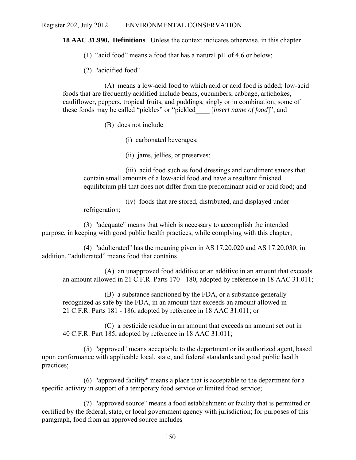**18 AAC 31.990. Definitions**. Unless the context indicates otherwise, in this chapter

(1) "acid food" means a food that has a natural pH of 4.6 or below;

(2) "acidified food"

(A) means a low-acid food to which acid or acid food is added; low-acid foods that are frequently acidified include beans, cucumbers, cabbage, artichokes, cauliflower, peppers, tropical fruits, and puddings, singly or in combination; some of these foods may be called "pickles" or "pickled\_\_\_\_ [*insert name of food*]"; and

(B) does not include

(i) carbonated beverages;

(ii) jams, jellies, or preserves;

(iii) acid food such as food dressings and condiment sauces that contain small amounts of a low-acid food and have a resultant finished equilibrium pH that does not differ from the predominant acid or acid food; and

(iv) foods that are stored, distributed, and displayed under refrigeration;

(3) "adequate" means that which is necessary to accomplish the intended purpose, in keeping with good public health practices, while complying with this chapter;

(4) "adulterated" has the meaning given in AS 17.20.020 and AS 17.20.030; in addition, "adulterated" means food that contains

(A) an unapproved food additive or an additive in an amount that exceeds an amount allowed in 21 C.F.R. Parts 170 - 180, adopted by reference in 18 AAC 31.011;

(B) a substance sanctioned by the FDA, or a substance generally recognized as safe by the FDA, in an amount that exceeds an amount allowed in 21 C.F.R. Parts 181 - 186, adopted by reference in 18 AAC 31.011; or

(C) a pesticide residue in an amount that exceeds an amount set out in 40 C.F.R. Part 185, adopted by reference in 18 AAC 31.011;

(5) "approved" means acceptable to the department or its authorized agent, based upon conformance with applicable local, state, and federal standards and good public health practices;

(6) "approved facility" means a place that is acceptable to the department for a specific activity in support of a temporary food service or limited food service;

(7) "approved source" means a food establishment or facility that is permitted or certified by the federal, state, or local government agency with jurisdiction; for purposes of this paragraph, food from an approved source includes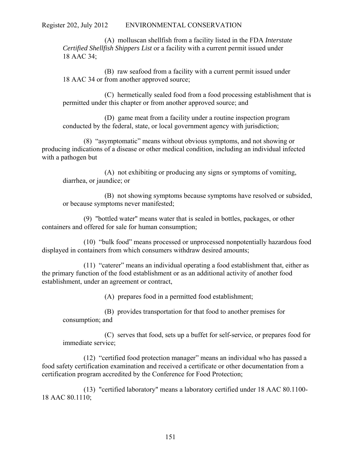(A) molluscan shellfish from a facility listed in the FDA *Interstate Certified Shellfish Shippers List* or a facility with a current permit issued under 18 AAC 34;

(B) raw seafood from a facility with a current permit issued under 18 AAC 34 or from another approved source;

(C) hermetically sealed food from a food processing establishment that is permitted under this chapter or from another approved source; and

(D) game meat from a facility under a routine inspection program conducted by the federal, state, or local government agency with jurisdiction;

(8) "asymptomatic" means without obvious symptoms, and not showing or producing indications of a disease or other medical condition, including an individual infected with a pathogen but

(A) not exhibiting or producing any signs or symptoms of vomiting, diarrhea, or jaundice; or

(B) not showing symptoms because symptoms have resolved or subsided, or because symptoms never manifested;

(9) "bottled water" means water that is sealed in bottles, packages, or other containers and offered for sale for human consumption;

(10) "bulk food" means processed or unprocessed nonpotentially hazardous food displayed in containers from which consumers withdraw desired amounts;

(11) "caterer" means an individual operating a food establishment that, either as the primary function of the food establishment or as an additional activity of another food establishment, under an agreement or contract,

(A) prepares food in a permitted food establishment;

(B) provides transportation for that food to another premises for consumption; and

(C) serves that food, sets up a buffet for self-service, or prepares food for immediate service;

(12) "certified food protection manager" means an individual who has passed a food safety certification examination and received a certificate or other documentation from a certification program accredited by the Conference for Food Protection;

(13) "certified laboratory" means a laboratory certified under 18 AAC 80.1100- 18 AAC 80.1110;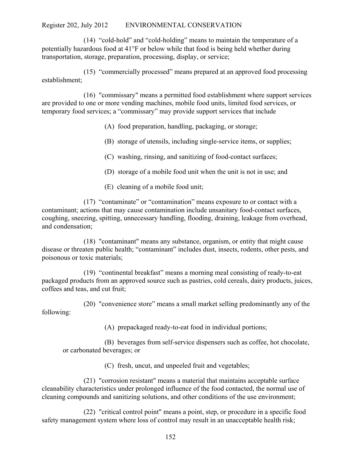(14) "cold-hold" and "cold-holding" means to maintain the temperature of a potentially hazardous food at  $41^{\circ}$ F or below while that food is being held whether during transportation, storage, preparation, processing, display, or service;

(15) "commercially processed" means prepared at an approved food processing establishment;

(16) "commissary" means a permitted food establishment where support services are provided to one or more vending machines, mobile food units, limited food services, or temporary food services; a "commissary" may provide support services that include

(A) food preparation, handling, packaging, or storage;

(B) storage of utensils, including single-service items, or supplies;

(C) washing, rinsing, and sanitizing of food-contact surfaces;

(D) storage of a mobile food unit when the unit is not in use; and

(E) cleaning of a mobile food unit;

(17) "contaminate" or "contamination" means exposure to or contact with a contaminant; actions that may cause contamination include unsanitary food-contact surfaces, coughing, sneezing, spitting, unnecessary handling, flooding, draining, leakage from overhead, and condensation;

(18) "contaminant" means any substance, organism, or entity that might cause disease or threaten public health; "contaminant" includes dust, insects, rodents, other pests, and poisonous or toxic materials;

(19) "continental breakfast" means a morning meal consisting of ready-to-eat packaged products from an approved source such as pastries, cold cereals, dairy products, juices, coffees and teas, and cut fruit;

(20) "convenience store" means a small market selling predominantly any of the following:

(A) prepackaged ready-to-eat food in individual portions;

(B) beverages from self-service dispensers such as coffee, hot chocolate, or carbonated beverages; or

(C) fresh, uncut, and unpeeled fruit and vegetables;

(21) "corrosion resistant" means a material that maintains acceptable surface cleanability characteristics under prolonged influence of the food contacted, the normal use of cleaning compounds and sanitizing solutions, and other conditions of the use environment;

(22) "critical control point" means a point, step, or procedure in a specific food safety management system where loss of control may result in an unacceptable health risk;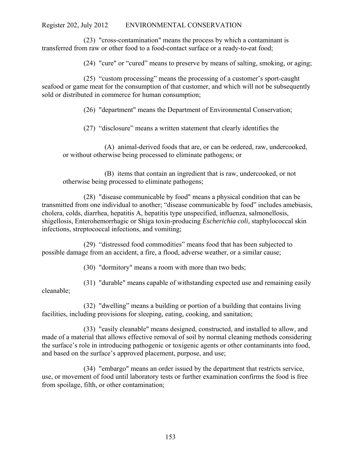(23) "cross-contamination" means the process by which a contaminant is transferred from raw or other food to a food-contact surface or a ready-to-eat food;

(24) "cure" or "cured" means to preserve by means of salting, smoking, or aging;

(25) "custom processing" means the processing of a customer's sport-caught seafood or game meat for the consumption of that customer, and which will not be subsequently sold or distributed in commerce for human consumption;

(26) "department" means the Department of Environmental Conservation;

(27) "disclosure" means a written statement that clearly identifies the

(A) animal-derived foods that are, or can be ordered, raw, undercooked, or without otherwise being processed to eliminate pathogens; or

(B) items that contain an ingredient that is raw, undercooked, or not otherwise being processed to eliminate pathogens;

(28) "disease communicable by food" means a physical condition that can be transmitted from one individual to another; "disease communicable by food" includes amebiasis, cholera, colds, diarrhea, hepatitis A, hepatitis type unspecified, influenza, salmonellosis, shigellosis, Enterohemorrhagic or Shiga toxin-producing *Escherichia coli*, staphylococcal skin infections, streptococcal infections, and vomiting;

(29) "distressed food commodities" means food that has been subjected to possible damage from an accident, a fire, a flood, adverse weather, or a similar cause;

(30) "dormitory" means a room with more than two beds;

(31) "durable" means capable of withstanding expected use and remaining easily cleanable;

(32) "dwelling" means a building or portion of a building that contains living facilities, including provisions for sleeping, eating, cooking, and sanitation;

(33) "easily cleanable" means designed, constructed, and installed to allow, and made of a material that allows effective removal of soil by normal cleaning methods considering the surface's role in introducing pathogenic or toxigenic agents or other contaminants into food, and based on the surface's approved placement, purpose, and use;

(34) "embargo" means an order issued by the department that restricts service, use, or movement of food until laboratory tests or further examination confirms the food is free from spoilage, filth, or other contamination;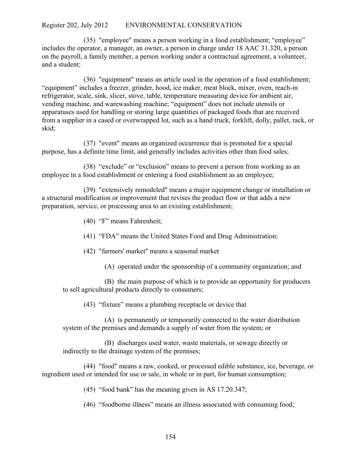(35) "employee" means a person working in a food establishment; "employee" includes the operator, a manager, an owner, a person in charge under 18 AAC 31.320, a person on the payroll, a family member, a person working under a contractual agreement, a volunteer, and a student;

(36) "equipment" means an article used in the operation of a food establishment; "equipment" includes a freezer, grinder, hood, ice maker, meat block, mixer, oven, reach-in refrigerator, scale, sink, slicer, stove, table, temperature measuring device for ambient air, vending machine, and warewashing machine; "equipment" does not include utensils or apparatuses used for handling or storing large quantities of packaged foods that are received from a supplier in a cased or overwrapped lot, such as a hand truck, forklift, dolly, pallet, rack, or skid;

(37) "event" means an organized occurrence that is promoted for a special purpose, has a definite time limit, and generally includes activities other than food sales;

(38) "exclude" or "exclusion" means to prevent a person from working as an employee in a food establishment or entering a food establishment as an employee;

(39) "extensively remodeled" means a major equipment change or installation or a structural modification or improvement that revises the product flow or that adds a new preparation, service, or processing area to an existing establishment;

(40) "F" means Fahrenheit;

(41) "FDA" means the United States Food and Drug Administration;

- (42) "farmers' market" means a seasonal market
	- (A) operated under the sponsorship of a community organization; and

(B) the main purpose of which is to provide an opportunity for producers to sell agricultural products directly to consumers;

(43) "fixture" means a plumbing receptacle or device that

(A) is permanently or temporarily connected to the water distribution system of the premises and demands a supply of water from the system; or

(B) discharges used water, waste materials, or sewage directly or indirectly to the drainage system of the premises;

(44) "food" means a raw, cooked, or processed edible substance, ice, beverage, or ingredient used or intended for use or sale, in whole or in part, for human consumption;

(45) "food bank" has the meaning given in AS 17.20.347;

(46) "foodborne illness" means an illness associated with consuming food;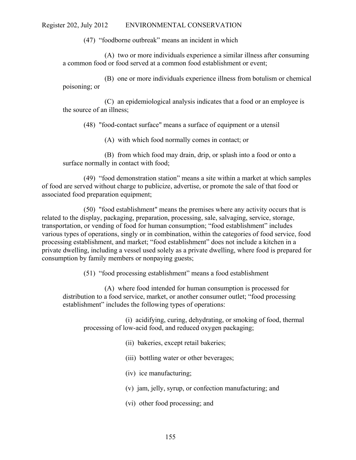(47) "foodborne outbreak" means an incident in which

(A) two or more individuals experience a similar illness after consuming a common food or food served at a common food establishment or event;

(B) one or more individuals experience illness from botulism or chemical poisoning; or

(C) an epidemiological analysis indicates that a food or an employee is the source of an illness;

(48) "food-contact surface" means a surface of equipment or a utensil

(A) with which food normally comes in contact; or

(B) from which food may drain, drip, or splash into a food or onto a surface normally in contact with food;

(49) "food demonstration station" means a site within a market at which samples of food are served without charge to publicize, advertise, or promote the sale of that food or associated food preparation equipment;

(50) "food establishment" means the premises where any activity occurs that is related to the display, packaging, preparation, processing, sale, salvaging, service, storage, transportation, or vending of food for human consumption; "food establishment" includes various types of operations, singly or in combination, within the categories of food service, food processing establishment, and market; "food establishment" does not include a kitchen in a private dwelling, including a vessel used solely as a private dwelling, where food is prepared for consumption by family members or nonpaying guests;

(51) "food processing establishment" means a food establishment

(A) where food intended for human consumption is processed for distribution to a food service, market, or another consumer outlet; "food processing establishment" includes the following types of operations:

(i) acidifying, curing, dehydrating, or smoking of food, thermal processing of low-acid food, and reduced oxygen packaging;

(ii) bakeries, except retail bakeries;

(iii) bottling water or other beverages;

(iv) ice manufacturing;

- (v) jam, jelly, syrup, or confection manufacturing; and
- (vi) other food processing; and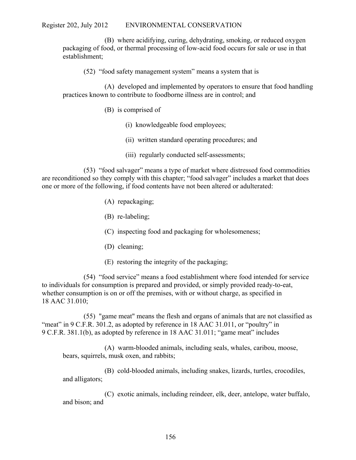(B) where acidifying, curing, dehydrating, smoking, or reduced oxygen packaging of food, or thermal processing of low-acid food occurs for sale or use in that establishment;

(52) "food safety management system" means a system that is

(A) developed and implemented by operators to ensure that food handling practices known to contribute to foodborne illness are in control; and

- (B) is comprised of
	- (i) knowledgeable food employees;
	- (ii) written standard operating procedures; and
	- (iii) regularly conducted self-assessments;

(53) "food salvager" means a type of market where distressed food commodities are reconditioned so they comply with this chapter; "food salvager" includes a market that does one or more of the following, if food contents have not been altered or adulterated:

- (A) repackaging;
- (B) re-labeling;
- (C) inspecting food and packaging for wholesomeness;
- (D) cleaning;
- (E) restoring the integrity of the packaging;

(54) "food service" means a food establishment where food intended for service to individuals for consumption is prepared and provided, or simply provided ready-to-eat, whether consumption is on or off the premises, with or without charge, as specified in 18 AAC 31.010;

(55) "game meat" means the flesh and organs of animals that are not classified as "meat" in 9 C.F.R. 301.2, as adopted by reference in 18 AAC 31.011, or "poultry" in 9 C.F.R. 381.1(b), as adopted by reference in 18 AAC 31.011; "game meat" includes

(A) warm-blooded animals, including seals, whales, caribou, moose, bears, squirrels, musk oxen, and rabbits;

(B) cold-blooded animals, including snakes, lizards, turtles, crocodiles, and alligators;

(C) exotic animals, including reindeer, elk, deer, antelope, water buffalo, and bison; and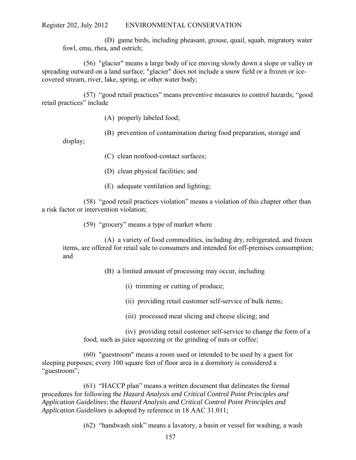(D) game birds, including pheasant, grouse, quail, squab, migratory water fowl, emu, rhea, and ostrich;

(56) "glacier" means a large body of ice moving slowly down a slope or valley or spreading outward on a land surface; "glacier" does not include a snow field or a frozen or icecovered stream, river, lake, spring, or other water body;

(57) "good retail practices" means preventive measures to control hazards; "good retail practices" include

- (A) properly labeled food;
- (B) prevention of contamination during food preparation, storage and

display;

- (C) clean nonfood-contact surfaces;
- (D) clean physical facilities; and
- (E) adequate ventilation and lighting;

(58) "good retail practices violation" means a violation of this chapter other than a risk factor or intervention violation;

(59) "grocery" means a type of market where

(A) a variety of food commodities, including dry, refrigerated, and frozen items, are offered for retail sale to consumers and intended for off-premises consumption; and

(B) a limited amount of processing may occur, including

- (i) trimming or cutting of produce;
- (ii) providing retail customer self-service of bulk items;
- (iii) processed meat slicing and cheese slicing; and

(iv) providing retail customer self-service to change the form of a food, such as juice squeezing or the grinding of nuts or coffee;

(60) "guestroom" means a room used or intended to be used by a guest for sleeping purposes; every 100 square feet of floor area in a dormitory is considered a "guestroom";

(61) "HACCP plan" means a written document that delineates the formal procedures for following the *Hazard Analysis and Critical Control Point Principles and Application Guidelines*; the *Hazard Analysis and Critical Control Point Principles and Application Guidelines* is adopted by reference in 18 AAC 31.011;

(62) "handwash sink" means a lavatory, a basin or vessel for washing, a wash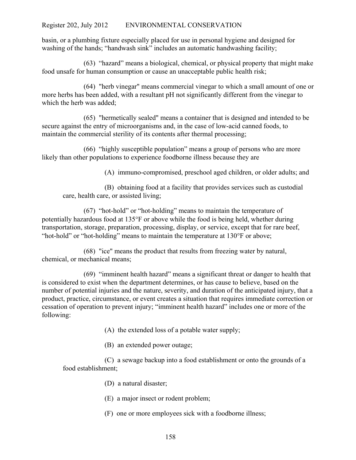basin, or a plumbing fixture especially placed for use in personal hygiene and designed for washing of the hands; "handwash sink" includes an automatic handwashing facility;

(63) "hazard" means a biological, chemical, or physical property that might make food unsafe for human consumption or cause an unacceptable public health risk;

(64) "herb vinegar" means commercial vinegar to which a small amount of one or more herbs has been added, with a resultant pH not significantly different from the vinegar to which the herb was added;

(65) "hermetically sealed" means a container that is designed and intended to be secure against the entry of microorganisms and, in the case of low-acid canned foods, to maintain the commercial sterility of its contents after thermal processing;

(66) "highly susceptible population" means a group of persons who are more likely than other populations to experience foodborne illness because they are

(A) immuno-compromised, preschool aged children, or older adults; and

(B) obtaining food at a facility that provides services such as custodial care, health care, or assisted living;

(67) "hot-hold" or "hot-holding" means to maintain the temperature of potentially hazardous food at  $135^{\circ}$  F or above while the food is being held, whether during transportation, storage, preparation, processing, display, or service, except that for rare beef, "hot-hold" or "hot-holding" means to maintain the temperature at  $130^{\circ}$  F or above;

(68) "ice" means the product that results from freezing water by natural, chemical, or mechanical means;

(69) "imminent health hazard" means a significant threat or danger to health that is considered to exist when the department determines, or has cause to believe, based on the number of potential injuries and the nature, severity, and duration of the anticipated injury, that a product, practice, circumstance, or event creates a situation that requires immediate correction or cessation of operation to prevent injury; "imminent health hazard" includes one or more of the following:

(A) the extended loss of a potable water supply;

(B) an extended power outage;

(C) a sewage backup into a food establishment or onto the grounds of a food establishment;

(D) a natural disaster;

(E) a major insect or rodent problem;

(F) one or more employees sick with a foodborne illness;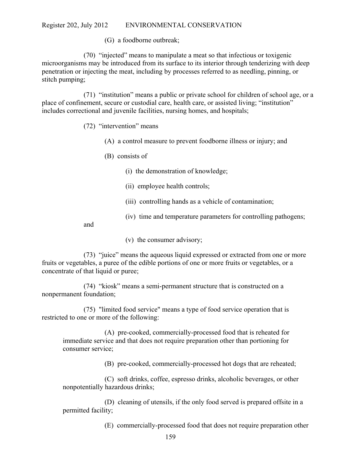(G) a foodborne outbreak;

(70) "injected" means to manipulate a meat so that infectious or toxigenic microorganisms may be introduced from its surface to its interior through tenderizing with deep penetration or injecting the meat, including by processes referred to as needling, pinning, or stitch pumping;

(71) "institution" means a public or private school for children of school age, or a place of confinement, secure or custodial care, health care, or assisted living; "institution" includes correctional and juvenile facilities, nursing homes, and hospitals;

# (72) "intervention" means

- (A) a control measure to prevent foodborne illness or injury; and
- (B) consists of
	- (i) the demonstration of knowledge;
	- (ii) employee health controls;
	- (iii) controlling hands as a vehicle of contamination;
	- (iv) time and temperature parameters for controlling pathogens;

and

(v) the consumer advisory;

(73) "juice" means the aqueous liquid expressed or extracted from one or more fruits or vegetables, a puree of the edible portions of one or more fruits or vegetables, or a concentrate of that liquid or puree;

(74) "kiosk" means a semi-permanent structure that is constructed on a nonpermanent foundation;

(75) "limited food service" means a type of food service operation that is restricted to one or more of the following:

(A) pre-cooked, commercially-processed food that is reheated for immediate service and that does not require preparation other than portioning for consumer service;

(B) pre-cooked, commercially-processed hot dogs that are reheated;

(C) soft drinks, coffee, espresso drinks, alcoholic beverages, or other nonpotentially hazardous drinks;

(D) cleaning of utensils, if the only food served is prepared offsite in a permitted facility;

(E) commercially-processed food that does not require preparation other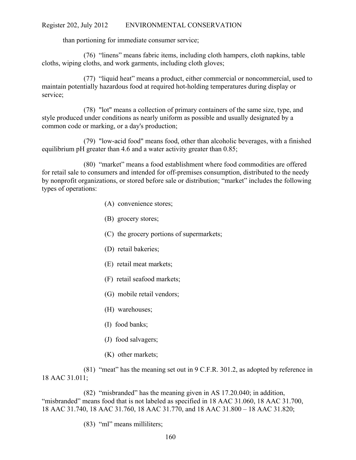than portioning for immediate consumer service;

(76) "linens" means fabric items, including cloth hampers, cloth napkins, table cloths, wiping cloths, and work garments, including cloth gloves;

(77) "liquid heat" means a product, either commercial or noncommercial, used to maintain potentially hazardous food at required hot-holding temperatures during display or service;

(78) "lot" means a collection of primary containers of the same size, type, and style produced under conditions as nearly uniform as possible and usually designated by a common code or marking, or a day's production;

(79) "low-acid food" means food, other than alcoholic beverages, with a finished equilibrium pH greater than 4.6 and a water activity greater than 0.85;

(80) "market" means a food establishment where food commodities are offered for retail sale to consumers and intended for off-premises consumption, distributed to the needy by nonprofit organizations, or stored before sale or distribution; "market" includes the following types of operations:

- (A) convenience stores;
- (B) grocery stores;
- (C) the grocery portions of supermarkets;
- (D) retail bakeries;
- (E) retail meat markets;
- (F) retail seafood markets;
- (G) mobile retail vendors;
- (H) warehouses;
- (I) food banks;
- (J) food salvagers;
- (K) other markets;

(81) "meat" has the meaning set out in 9 C.F.R. 301.2, as adopted by reference in 18 AAC 31.011;

(82) "misbranded" has the meaning given in AS 17.20.040; in addition, "misbranded" means food that is not labeled as specified in 18 AAC 31.060, 18 AAC 31.700, 18 AAC 31.740, 18 AAC 31.760, 18 AAC 31.770, and 18 AAC 31.800 – 18 AAC 31.820;

(83) "ml" means milliliters;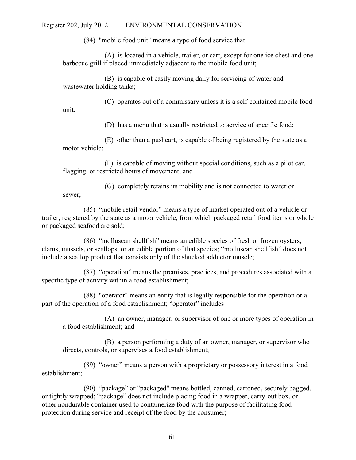(84) "mobile food unit" means a type of food service that

(A) is located in a vehicle, trailer, or cart, except for one ice chest and one barbecue grill if placed immediately adjacent to the mobile food unit;

(B) is capable of easily moving daily for servicing of water and wastewater holding tanks;

(C) operates out of a commissary unless it is a self-contained mobile food unit;

(D) has a menu that is usually restricted to service of specific food;

(E) other than a pushcart, is capable of being registered by the state as a motor vehicle;

(F) is capable of moving without special conditions, such as a pilot car, flagging, or restricted hours of movement; and

(G) completely retains its mobility and is not connected to water or sewer;

(85) "mobile retail vendor" means a type of market operated out of a vehicle or trailer, registered by the state as a motor vehicle, from which packaged retail food items or whole or packaged seafood are sold;

(86) "molluscan shellfish" means an edible species of fresh or frozen oysters, clams, mussels, or scallops, or an edible portion of that species; "molluscan shellfish" does not include a scallop product that consists only of the shucked adductor muscle;

(87) "operation" means the premises, practices, and procedures associated with a specific type of activity within a food establishment;

(88) "operator" means an entity that is legally responsible for the operation or a part of the operation of a food establishment; "operator" includes

(A) an owner, manager, or supervisor of one or more types of operation in a food establishment; and

(B) a person performing a duty of an owner, manager, or supervisor who directs, controls, or supervises a food establishment;

(89) "owner" means a person with a proprietary or possessory interest in a food establishment;

(90) "package" or "packaged" means bottled, canned, cartoned, securely bagged, or tightly wrapped; "package" does not include placing food in a wrapper, carry-out box, or other nondurable container used to containerize food with the purpose of facilitating food protection during service and receipt of the food by the consumer;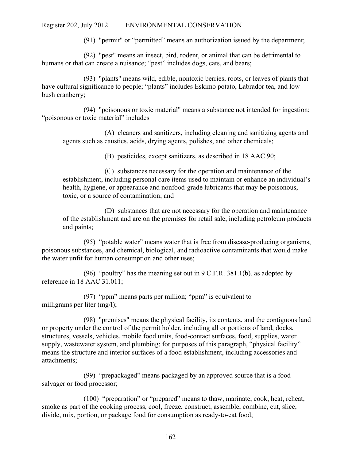(91) "permit" or "permitted" means an authorization issued by the department;

(92) "pest" means an insect, bird, rodent, or animal that can be detrimental to humans or that can create a nuisance; "pest" includes dogs, cats, and bears;

(93) "plants" means wild, edible, nontoxic berries, roots, or leaves of plants that have cultural significance to people; "plants" includes Eskimo potato, Labrador tea, and low bush cranberry;

(94) "poisonous or toxic material" means a substance not intended for ingestion; "poisonous or toxic material" includes

(A) cleaners and sanitizers, including cleaning and sanitizing agents and agents such as caustics, acids, drying agents, polishes, and other chemicals;

(B) pesticides, except sanitizers, as described in 18 AAC 90;

(C) substances necessary for the operation and maintenance of the establishment, including personal care items used to maintain or enhance an individual's health, hygiene, or appearance and nonfood-grade lubricants that may be poisonous, toxic, or a source of contamination; and

(D) substances that are not necessary for the operation and maintenance of the establishment and are on the premises for retail sale, including petroleum products and paints;

(95) "potable water" means water that is free from disease-producing organisms, poisonous substances, and chemical, biological, and radioactive contaminants that would make the water unfit for human consumption and other uses;

(96) "poultry" has the meaning set out in  $9 \text{ C.F.R. } 381.1(b)$ , as adopted by reference in 18 AAC 31.011;

(97) "ppm" means parts per million; "ppm" is equivalent to milligrams per liter (mg/l);

(98) "premises" means the physical facility, its contents, and the contiguous land or property under the control of the permit holder, including all or portions of land, docks, structures, vessels, vehicles, mobile food units, food-contact surfaces, food, supplies, water supply, wastewater system, and plumbing; for purposes of this paragraph, "physical facility" means the structure and interior surfaces of a food establishment, including accessories and attachments;

(99) "prepackaged" means packaged by an approved source that is a food salvager or food processor;

(100) "preparation" or "prepared" means to thaw, marinate, cook, heat, reheat, smoke as part of the cooking process, cool, freeze, construct, assemble, combine, cut, slice, divide, mix, portion, or package food for consumption as ready-to-eat food;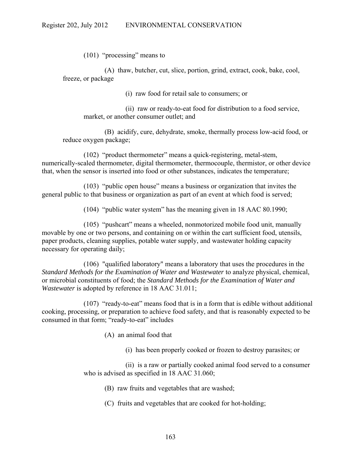(101) "processing" means to

(A) thaw, butcher, cut, slice, portion, grind, extract, cook, bake, cool, freeze, or package

(i) raw food for retail sale to consumers; or

(ii) raw or ready-to-eat food for distribution to a food service, market, or another consumer outlet; and

(B) acidify, cure, dehydrate, smoke, thermally process low-acid food, or reduce oxygen package;

(102) "product thermometer" means a quick-registering, metal-stem, numerically-scaled thermometer, digital thermometer, thermocouple, thermistor, or other device that, when the sensor is inserted into food or other substances, indicates the temperature;

(103) "public open house" means a business or organization that invites the general public to that business or organization as part of an event at which food is served;

(104) "public water system" has the meaning given in 18 AAC 80.1990;

(105) "pushcart" means a wheeled, nonmotorized mobile food unit, manually movable by one or two persons, and containing on or within the cart sufficient food, utensils, paper products, cleaning supplies, potable water supply, and wastewater holding capacity necessary for operating daily;

(106) "qualified laboratory" means a laboratory that uses the procedures in the *Standard Methods for the Examination of Water and Wastewater* to analyze physical, chemical, or microbial constituents of food; the *Standard Methods for the Examination of Water and Wastewater* is adopted by reference in 18 AAC 31.011;

(107) "ready-to-eat" means food that is in a form that is edible without additional cooking, processing, or preparation to achieve food safety, and that is reasonably expected to be consumed in that form; "ready-to-eat" includes

(A) an animal food that

(i) has been properly cooked or frozen to destroy parasites; or

(ii) is a raw or partially cooked animal food served to a consumer who is advised as specified in 18 AAC 31.060;

- (B) raw fruits and vegetables that are washed;
- (C) fruits and vegetables that are cooked for hot-holding;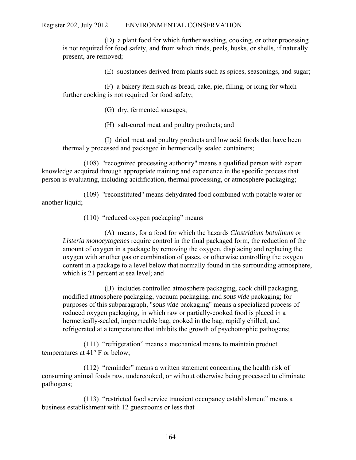(D) a plant food for which further washing, cooking, or other processing is not required for food safety, and from which rinds, peels, husks, or shells, if naturally present, are removed;

(E) substances derived from plants such as spices, seasonings, and sugar;

(F) a bakery item such as bread, cake, pie, filling, or icing for which further cooking is not required for food safety;

(G) dry, fermented sausages;

(H) salt-cured meat and poultry products; and

(I) dried meat and poultry products and low acid foods that have been thermally processed and packaged in hermetically sealed containers;

(108) "recognized processing authority" means a qualified person with expert knowledge acquired through appropriate training and experience in the specific process that person is evaluating, including acidification, thermal processing, or atmosphere packaging;

(109) "reconstituted" means dehydrated food combined with potable water or another liquid;

(110) "reduced oxygen packaging" means

(A) means, for a food for which the hazards *Clostridium botulinum* or *Listeria monocytogenes* require control in the final packaged form, the reduction of the amount of oxygen in a package by removing the oxygen, displacing and replacing the oxygen with another gas or combination of gases, or otherwise controlling the oxygen content in a package to a level below that normally found in the surrounding atmosphere, which is 21 percent at sea level; and

(B) includes controlled atmosphere packaging, cook chill packaging, modified atmosphere packaging, vacuum packaging, and *sous vide* packaging; for purposes of this subparagraph, "*sous vide* packaging" means a specialized process of reduced oxygen packaging, in which raw or partially-cooked food is placed in a hermetically-sealed, impermeable bag, cooked in the bag, rapidly chilled, and refrigerated at a temperature that inhibits the growth of psychotrophic pathogens;

(111) "refrigeration" means a mechanical means to maintain product temperatures at  $41^{\circ}$  F or below;

(112) "reminder" means a written statement concerning the health risk of consuming animal foods raw, undercooked, or without otherwise being processed to eliminate pathogens;

(113) "restricted food service transient occupancy establishment" means a business establishment with 12 guestrooms or less that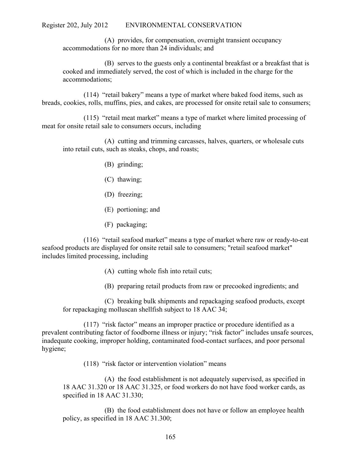(A) provides, for compensation, overnight transient occupancy accommodations for no more than 24 individuals; and

(B) serves to the guests only a continental breakfast or a breakfast that is cooked and immediately served, the cost of which is included in the charge for the accommodations;

(114) "retail bakery" means a type of market where baked food items, such as breads, cookies, rolls, muffins, pies, and cakes, are processed for onsite retail sale to consumers;

(115) "retail meat market" means a type of market where limited processing of meat for onsite retail sale to consumers occurs, including

(A) cutting and trimming carcasses, halves, quarters, or wholesale cuts into retail cuts, such as steaks, chops, and roasts;

- (B) grinding;
- (C) thawing;
- (D) freezing;
- (E) portioning; and
- (F) packaging;

(116) "retail seafood market" means a type of market where raw or ready-to-eat seafood products are displayed for onsite retail sale to consumers; "retail seafood market" includes limited processing, including

- (A) cutting whole fish into retail cuts;
- (B) preparing retail products from raw or precooked ingredients; and

(C) breaking bulk shipments and repackaging seafood products, except for repackaging molluscan shellfish subject to 18 AAC 34;

(117) "risk factor" means an improper practice or procedure identified as a prevalent contributing factor of foodborne illness or injury; "risk factor" includes unsafe sources, inadequate cooking, improper holding, contaminated food-contact surfaces, and poor personal hygiene;

(118) "risk factor or intervention violation" means

(A) the food establishment is not adequately supervised, as specified in 18 AAC 31.320 or 18 AAC 31.325, or food workers do not have food worker cards, as specified in 18 AAC 31.330;

(B) the food establishment does not have or follow an employee health policy, as specified in 18 AAC 31.300;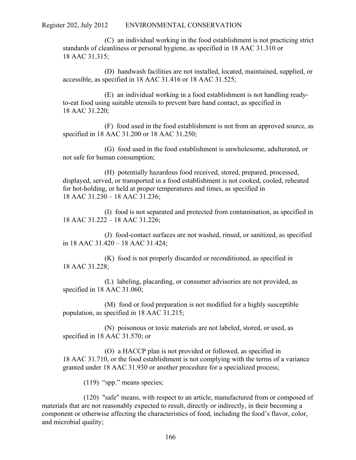(C) an individual working in the food establishment is not practicing strict standards of cleanliness or personal hygiene, as specified in 18 AAC 31.310 or 18 AAC 31.315;

(D) handwash facilities are not installed, located, maintained, supplied, or accessible, as specified in 18 AAC 31.416 or 18 AAC 31.525;

(E) an individual working in a food establishment is not handling readyto-eat food using suitable utensils to prevent bare hand contact, as specified in 18 AAC 31.220;

(F) food used in the food establishment is not from an approved source, as specified in 18 AAC 31.200 or 18 AAC 31.250;

(G) food used in the food establishment is unwholesome, adulterated, or not safe for human consumption;

(H) potentially hazardous food received, stored, prepared, processed, displayed, served, or transported in a food establishment is not cooked, cooled, reheated for hot-holding, or held at proper temperatures and times, as specified in 18 AAC 31.230 – 18 AAC 31.236;

(I) food is not separated and protected from contamination, as specified in 18 AAC 31.222 – 18 AAC 31.226;

(J) food-contact surfaces are not washed, rinsed, or sanitized, as specified in 18 AAC 31.420 – 18 AAC 31.424;

(K) food is not properly discarded or reconditioned, as specified in 18 AAC 31.228;

(L) labeling, placarding, or consumer advisories are not provided, as specified in 18 AAC 31.060;

(M) food or food preparation is not modified for a highly susceptible population, as specified in 18 AAC 31.215;

(N) poisonous or toxic materials are not labeled, stored, or used, as specified in 18 AAC 31.570; or

(O) a HACCP plan is not provided or followed, as specified in 18 AAC 31.710, or the food establishment is not complying with the terms of a variance granted under 18 AAC 31.930 or another procedure for a specialized process;

(119) "spp." means species;

(120) "safe" means, with respect to an article, manufactured from or composed of materials that are not reasonably expected to result, directly or indirectly, in their becoming a component or otherwise affecting the characteristics of food, including the food's flavor, color, and microbial quality;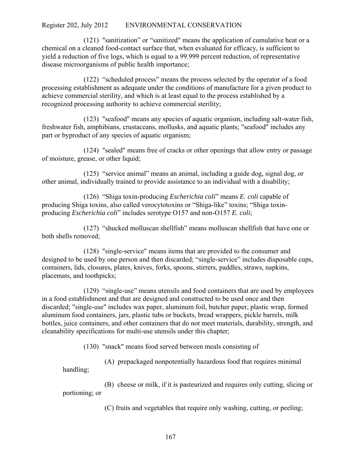(121) "sanitization" or "sanitized" means the application of cumulative heat or a chemical on a cleaned food-contact surface that, when evaluated for efficacy, is sufficient to yield a reduction of five logs, which is equal to a 99.999 percent reduction, of representative disease microorganisms of public health importance;

(122) "scheduled process" means the process selected by the operator of a food processing establishment as adequate under the conditions of manufacture for a given product to achieve commercial sterility, and which is at least equal to the process established by a recognized processing authority to achieve commercial sterility;

(123) "seafood" means any species of aquatic organism, including salt-water fish, freshwater fish, amphibians, crustaceans, mollusks, and aquatic plants; "seafood" includes any part or byproduct of any species of aquatic organism;

(124) "sealed" means free of cracks or other openings that allow entry or passage of moisture, grease, or other liquid;

(125) "service animal" means an animal, including a guide dog, signal dog, or other animal, individually trained to provide assistance to an individual with a disability;

(126) "Shiga toxin-producing *Escherichia coli*" means *E. coli* capable of producing Shiga toxins, also called verocytotoxins or "Shiga-like" toxins; "Shiga toxinproducing *Escherichia coli*" includes serotype O157 and non-O157 *E. coli*;

(127) "shucked molluscan shellfish" means molluscan shellfish that have one or both shells removed;

(128) "single-service" means items that are provided to the consumer and designed to be used by one person and then discarded; "single-service" includes disposable cups, containers, lids, closures, plates, knives, forks, spoons, stirrers, paddles, straws, napkins, placemats, and toothpicks;

(129) "single-use" means utensils and food containers that are used by employees in a food establishment and that are designed and constructed to be used once and then discarded; "single-use" includes wax paper, aluminum foil, butcher paper, plastic wrap, formed aluminum food containers, jars, plastic tubs or buckets, bread wrappers, pickle barrels, milk bottles, juice containers, and other containers that do not meet materials, durability, strength, and cleanability specifications for multi-use utensils under this chapter;

(130) "snack" means food served between meals consisting of

(A) prepackaged nonpotentially hazardous food that requires minimal

handling;

 (B) cheese or milk, if it is pasteurized and requires only cutting, slicing or portioning; or

(C) fruits and vegetables that require only washing, cutting, or peeling;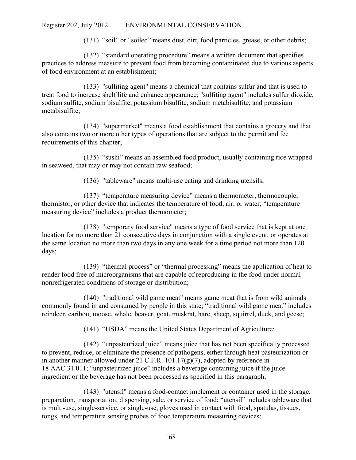(131) "soil" or "soiled" means dust, dirt, food particles, grease, or other debris;

(132) "standard operating procedure" means a written document that specifies practices to address measure to prevent food from becoming contaminated due to various aspects of food environment at an establishment;

(133) "sulfiting agent" means a chemical that contains sulfur and that is used to treat food to increase shelf life and enhance appearance; "sulfiting agent" includes sulfur dioxide, sodium sulfite, sodium bisulfite, potassium bisulfite, sodium metabisulfite, and potassium metabisulfite;

(134) "supermarket" means a food establishment that contains a grocery and that also contains two or more other types of operations that are subject to the permit and fee requirements of this chapter;

(135) "sushi" means an assembled food product, usually containing rice wrapped in seaweed, that may or may not contain raw seafood;

(136) "tableware" means multi-use eating and drinking utensils;

(137) "temperature measuring device" means a thermometer, thermocouple, thermistor, or other device that indicates the temperature of food, air, or water; "temperature measuring device" includes a product thermometer;

(138) "temporary food service" means a type of food service that is kept at one location for no more than 21 consecutive days in conjunction with a single event, or operates at the same location no more than two days in any one week for a time period not more than 120 days;

(139) "thermal process" or "thermal processing" means the application of heat to render food free of microorganisms that are capable of reproducing in the food under normal nonrefrigerated conditions of storage or distribution;

(140) "traditional wild game meat" means game meat that is from wild animals commonly found in and consumed by people in this state; "traditional wild game meat" includes reindeer, caribou, moose, whale, beaver, goat, muskrat, hare, sheep, squirrel, duck, and geese;

(141) "USDA" means the United States Department of Agriculture;

(142) "unpasteurized juice" means juice that has not been specifically processed to prevent, reduce, or eliminate the presence of pathogens, either through heat pasteurization or in another manner allowed under 21 C.F.R. 101.17(g)(7), adopted by reference in 18 AAC 31.011; "unpasteurized juice" includes a beverage containing juice if the juice ingredient or the beverage has not been processed as specified in this paragraph;

(143) "utensil" means a food-contact implement or container used in the storage, preparation, transportation, dispensing, sale, or service of food; "utensil" includes tableware that is multi-use, single-service, or single-use, gloves used in contact with food, spatulas, tissues, tongs, and temperature sensing probes of food temperature measuring devices;